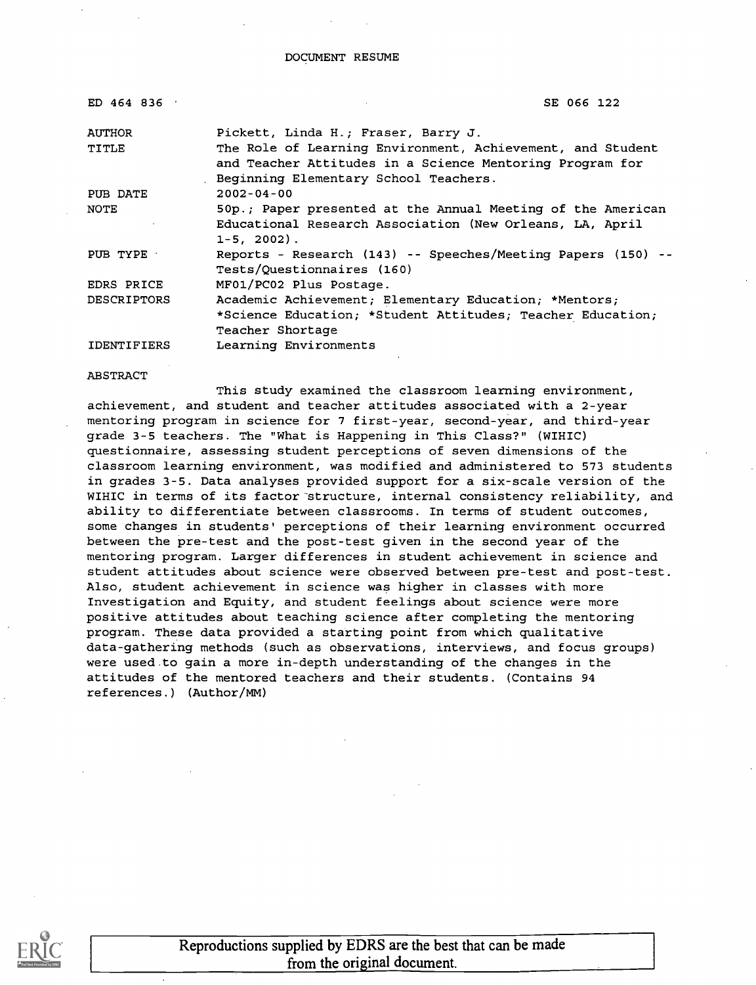DOCUMENT RESUME

| ED 464 836         | SE 066 122                                                                                                             |
|--------------------|------------------------------------------------------------------------------------------------------------------------|
| <b>AUTHOR</b>      | Pickett, Linda H.; Fraser, Barry J.                                                                                    |
| TITLE              | The Role of Learning Environment, Achievement, and Student<br>and Teacher Attitudes in a Science Mentoring Program for |
|                    | Beginning Elementary School Teachers.                                                                                  |
| PUB DATE           | $2002 - 04 - 00$                                                                                                       |
| <b>NOTE</b>        | 50p.; Paper presented at the Annual Meeting of the American                                                            |
|                    | Educational Research Association (New Orleans, LA, April<br>$1 - 5$ , 2002).                                           |
| PUB TYPE           | Reports - Research (143) -- Speeches/Meeting Papers (150) --<br>Tests/Ouestionnaires (160)                             |
| EDRS PRICE         | MF01/PC02 Plus Postage.                                                                                                |
| <b>DESCRIPTORS</b> | Academic Achievement; Elementary Education; *Mentors;                                                                  |
|                    | *Science Education; *Student Attitudes; Teacher Education;                                                             |
|                    | Teacher Shortage                                                                                                       |
| <b>IDENTIFIERS</b> | Learning Environments                                                                                                  |

ABSTRACT

This study examined the classroom learning environment, achievement, and student and teacher attitudes associated with a 2-year mentoring program in science for 7 first-year, second-year, and third-year grade 3-5 teachers. The "What is Happening in This Class?" (WIHIC) questionnaire, assessing student perceptions of seven dimensions of the classroom learning environment, was modified and administered to 573 students in grades 3-5. Data analyses provided support for a six-scale version of the WIHIC in terms of its factor structure, internal consistency reliability, and ability to differentiate between classrooms. In terms of student outcomes, some changes in students' perceptions of their learning environment occurred between the pre-test and the post-test given in the second year of the mentoring program. Larger differences in student achievement in science and student attitudes about science were observed between pre-test and post-test. Also, student achievement in science was higher in classes with more Investigation and Equity, and student feelings about science were more positive attitudes about teaching science after completing the mentoring program. These data provided a starting point from which qualitative data-gathering methods (such as observations, interviews, and focus groups) were used to gain a more in-depth understanding of the changes in the attitudes of the mentored teachers and their students. (Contains 94 references.) (Author/MM)



Reproductions supplied by EDRS are the best that can be made from the original document.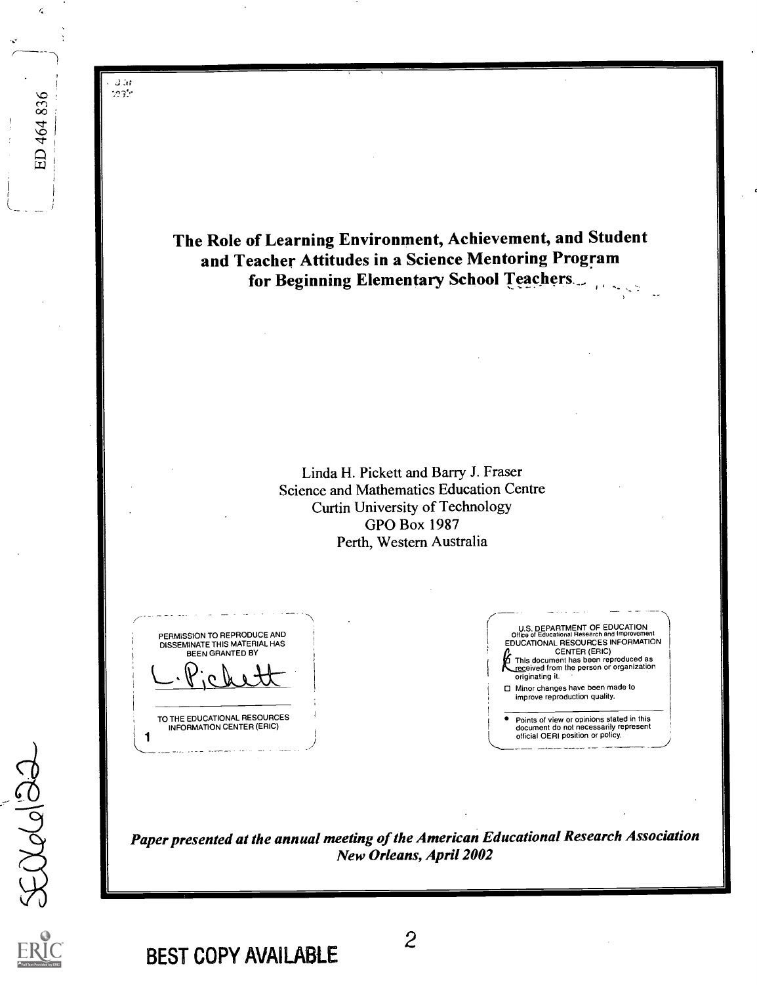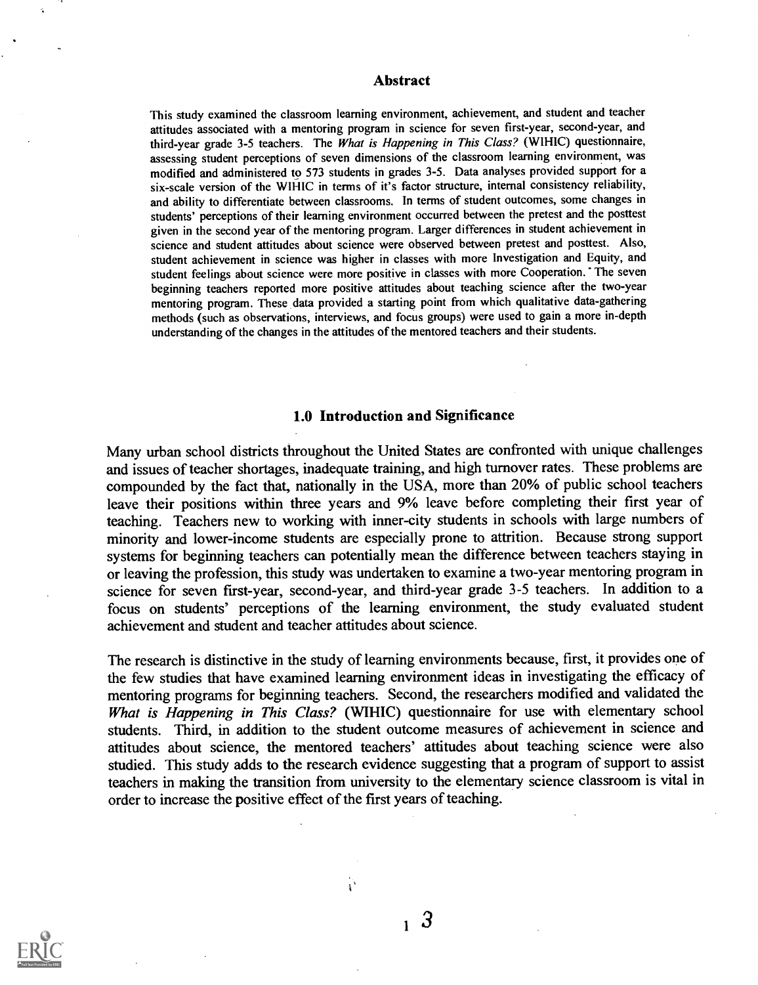#### Abstract

This study examined the classroom learning environment, achievement, and student and teacher attitudes associated with a mentoring program in science for seven first-year, second-year, and third-year grade 3-5 teachers. The What is Happening in This Class? (WIHIC) questionnaire, assessing student perceptions of seven dimensions of the classroom learning environment, was modified and administered to 573 students in grades 3-5. Data analyses provided support for a six-scale version of the WIHIC in terms of it's factor structure, internal consistency reliability, and ability to differentiate between classrooms. In terms of student outcomes, some changes in students' perceptions of their learning environment occurred between the pretest and the posttest given in the second year of the mentoring program. Larger differences in student achievement in science and student attitudes about science were observed between pretest and posttest. Also, student achievement in science was higher in classes with more Investigation and Equity, and student feelings about science were more positive in classes with more Cooperation. The seven beginning teachers reported more positive attitudes about teaching science after the two-year mentoring program. These data provided a starting point from which qualitative data-gathering methods (such as observations, interviews, and focus groups) were used to gain a more in-depth understanding of the changes in the attitudes of the mentored teachers and their students.

### 1.0 Introduction and Significance

Many urban school districts throughout the United States are confronted with unique challenges and issues of teacher shortages, inadequate training, and high turnover rates. These problems are compounded by the fact that, nationally in the USA, more than 20% of public school teachers leave their positions within three years and 9% leave before completing their first year of teaching. Teachers new to working with inner-city students in schools with large numbers of minority and lower-income students are especially prone to attrition. Because strong support systems for beginning teachers can potentially mean the difference between teachers staying in or leaving the profession, this study was undertaken to examine a two-year mentoring program in science for seven first-year, second-year, and third-year grade 3-5 teachers. In addition to a focus on students' perceptions of the learning environment, the study evaluated student achievement and student and teacher attitudes about science.

The research is distinctive in the study of learning environments because, first, it provides one of the few studies that have examined learning environment ideas in investigating the efficacy of mentoring programs for beginning teachers. Second, the researchers modified and validated the What is Happening in This Class? (WIHIC) questionnaire for use with elementary school students. Third, in addition to the student outcome measures of achievement in science and attitudes about science, the mentored teachers' attitudes about teaching science were also studied. This study adds to the research evidence suggesting that a program of support to assist teachers in making the transition from university to the elementary science classroom is vital in order to increase the positive effect of the first years of teaching.



<sup>1</sup> 3

 $\mathbf{r}$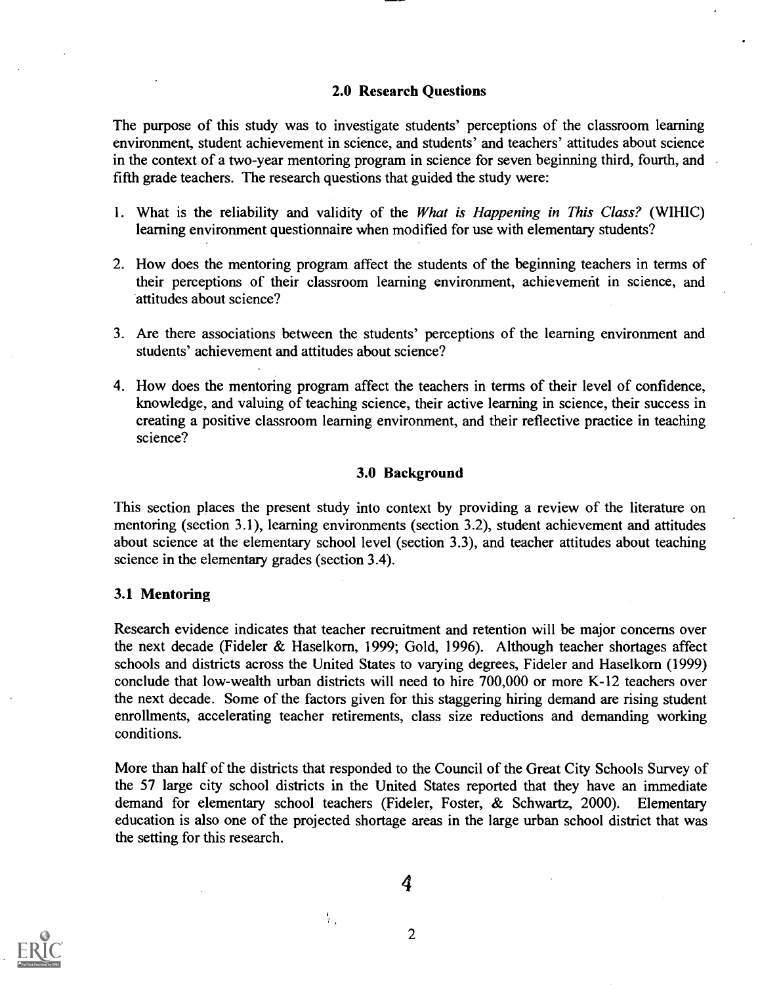## 2.0 Research Questions

The purpose of this study was to investigate students' perceptions of the classroom learning environment, student achievement in science, and students' and teachers' attitudes about science in the context of a two-year mentoring program in science for seven beginning third, fourth, and fifth grade teachers. The research questions that guided the study were:

- 1. What is the reliability and validity of the What is Happening in This Class? (WIHIC) learning environment questionnaire when modified for use with elementary students?
- 2. How does the mentoring program affect the students of the beginning teachers in terms of their perceptions of their classroom learning environment, achievement in science, and attitudes about science?
- 3. Are there associations between the students' perceptions of the learning environment and students' achievement and attitudes about science?
- 4. How does the mentoring program affect the teachers in terms of their level of confidence, knowledge, and valuing of teaching science, their active learning in science, their success in creating a positive classroom learning environment, and their reflective practice in teaching science?

#### 3.0 Background

This section places the present study into context by providing a review of the literature on mentoring (section 3.1), learning environments (section 3.2), student achievement and attitudes about science at the elementary school level (section 3.3), and teacher attitudes about teaching science in the elementary grades (section 3.4).

## 3.1 Mentoring

Research evidence indicates that teacher recruitment and retention will be major concerns over the next decade (Fideler  $& Haselkorm$ , 1999; Gold, 1996). Although teacher shortages affect schools and districts across the United States to varying degrees, Fideler and Haselkorn (1999) conclude that low-wealth urban districts will need to hire 700,000 or more K-12 teachers over the next decade. Some of the factors given for this staggering hiring demand are rising student enrollments, accelerating teacher retirements, class size reductions and demanding working conditions.

More than half of the districts that responded to the Council of the Great City Schools Survey of the 57 large city school districts in the United States reported that they have an immediate demand for elementary school teachers (Fideler, Foster, & Schwartz, 2000). Elementary education is also one of the projected shortage areas in the large urban school district that was the setting for this research.

4

ŧ.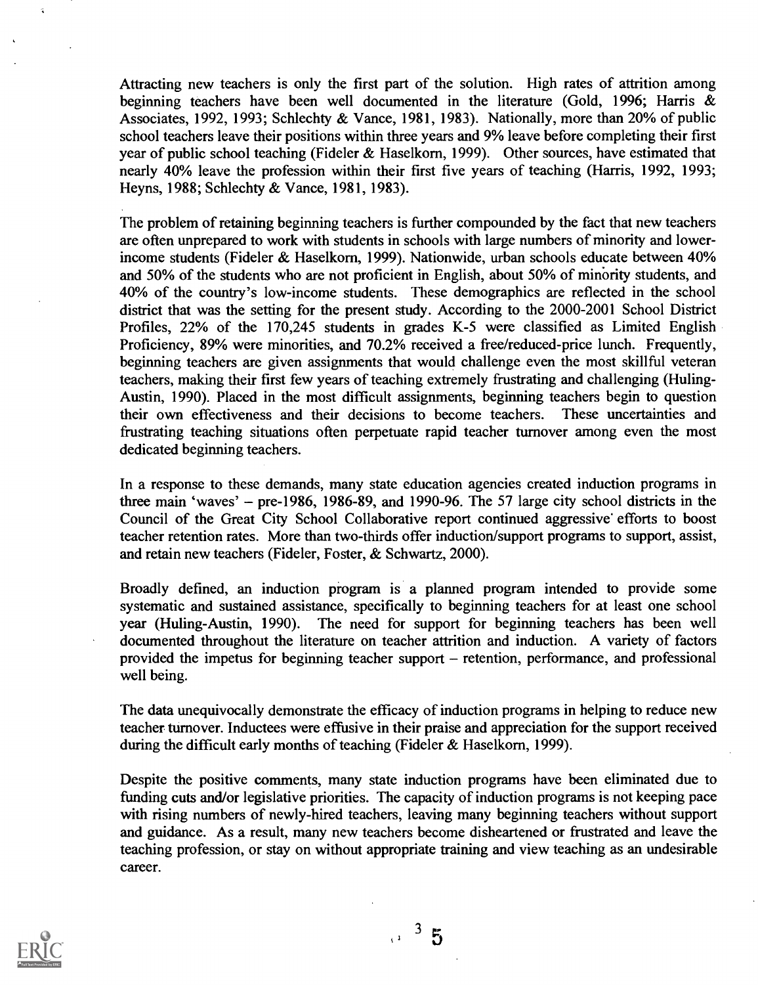Attracting new teachers is only the first part of the solution. High rates of attrition among beginning teachers have been well documented in the literature (Gold, 1996; Harris & Associates, 1992, 1993; Schlechty & Vance, 1981, 1983). Nationally, more than 20% of public school teachers leave their positions within three years and 9% leave before completing their first year of public school teaching (Fideler & Haselkorn, 1999). Other sources, have estimated that nearly 40% leave the profession within their first five years of teaching (Harris, 1992, 1993; Heyns, 1988; Schlechty & Vance, 1981, 1983).

The problem of retaining beginning teachers is further compounded by the fact that new teachers are often unprepared to work with students in schools with large numbers of minority and lowerincome students (Fideler & Haselkorn, 1999). Nationwide, urban schools educate between 40% and 50% of the students who are not proficient in English, about 50% of minority students, and 40% of the country's low-income students. These demographics are reflected in the school district that was the setting for the present study. According to the 2000-2001 School District Profiles, 22% of the 170,245 students in grades K-5 were classified as Limited English Proficiency, 89% were minorities, and 70.2% received a free/reduced-price lunch. Frequently, beginning teachers are given assignments that would challenge even the most skillful veteran teachers, making their first few years of teaching extremely frustrating and challenging (Huling-Austin, 1990). Placed in the most difficult assignments, beginning teachers begin to question their own effectiveness and their decisions to become teachers. These uncertainties and frustrating teaching situations often perpetuate rapid teacher turnover among even the most dedicated beginning teachers.

In a response to these demands, many state education agencies created induction programs in three main 'waves' – pre-1986, 1986-89, and 1990-96. The 57 large city school districts in the Council of the Great City School Collaborative report continued aggressive efforts to boost teacher retention rates. More than two-thirds offer induction/support programs to support, assist, and retain new teachers (Fideler, Foster, & Schwartz, 2000).

Broadly defined, an induction program is a planned program intended to provide some systematic and sustained assistance, specifically to beginning teachers for at least one school year (Huling-Austin, 1990). The need for support for beginning teachers has been well documented throughout the literature on teacher attrition and induction. A variety of factors provided the impetus for beginning teacher support – retention, performance, and professional well being.

The data unequivocally demonstrate the efficacy of induction programs in helping to reduce new teacher turnover. Inductees were effusive in their praise and appreciation for the support received during the difficult early months of teaching (Fideler & Haselkorn, 1999).

Despite the positive comments, many state induction programs have been eliminated due to funding cuts and/or legislative priorities. The capacity of induction programs is not keeping pace with rising numbers of newly-hired teachers, leaving many beginning teachers without support and guidance. As a result, many new teachers become disheartened or frustrated and leave the teaching profession, or stay on without appropriate training and view teaching as an undesirable career.



 $\frac{3}{1}$  3 5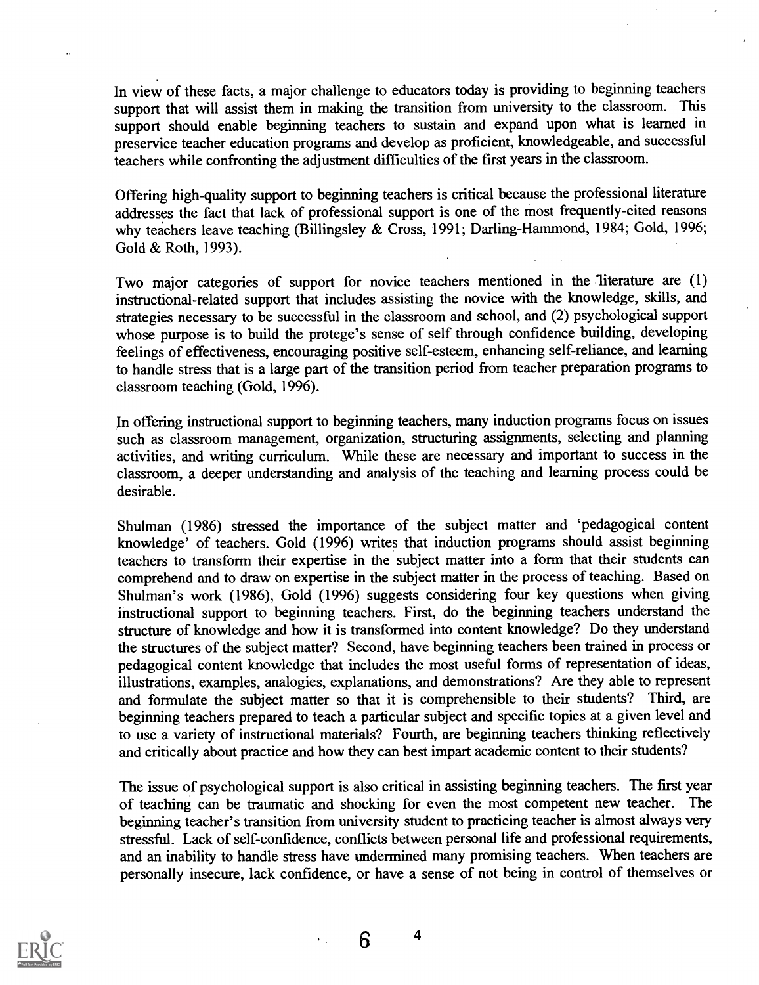In view of these facts, a major challenge to educators today is providing to beginning teachers support that will assist them in making the transition from university to the classroom. This support should enable beginning teachers to sustain and expand upon what is learned in preservice teacher education programs and develop as proficient, knowledgeable, and successful teachers while confronting the adjustment difficulties of the first years in the classroom.

Offering high-quality support to beginning teachers is critical because the professional literature addresses the fact that lack of professional support is one of the most frequently-cited reasons why teachers leave teaching (Billingsley & Cross, 1991; Darling-Hammond, 1984; Gold, 1996; Gold & Roth, 1993).

Two major categories of support for novice teachers mentioned in the literature are (1) instructional-related support that includes assisting the novice with the knowledge, skills, and strategies necessary to be successful in the classroom and school, and (2) psychological support whose purpose is to build the protege's sense of self through confidence building, developing feelings of effectiveness, encouraging positive self-esteem, enhancing self-reliance, and learning to handle stress that is a large part of the transition period from teacher preparation programs to classroom teaching (Gold, 1996).

In offering instructional support to beginning teachers, many induction programs focus on issues such as classroom management, organization, structuring assignments, selecting and planning activities, and writing curriculum. While these are necessary and important to success in the classroom, a deeper understanding and analysis of the teaching and learning process could be desirable.

Shulman (1986) stressed the importance of the subject matter and 'pedagogical content knowledge' of teachers. Gold (1996) writes that induction programs should assist beginning teachers to transform their expertise in the subject matter into a form that their students can comprehend and to draw on expertise in the subject matter in the process of teaching. Based on Shulman's work (1986), Gold (1996) suggests considering four key questions when giving instructional support to beginning teachers. First, do the beginning teachers understand the structure of knowledge and how it is transformed into content knowledge? Do they understand the structures of the subject matter? Second, have beginning teachers been trained in process or pedagogical content knowledge that includes the most useful forms of representation of ideas, illustrations, examples, analogies, explanations, and demonstrations? Are they able to represent and formulate the subject matter so that it is comprehensible to their students? Third, are beginning teachers prepared to teach a particular subject and specific topics at a given level and to use a variety of instructional materials? Fourth, are beginning teachers thinking reflectively and critically about practice and how they can best impart academic content to their students?

The issue of psychological support is also critical in assisting beginning teachers. The first year of teaching can be traumatic and shocking for even the most competent new teacher. The beginning teacher's transition from university student to practicing teacher is almost always very stressful. Lack of self-confidence, conflicts between personal life and professional requirements, and an inability to handle stress have undermined many promising teachers. When teachers are personally insecure, lack confidence, or have a sense of not being in control of themselves or



6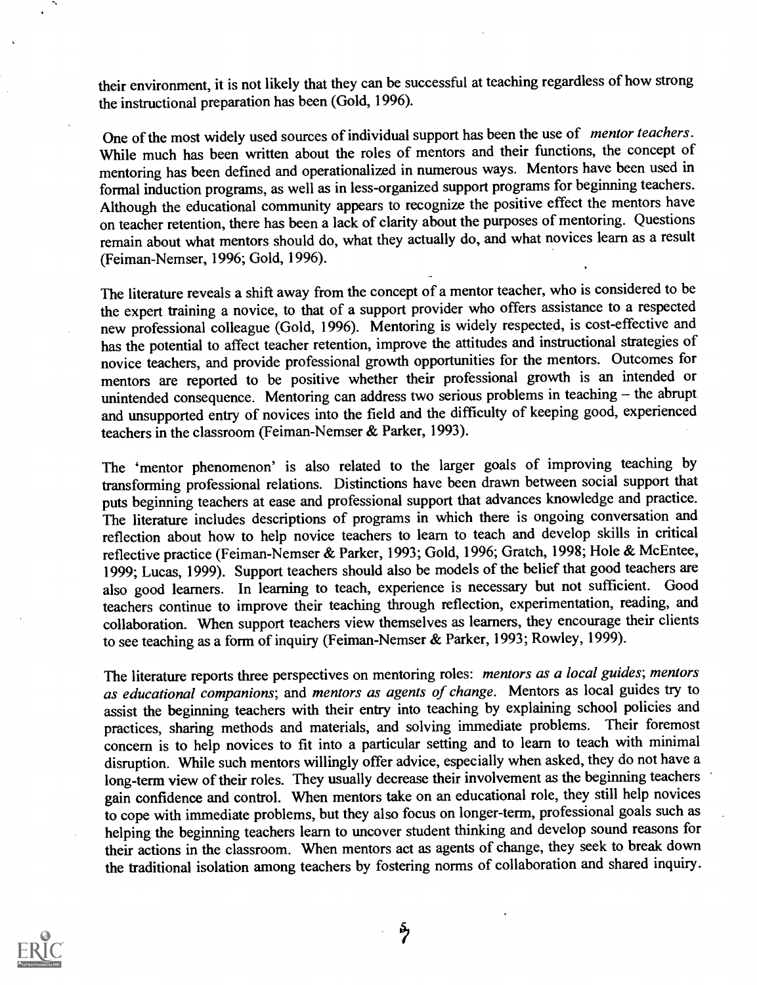their environment, it is not likely that they can be successful at teaching regardless of how strong the instructional preparation has been (Gold, 1996).

One of the most widely used sources of individual support has been the use of mentor teachers. While much has been written about the roles of mentors and their functions, the concept of mentoring has been defined and operationalized in numerous ways. Mentors have been used in formal induction programs, as well as in less-organized support programs for beginning teachers. Although the educational community appears to recognize the positive effect the mentors have on teacher retention, there has been a lack of clarity about the purposes of mentoring. Questions remain about what mentors should do, what they actually do, and what novices learn as a result (Feiman-Nemser, 1996; Gold, 1996).

The literature reveals a shift away from the concept of a mentor teacher, who is considered to be the expert training a novice, to that of a support provider who offers assistance to a respected new professional colleague (Gold, 1996). Mentoring is widely respected, is cost-effective and has the potential to affect teacher retention, improve the attitudes and instructional strategies of novice teachers, and provide professional growth opportunities for the mentors. Outcomes for mentors are reported to be positive whether their professional growth is an intended or unintended consequence. Mentoring can address two serious problems in teaching - the abrupt and unsupported entry of novices into the field and the difficulty of keeping good, experienced teachers in the classroom (Feiman-Nemser & Parker, 1993).

The 'mentor phenomenon' is also related to the larger goals of improving teaching by transforming professional relations. Distinctions have been drawn between social support that puts beginning teachers at ease and professional support that advances knowledge and practice. The literature includes descriptions of programs in which there is ongoing conversation and reflection about how to help novice teachers to learn to teach and develop skills in critical reflective practice (Feiman-Nemser & Parker, 1993; Gold, 1996; Gratch, 1998; Hole & McEntee, 1999; Lucas, 1999). Support teachers should also be models of the belief that good teachers are also good learners. In learning to teach, experience is necessary but not sufficient. Good teachers continue to improve their teaching through reflection, experimentation, reading, and collaboration. When support teachers view themselves as learners, they encourage their clients to see teaching as a form of inquiry (Feiman-Nemser & Parker, 1993; Rowley, 1999).

The literature reports three perspectives on mentoring roles: mentors as a local guides; mentors as educational companions; and mentors as agents of change. Mentors as local guides try to assist the beginning teachers with their entry into teaching by explaining school policies and practices, sharing methods and materials, and solving immediate problems. Their foremost concern is to help novices to fit into a particular setting and to learn to teach with minimal disruption. While such mentors willingly offer advice, especially when asked, they do not have a long-term view of their roles. They usually decrease their involvement as the beginning teachers gain confidence and control. When mentors take on an educational role, they still help novices to cope with immediate problems, but they also focus on longer-term, professional goals such as helping the beginning teachers learn to uncover student thinking and develop sound reasons for their actions in the classroom. When mentors act as agents of change, they seek to break down the traditional isolation among teachers by fostering norms of collaboration and shared inquiry.

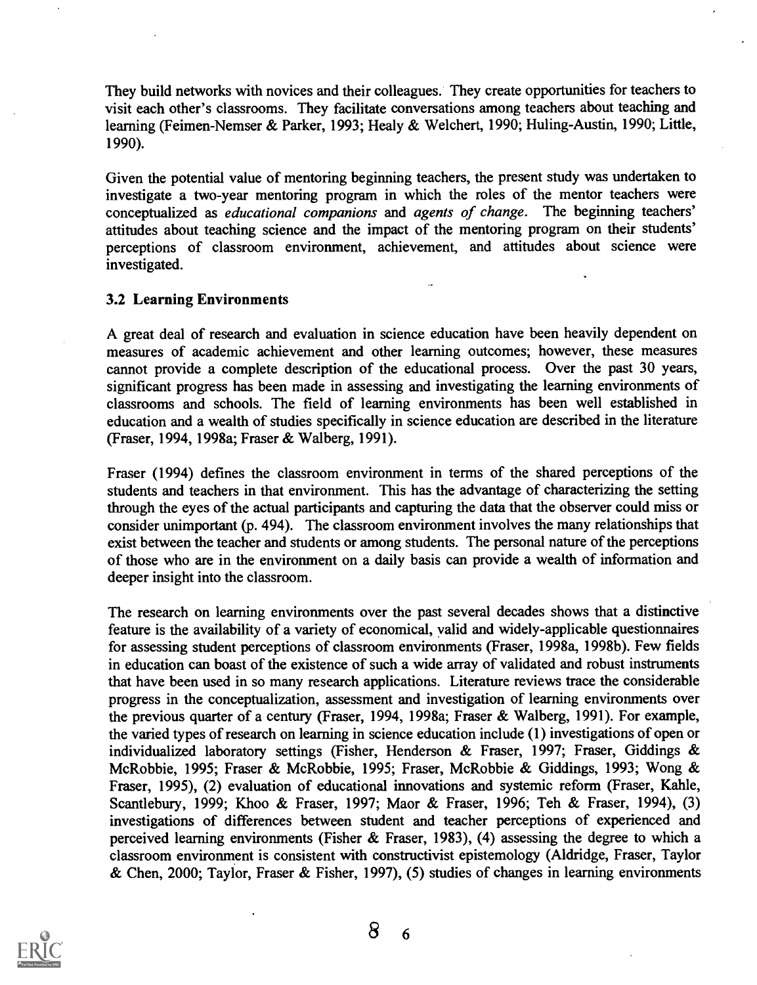They build networks with novices and their colleagues. They create opportunities for teachers to visit each other's classrooms. They facilitate conversations among teachers about teaching and learning (Feimen-Nemser & Parker, 1993; Healy & Welchert, 1990; Huling-Austin, 1990; Little, 1990).

Given the potential value of mentoring beginning teachers, the present study was undertaken to investigate a two-year mentoring program in which the roles of the mentor teachers were conceptualized as educational companions and agents of change. The beginning teachers' attitudes about teaching science and the impact of the mentoring program on their students' perceptions of classroom environment, achievement, and attitudes about science were investigated.

## 3.2 Learning Environments

A great deal of research and evaluation in science education have been heavily dependent on measures of academic achievement and other learning outcomes; however, these measures cannot provide a complete description of the educational process. Over the past 30 years, significant progress has been made in assessing and investigating the learning environments of classrooms and schools. The field of learning environments has been well established in education and a wealth of studies specifically in science education are described in the literature (Fraser, 1994, 1998a; Fraser & Walberg, 1991).

Fraser (1994) defines the classroom environment in terms of the shared perceptions of the students and teachers in that environment. This has the advantage of characterizing the setting through the eyes of the actual participants and capturing the data that the observer could miss or consider unimportant (p. 494). The classroom environment involves the many relationships that exist between the teacher and students or among students. The personal nature of the perceptions of those who are in the environment on a daily basis can provide a wealth of information and deeper insight into the classroom.

The research on learning environments over the past several decades shows that a distinctive feature is the availability of a variety of economical, valid and widely-applicable questionnaires for assessing student perceptions of classroom environments (Fraser, 1998a, 1998b). Few fields in education can boast of the existence of such a wide array of validated and robust instruments that have been used in so many research applications. Literature reviews trace the considerable progress in the conceptualization, assessment and investigation of learning environments over the previous quarter of a century (Fraser, 1994, 1998a; Fraser & Walberg, 1991). For example, the varied types of research on learning in science education include (1) investigations of open or individualized laboratory settings (Fisher, Henderson & Fraser, 1997; Fraser, Giddings & McRobbie, 1995; Fraser & McRobbie, 1995; Fraser, McRobbie & Giddings, 1993; Wong & Fraser, 1995), (2) evaluation of educational innovations and systemic reform (Fraser, Kahle, Scantlebury, 1999; Khoo & Fraser, 1997; Maor & Fraser, 1996; Teh & Fraser, 1994), (3) investigations of differences between student and teacher perceptions of experienced and perceived learning environments (Fisher & Fraser, 1983), (4) assessing the degree to which a classroom environment is consistent with constructivist epistemology (Aldridge, Fraser, Taylor & Chen, 2000; Taylor, Fraser & Fisher, 1997), (5) studies of changes in learning environments

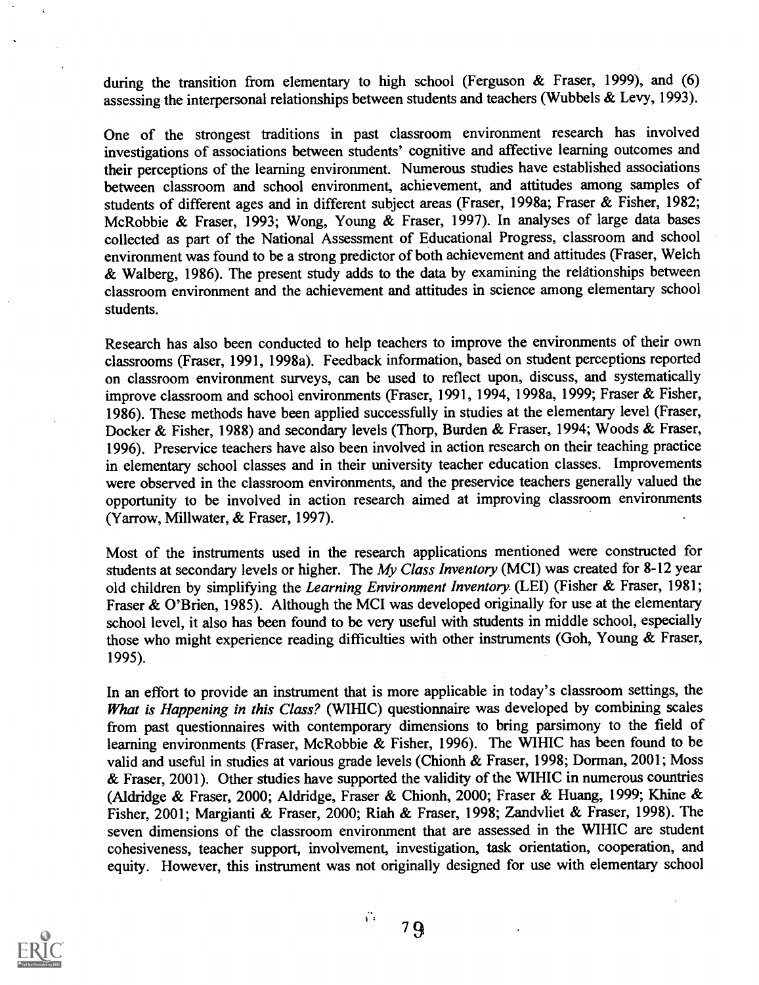during the transition from elementary to high school (Ferguson & Fraser, 1999), and (6) assessing the interpersonal relationships between students and teachers (Wubbels & Levy, 1993).

One of the strongest traditions in past classroom environment research has involved investigations of associations between students' cognitive and affective learning outcomes and their perceptions of the learning environment. Numerous studies have established associations between classroom and school environment, achievement, and attitudes among samples of students of different ages and in different subject areas (Fraser, 1998a; Fraser & Fisher, 1982; Mc Robbie & Fraser, 1993; Wong, Young & Fraser, 1997). In analyses of large data bases collected as part of the National Assessment of Educational Progress, classroom and school environment was found to be a strong predictor of both achievement and attitudes (Fraser, Welch & Walberg, 1986). The present study adds to the data by examining the reldtionships between classroom environment and the achievement and attitudes in science among elementary school students.

Research has also been conducted to help teachers to improve the environments of their own classrooms (Fraser, 1991, 1998a). Feedback information, based on student perceptions reported on classroom environment surveys, can be used to reflect upon, discuss, and systematically improve classroom and school environments (Fraser, 1991, 1994, 1998a, 1999; Fraser & Fisher, 1986). These methods have been applied successfully in studies at the elementary level (Fraser, Docker & Fisher, 1988) and secondary levels (Thorp, Burden & Fraser, 1994; Woods & Fraser, 1996). Preservice teachers have also been involved in action research on their teaching practice in elementary school classes and in their university teacher education classes. Improvements were observed in the classroom environments, and the preservice teachers generally valued the opportunity to be involved in action research aimed at improving classroom environments (Yarrow, Millwater, & Fraser, 1997).

Most of the instruments used in the research applications mentioned were constructed for students at secondary levels or higher. The My Class Inventory (MCI) was created for 8-12 year old children by simplifying the Learning Environment Inventory (LEI) (Fisher & Fraser, 1981; Fraser & O'Brien, 1985). Although the MCI was developed originally for use at the elementary school level, it also has been found to be very useful with students in middle school, especially those who might experience reading difficulties with other instruments (Goh, Young & Fraser, 1995).

In an effort to provide an instrument that is more applicable in today's classroom settings, the What is Happening in this Class? (WIHIC) questionnaire was developed by combining scales from past questionnaires with contemporary dimensions to bring parsimony to the field of learning environments (Fraser, McRobbie & Fisher, 1996). The WIHIC has been found to be valid and useful in studies at various grade levels (Chionh & Fraser, 1998; Dorman, 2001; Moss & Fraser, 2001). Other studies have supported the validity of the WIHIC in numerous countries (Aldridge & Fraser, 2000; Aldridge, Fraser & Chionh, 2000; Fraser & Huang, 1999; Khine & Fisher, 2001; Margianti & Fraser, 2000; Riah & Fraser, 1998; Zandvliet & Fraser, 1998). The seven dimensions of the classroom environment that are assessed in the WIHIC are student cohesiveness, teacher support, involvement, investigation, task orientation, cooperation, and equity. However, this instrument was not originally designed for use with elementary school



<sup>7</sup> 9

Ÿ.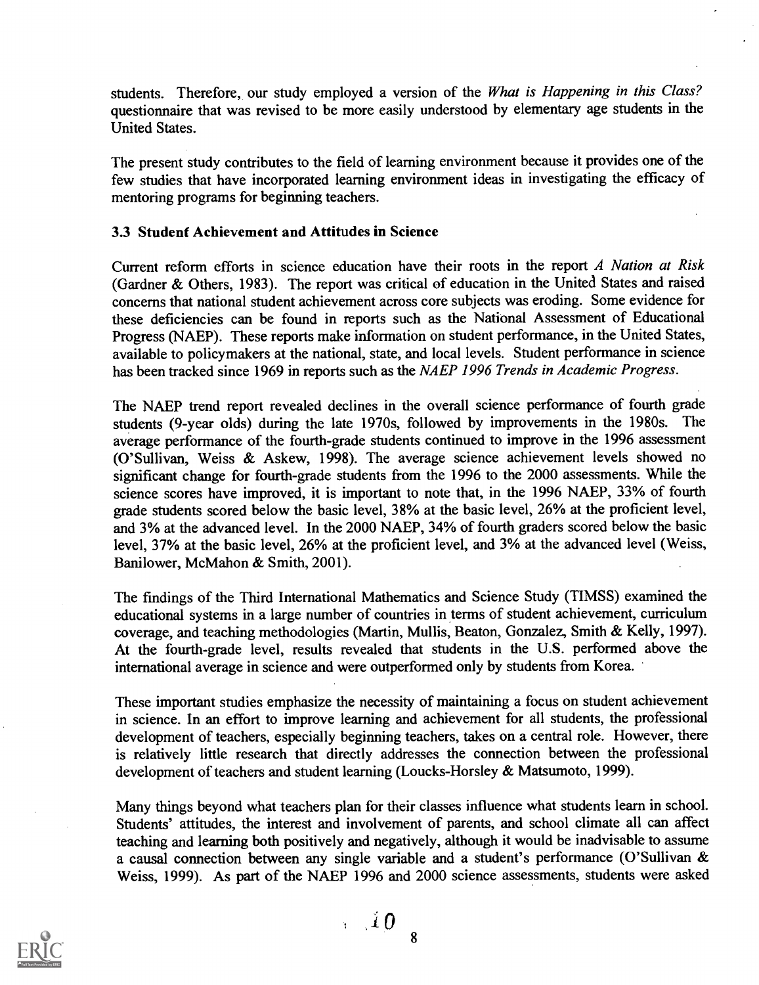students. Therefore, our study employed a version of the What is Happening in this Class? questionnaire that was revised to be more easily understood by elementary age students in the United States.

The present study contributes to the field of learning environment because it provides one of the few studies that have incorporated learning environment ideas in investigating the efficacy of mentoring programs for beginning teachers.

## 3.3 Student Achievement and Attitudes in Science

Current reform efforts in science education have their roots in the report A Nation at Risk (Gardner & Others, 1983). The report was critical of education in the United States and raised concerns that national student achievement across core subjects was eroding. Some evidence for these deficiencies can be found in reports such as the National Assessment of Educational Progress (NAEP). These reports make information on student performance, in the United States, available to policymakers at the national, state, and local levels. Student performance in science has been tracked since 1969 in reports such as the NAEP 1996 Trends in Academic Progress.

The NAEP trend report revealed declines in the overall science performance of fourth grade students (9-year olds) during the late 1970s, followed by improvements in the 1980s. The average performance of the fourth-grade students continued to improve in the 1996 assessment (O'Sullivan, Weiss & Askew, 1998). The average science achievement levels showed no significant change for fourth-grade students from the 1996 to the 2000 assessments. While the science scores have improved, it is important to note that, in the 1996 NAEP, 33% of fourth grade students scored below the basic level, 38% at the basic level, 26% at the proficient level, and 3% at the advanced level. In the 2000 NAEP, 34% of fourth graders scored below the basic level, 37% at the basic level, 26% at the proficient level, and 3% at the advanced level (Weiss, Banilower, McMahon & Smith, 2001).

The findings of the Third International Mathematics and Science Study (TIMSS) examined the educational systems in a large number of countries in terms of student achievement, curriculum coverage, and teaching methodologies (Martin, Mullis, Beaton, Gonzalez, Smith & Kelly, 1997). At the fourth-grade level, results revealed that students in the U.S. performed above the international average in science and were outperformed only by students from Korea.

These important studies emphasize the necessity of maintaining a focus on student achievement in science. In an effort to improve learning and achievement for all students, the professional development of teachers, especially beginning teachers, takes on a central role. However, there is relatively little research that directly addresses the connection between the professional development of teachers and student learning (Loucks-Horsley & Matsumoto, 1999).

Many things beyond what teachers plan for their classes influence what students learn in school. Students' attitudes, the interest and involvement of parents, and school climate all can affect teaching and learning both positively and negatively, although it would be inadvisable to assume a causal connection between any single variable and a student's performance (O'Sullivan & Weiss, 1999). As part of the NAEP 1996 and 2000 science assessments, students were asked



 $\frac{1}{10}$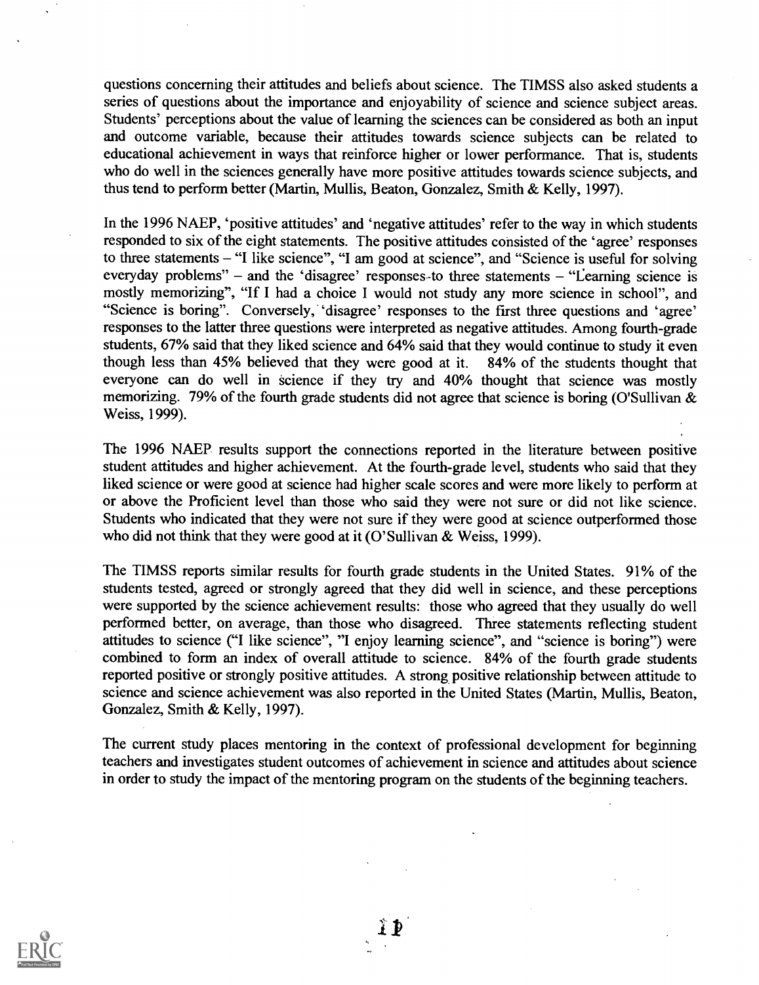questions concerning their attitudes and beliefs about science. The TIMSS also asked students a series of questions about the importance and enjoyability of science and science subject areas. Students' perceptions about the value of learning the sciences can be considered as both an input and outcome variable, because their attitudes towards science subjects can be related to educational achievement in ways that reinforce higher or lower performance. That is, students who do well in the sciences generally have more positive attitudes towards science subjects, and thus tend to perform better (Martin, Mullis, Beaton, Gonzalez, Smith & Kelly, 1997).

In the 1996 NAEP, 'positive attitudes' and 'negative attitudes' refer to the way in which students responded to six of the eight statements. The positive attitudes consisted of the 'agree' responses to three statements  $-$  "I like science", "I am good at science", and "Science is useful for solving everyday problems" – and the 'disagree' responses to three statements  $-$  "Learning science is mostly memorizing", "If I had a choice I would not study any more science in school", and "Science is boring". Conversely, 'disagree' responses to the first three questions and 'agree' responses to the latter three questions were interpreted as negative attitudes. Among fourth-grade students, 67% said that they liked science and 64% said that they would continue to study it even<br>though less than 45% believed that they were good at it. 84% of the students thought that though less than 45% believed that they were good at it. everyone can do well in science if they try and 40% thought that science was mostly memorizing. 79% of the fourth grade students did not agree that science is boring (O'Sullivan & Weiss, 1999).

The 1996 NAEP results support the connections reported in the literature between positive student attitudes and higher achievement. At the fourth-grade level, students who said that they liked science or were good at science had higher scale scores and were more likely to perform at or above the Proficient level than those who said they were not sure or did not like science. Students who indicated that they were not sure if they were good at science outperformed those who did not think that they were good at it (O'Sullivan & Weiss, 1999).

The TIMSS reports similar results for fourth grade students in the United States. 91% of the students tested, agreed or strongly agreed that they did well in science, and these perceptions were supported by the science achievement results: those who agreed that they usually do well performed better, on average, than those who disagreed. Three statements reflecting student attitudes to science ("I like science", "I enjoy learning science", and "science is boring") were combined to form an index of overall attitude to science. 84% of the fourth grade students reported positive or strongly positive attitudes. A strong positive relationship between attitude to science and science achievement was also reported in the United States (Martin, Mullis, Beaton, Gonzalez, Smith & Kelly, 1997).

The current study places mentoring in the context of professional development for beginning teachers and investigates student outcomes of achievement in science and attitudes about science in order to study the impact of the mentoring program on the students of the beginning teachers.

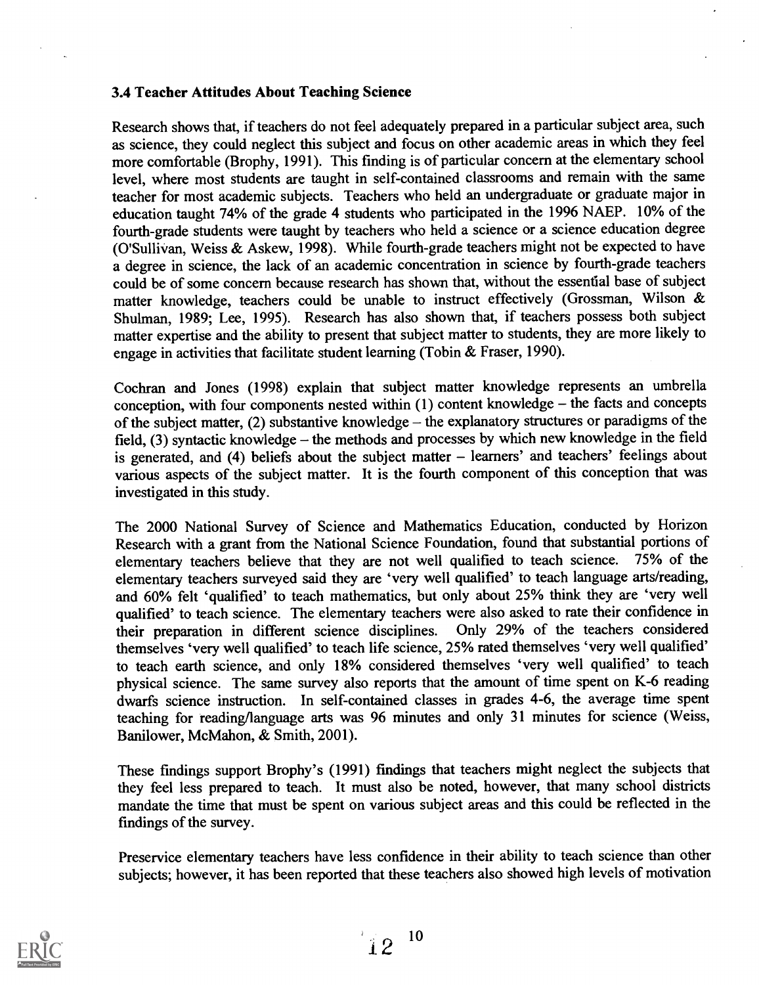## 3.4 Teacher Attitudes About Teaching Science

Research shows that, if teachers do not feel adequately prepared in a particular subject area, such as science, they could neglect this subject and focus on other academic areas in which they feel more comfortable (Brophy, 1991). This finding is of particular concern at the elementary school level, where most students are taught in self-contained classrooms and remain with the same teacher for most academic subjects. Teachers who held an undergraduate or graduate major in education taught 74% of the grade 4 students who participated in the 1996 NAEP. 10% of the fourth-grade students were taught by teachers who held a science or a science education degree (O'Sullivan, Weiss & Askew, 1998). While fourth-grade teachers might not be expected to have a degree in science, the lack of an academic concentration in science by fourth-grade teachers could be of some concern because research has shown that, without the essential base of subject matter knowledge, teachers could be unable to instruct effectively (Grossman, Wilson & Shulman, 1989; Lee, 1995). Research has also shown that, if teachers possess both subject matter expertise and the ability to present that subject matter to students, they are more likely to engage in activities that facilitate student learning (Tobin & Fraser, 1990).

Cochran and Jones (1998) explain that subject matter knowledge represents an umbrella conception, with four components nested within  $(1)$  content knowledge – the facts and concepts of the subject matter,  $(2)$  substantive knowledge – the explanatory structures or paradigms of the field,  $(3)$  syntactic knowledge – the methods and processes by which new knowledge in the field is generated, and  $(4)$  beliefs about the subject matter  $-$  learners' and teachers' feelings about various aspects of the subject matter. It is the fourth component of this conception that was investigated in this study.

The 2000 National Survey of Science and Mathematics Education, conducted by Horizon Research with a grant from the National Science Foundation, found that substantial portions of elementary teachers believe that they are not well qualified to teach science. 75% of the elementary teachers believe that they are not well qualified to teach science. elementary teachers surveyed said they are 'very well qualified' to teach language arts/reading, and 60% felt 'qualified' to teach mathematics, but only about 25% think they are 'very well qualified' to teach science. The elementary teachers were also asked to rate their confidence in their preparation in different science disciplines. Only 29% of the teachers considered themselves 'very well qualified' to teach life science, 25% rated themselves 'very well qualified' to teach earth science, and only 18% considered themselves 'very well qualified' to teach physical science. The same survey also reports that the amount of time spent on K-6 reading dwarfs science instruction. In self-contained classes in grades 4-6, the average time spent teaching for reading/language arts was 96 minutes and only 31 minutes for science (Weiss, Banilower, McMahon, & Smith, 2001).

These findings support Brophy's (1991) findings that teachers might neglect the subjects that they feel less prepared to teach. It must also be noted, however, that many school districts mandate the time that must be spent on various subject areas and this could be reflected in the findings of the survey.

Preservice elementary teachers have less confidence in their ability to teach science than other subjects; however, it has been reported that these teachers also showed high levels of motivation

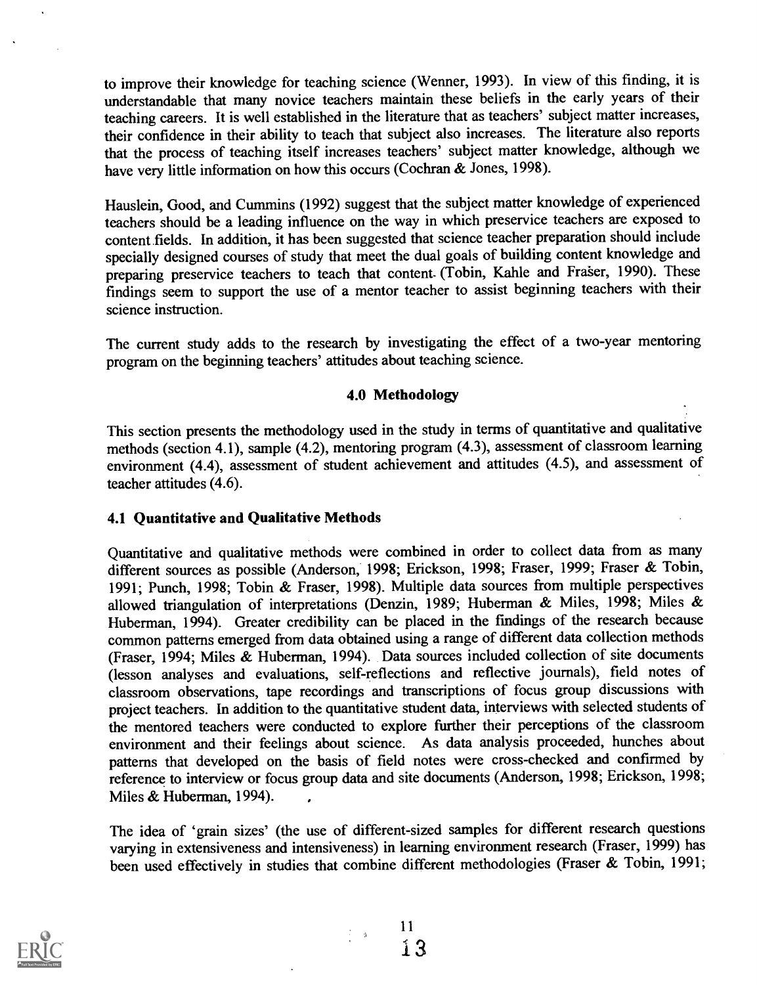to improve their knowledge for teaching science (Wenner, 1993). In view of this finding, it is understandable that many novice teachers maintain these beliefs in the early years of their teaching careers. It is well established in the literature that as teachers' subject matter increases, their confidence in their ability to teach that subject also increases. The literature also reports that the process of teaching itself increases teachers' subject matter knowledge, although we have very little information on how this occurs (Cochran & Jones, 1998).

Hauslein, Good, and Cummins (1992) suggest that the subject matter knowledge of experienced teachers should be a leading influence on the way in which preservice teachers are exposed to content fields. In addition, it has been suggested that science teacher preparation should include specially designed courses of study that meet the dual goals of building content knowledge and preparing preservice teachers to teach that content- (Tobin, Kahle and Fraser, 1990). These findings seem to support the use of a mentor teacher to assist beginning teachers with their science instruction.

The current study adds to the research by investigating the effect of a two-year mentoring program on the beginning teachers' attitudes about teaching science.

## 4.0 Methodology

This section presents the methodology used in the study in terms of quantitative and qualitative methods (section 4.1), sample (4.2), mentoring program (4.3), assessment of classroom learning environment (4.4), assessment of student achievement and attitudes (4.5), and assessment of teacher attitudes (4.6).

## 4.1 Quantitative and Qualitative Methods

Quantitative and qualitative methods were combined in order to collect data from as many different sources as possible (Anderson, 1998; Erickson, 1998; Fraser, 1999; Fraser & Tobin, 1991; Punch, 1998; Tobin & Fraser, 1998). Multiple data sources from multiple perspectives allowed triangulation of interpretations (Denzin, 1989; Huberman & Miles, 1998; Miles & Huberman, 1994). Greater credibility can be placed in the fmdings of the research because common patterns emerged from data obtained using a range of different data collection methods (Fraser, 1994; Miles & Huberman, 1994). Data sources included collection of site documents (lesson analyses and evaluations, self-reflections and reflective journals), field notes of classroom observations, tape recordings and transcriptions of focus group discussions with project teachers. In addition to the quantitative student data, interviews with selected students of the mentored teachers were conducted to explore further their perceptions of the classroom environment and their feelings about science. As data analysis proceeded, hunches about patterns that developed on the basis of field notes were cross-checked and confirmed by reference to interview or focus group data and site documents (Anderson, 1998; Erickson, 1998; Miles & Huberman, 1994).

The idea of 'grain sizes' (the use of different-sized samples for different research questions varying in extensiveness and intensiveness) in learning environment research (Fraser, 1999) has been used effectively in studies that combine different methodologies (Fraser & Tobin, 1991;



 $\psi$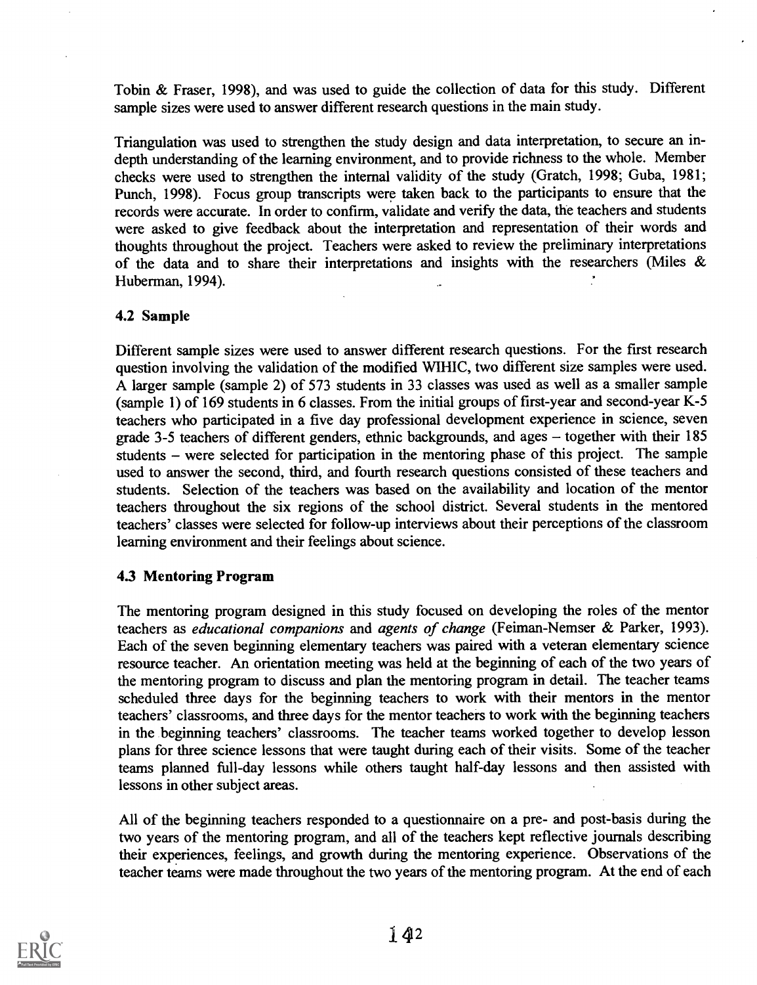Tobin & Fraser, 1998), and was used to guide the collection of data for this study. Different sample sizes were used to answer different research questions in the main study.

Triangulation was used to strengthen the study design and data interpretation, to secure an indepth understanding of the learning environment, and to provide richness to the whole. Member checks were used to strengthen the internal validity of the study (Gratch, 1998; Guba, 1981; Punch, 1998). Focus group transcripts were taken back to the participants to ensure that the records were accurate. In order to confirm, validate and verify the data, the teachers and students were asked to give feedback about the interpretation and representation of their words and thoughts throughout the project. Teachers were asked to review the preliminary interpretations of the data and to share their interpretations and insights with the researchers (Miles & Huberman, 1994).

## 4.2 Sample

Different sample sizes were used to answer different research questions. For the first research question involving the validation of the modified WIHIC, two different size samples were used. A larger sample (sample 2) of 573 students in 33 classes was used as well as a smaller sample (sample 1) of 169 students in 6 classes. From the initial groups of first-year and second-year K-5 teachers who participated in a five day professional development experience in science, seven grade 3-5 teachers of different genders, ethnic backgrounds, and ages  $-$  together with their 185 students – were selected for participation in the mentoring phase of this project. The sample used to answer the second, third, and fourth research questions consisted of these teachers and students. Selection of the teachers was based on the availability and location of the mentor teachers throughout the six regions of the school district. Several students in the mentored teachers' classes were selected for follow-up interviews about their perceptions of the classroom learning environment and their feelings about science.

## 4.3 Mentoring Program

The mentoring program designed in this study focused on developing the roles of the mentor teachers as educational companions and agents of change (Feiman-Nemser & Parker, 1993). Each of the seven beginning elementary teachers was paired with a veteran elementary science resource teacher. An orientation meeting was held at the beginning of each of the two years of the mentoring program to discuss and plan the mentoring program in detail. The teacher teams scheduled three days for the beginning teachers to work with their mentors in the mentor teachers' classrooms, and three days for the mentor teachers to work with the beginning teachers in the beginning teachers' classrooms. The teacher teams worked together to develop lesson plans for three science lessons that were taught during each of their visits. Some of the teacher teams planned full-day lessons while others taught half-day lessons and then assisted with lessons in other subject areas.

All of the beginning teachers responded to a questionnaire on a pre- and post-basis during the two years of the mentoring program, and all of the teachers kept reflective journals describing their experiences, feelings, and growth during the mentoring experience. Observations of the teacher teams were made throughout the two years of the mentoring program. At the end of each

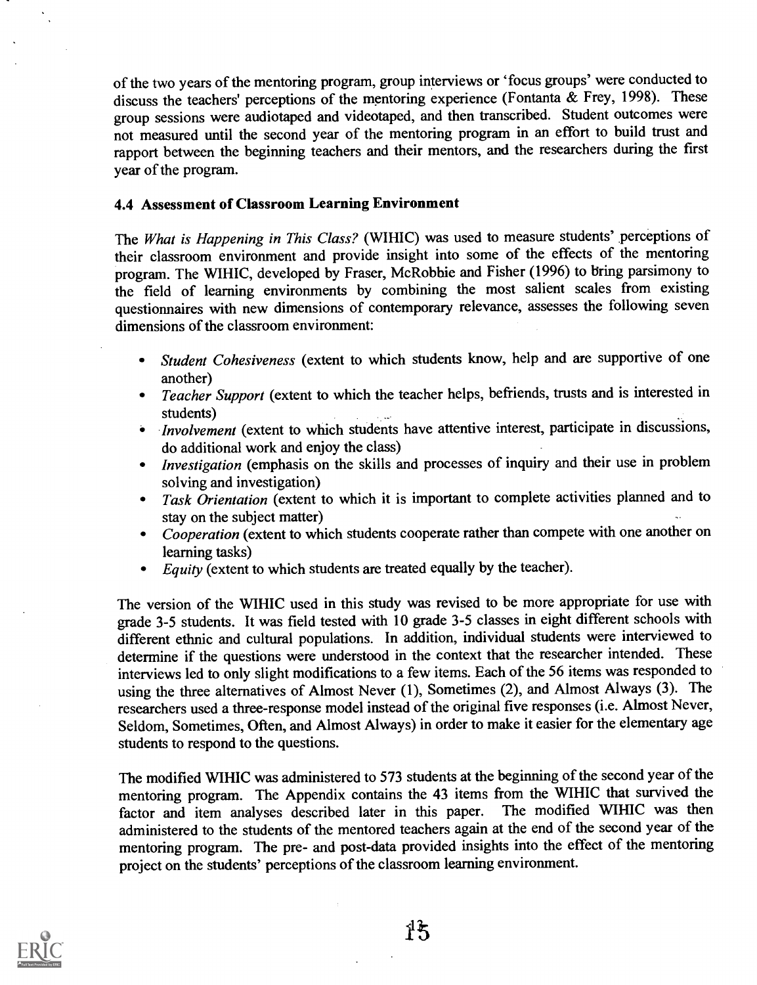of the two years of the mentoring program, group interviews or 'focus groups' were conducted to discuss the teachers' perceptions of the mentoring experience (Fontanta & Frey, 1998). These group sessions were audiotaped and videotaped, and then transcribed. Student outcomes were not measured until the second year of the mentoring program in an effort to build trust and rapport between the beginning teachers and their mentors, and the researchers during the first year of the program.

## 4.4 Assessment of Classroom Learning Environment

The What is Happening in This Class? (WIHIC) was used to measure students' perceptions of their classroom environment and provide insight into some of the effects of the mentoring program. The WIHIC, developed by Fraser, McRobhie and Fisher (1996) to bring parsimony to the field of learning environments by combining the most salient scales from existing questionnaires with new dimensions of contemporary relevance, assesses the following seven dimensions of the classroom environment:

- Student Cohesiveness (extent to which students know, help and are supportive of one another)
- Teacher Support (extent to which the teacher helps, befriends, trusts and is interested in students)
- Involvement (extent to which students have attentive interest, participate in discussions, do additional work and enjoy the class)
- Investigation (emphasis on the skills and processes of inquiry and their use in problem solving and investigation)
- Task Orientation (extent to which it is important to complete activities planned and to stay on the subject matter)
- Cooperation (extent to which students cooperate rather than compete with one another on learning tasks)
- Equity (extent to which students are treated equally by the teacher).

The version of the WIHIC used in this study was revised to be more appropriate for use with grade 3-5 students. It was field tested with 10 grade 3-5 classes in eight different schools with different ethnic and cultural populations. In addition, individual students were interviewed to determine if the questions were understood in the context that the researcher intended. These interviews led to only slight modifications to a few items. Each of the 56 items was responded to using the three alternatives of Almost Never (1), Sometimes (2), and Almost Always (3). The researchers used a three-response model instead of the original five responses (i.e. Almost Never, Seldom, Sometimes, Often, and Almost Always) in order to make it easier for the elementary age students to respond to the questions.

The modified WIHIC was administered to 573 students at the beginning of the second year of the mentoring program. The Appendix contains the 43 items from the WIHIC that survived the factor and item analyses described later in this paper. The modified WIHIC was then factor and item analyses described later in this paper. administered to the students of the mentored teachers again at the end of the second year of the mentoring program. The pre- and post-data provided insights into the effect of the mentoring project on the students' perceptions of the classroom learning environment.

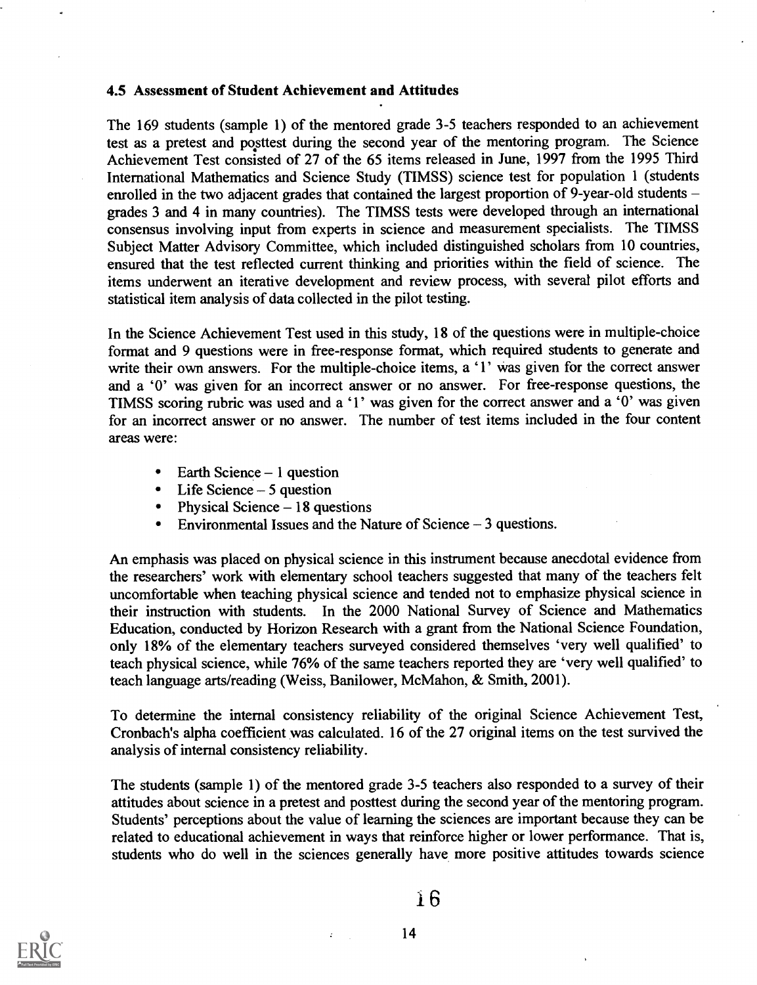### 4.5 Assessment of Student Achievement and Attitudes

The 169 students (sample 1) of the mentored grade 3-5 teachers responded to an achievement test as a pretest and posttest during the second year of the mentoring program. The Science Achievement Test consisted of 27 of the 65 items released in June, 1997 from the 1995 Third International Mathematics and Science Study (TIMSS) science test for population 1 (students enrolled in the two adjacent grades that contained the largest proportion of 9-year-old students grades 3 and 4 in many countries). The TIMSS tests were developed through an international consensus involving input from experts in science and measurement specialists. The TIMSS Subject Matter Advisory Committee, which included distinguished scholars from 10 countries, ensured that the test reflected current thinking and priorities within the field of science. The items underwent an iterative development and review process, with several pilot efforts and statistical item analysis of data collected in the pilot testing.

In the Science Achievement Test used in this study, 18 of the questions were in multiple-choice format and 9 questions were in free-response format, which required students to generate and write their own answers. For the multiple-choice items, a '1' was given for the correct answer and a '0' was given for an incorrect answer or no answer. For free-response questions, the TIMSS scoring rubric was used and a '1' was given for the correct answer and a '0' was given for an incorrect answer or no answer. The number of test items included in the four content areas were:

- Earth Science  $-1$  question  $\bullet$
- $\bullet$  Life Science  $-5$  question
- Physical Science  $-18$  questions
- Environmental Issues and the Nature of Science  $-3$  questions.  $\bullet$

An emphasis was placed on physical science in this instrument because anecdotal evidence from the researchers' work with elementary school teachers suggested that many of the teachers felt uncomfortable when teaching physical science and tended not to emphasize physical science in their instruction with students. In the 2000 National Survey of Science and Mathematics Education, conducted by Horizon Research with a grant from the National Science Foundation, only 18% of the elementary teachers surveyed considered themselves 'very well qualified' to teach physical science, while 76% of the same teachers reported they are 'very well qualified' to teach language arts/reading (Weiss, Banilower, McMahon, & Smith, 2001).

To determine the internal consistency reliability of the original Science Achievement Test, Cronbach's alpha coefficient was calculated. 16 of the 27 original items on the test survived the analysis of internal consistency reliability.

The students (sample 1) of the mentored grade 3-5 teachers also responded to a survey of their attitudes about science in a pretest and posttest during the second year of the mentoring program. Students' perceptions about the value of learning the sciences are important because they can be related to educational achievement in ways that reinforce higher or lower performance. That is, students who do well in the sciences generally have more positive attitudes towards science

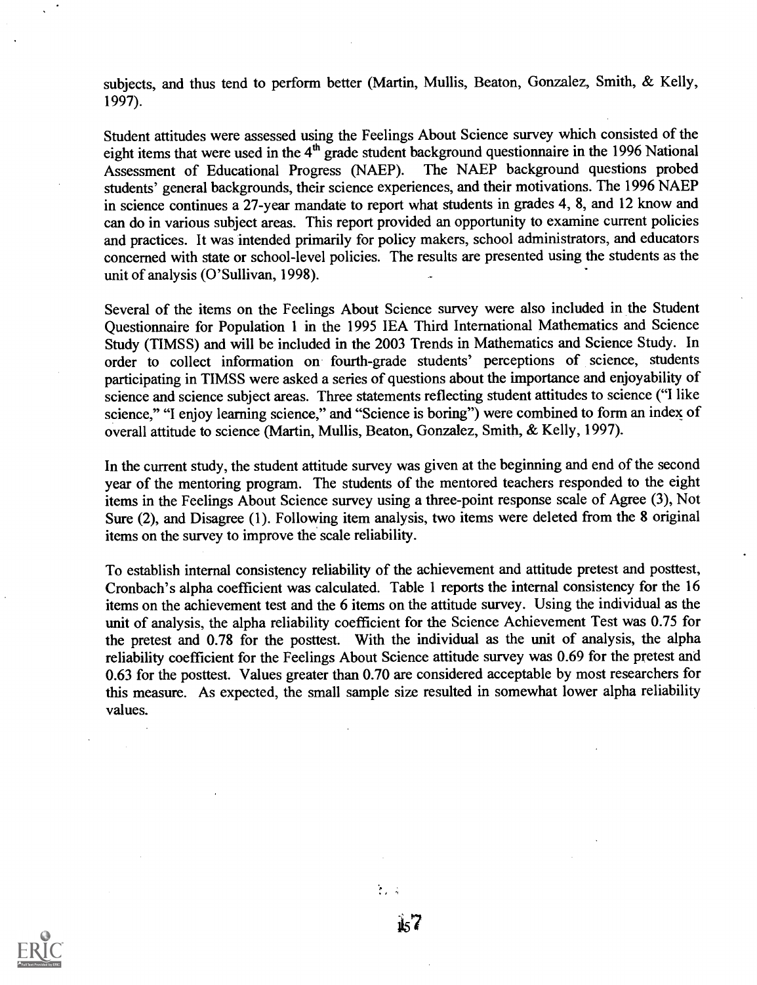subjects, and thus tend to perform better (Martin, Mullis, Beaton, Gonzalez, Smith, & Kelly, 1997).

Student attitudes were assessed using the Feelings About Science survey which consisted of the eight items that were used in the  $4<sup>th</sup>$  grade student background questionnaire in the 1996 National Assessment of Educational Progress (NAEP). The NAEP background questions probed Assessment of Educational Progress (NAEP). students' general backgrounds, their science experiences, and their motivations. The 1996 NAEP in science continues a 27-year mandate to report what students in grades 4, 8, and 12 know and can do in various subject areas. This report provided an opportunity to examine current policies and practices. It was intended primarily for policy makers, school administrators, and educators concerned with state or school-level policies. The results are presented using the students as the unit of analysis (O'Sullivan, 1998).

Several of the items on the Feelings About Science survey were also included in the Student Questionnaire for Population 1 in the 1995 IEA Third International Mathematics and Science Study (TIMSS) and will be included in the 2003 Trends in Mathematics and Science Study. In order to collect information on fourth-grade students' perceptions of science, students participating in TIMSS were asked a series of questions about the importance and enjoyability of science and science subject areas. Three statements reflecting student attitudes to science ("I like science," "I enjoy learning science," and "Science is boring") were combined to form an index of overall attitude to science (Martin, Mullis, Beaton, Gonzalez, Smith, & Kelly, 1997).

In the current study, the student attitude survey was given at the beginning and end of the second year of the mentoring program. The students of the mentored teachers responded to the eight items in the Feelings About Science survey using a three-point response scale of Agree (3), Not Sure (2), and Disagree (1). Following item analysis, two items were deleted from the 8 original items on the survey to improve the scale reliability.

To establish internal consistency reliability of the achievement and attitude pretest and posttest, Cronbach's alpha coefficient was calculated. Table 1 reports the internal consistency for the 16 items on the achievement test and the 6 items on the attitude survey. Using the individual as the unit of analysis, the alpha reliability coefficient for the Science Achievement Test was 0.75 for the pretest and 0.78 for the posttest. With the individual as the unit of analysis, the alpha reliability coefficient for the Feelings About Science attitude survey was 0.69 for the pretest and 0.63 for the posttest. Values greater than 0.70 are considered acceptable by most researchers for this measure. As expected, the small sample size resulted in somewhat lower alpha reliability values.



1157

 $\frac{1}{2} \frac{1}{2} \frac{1}{2}$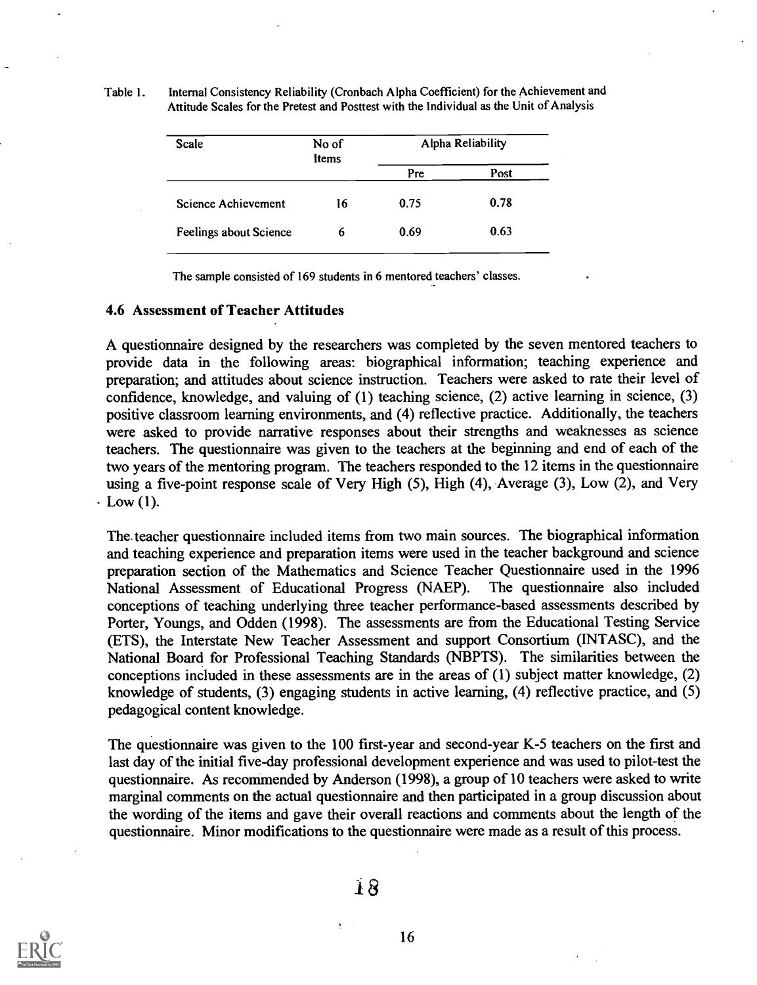Table 1. Internal Consistency Reliability (Cronbach Alpha Coefficient) for the Achievement and Attitude Scales for the Pretest and Posttest with the Individual as the Unit of Analysis

| Scale                  | No of<br>Items |      | Alpha Reliability |
|------------------------|----------------|------|-------------------|
|                        |                | Pre  | Post              |
| Science Achievement    | 16             | 0.75 | 0.78              |
| Feelings about Science | 6              | 0.69 | 0.63              |

The sample consisted of 169 students in 6 mentored teachers' classes.

## 4.6 Assessment of Teacher Attitudes

A questionnaire designed by the researchers was completed by the seven mentored teachers to provide data in the following areas: biographical information; teaching experience and preparation; and attitudes about science instruction. Teachers were asked to rate their level of confidence, knowledge, and valuing of (1) teaching science, (2) active learning in science, (3) positive classroom learning environments, and (4) reflective practice. Additionally, the teachers were asked to provide narrative responses about their strengths and weaknesses as science teachers. The questionnaire was given to the teachers at the beginning and end of each of the two years of the mentoring program. The teachers responded to the 12 items in the questionnaire using a five-point response scale of Very High (5), High (4), Average (3), Low (2), and Very  $\cdot$  Low (1).

The. teacher questionnaire included items from two main sources. The biographical information and teaching experience and preparation items were used in the teacher background and science preparation section of the Mathematics and Science Teacher Questionnaire used in the 1996 National Assessment of Educational Progress (NAEP). The questionnaire also included conceptions of teaching underlying three teacher performance-based assessments described by Porter, Youngs, and Odden (1998). The assessments are from the Educational Testing Service (ETS), the Interstate New Teacher Assessment and support Consortium (INTASC), and the National Board for Professional Teaching Standards (NBPTS). The similarities between the conceptions included in these assessments are in the areas of (1) subject matter knowledge, (2) knowledge of students, (3) engaging students in active learning, (4) reflective practice, and (5) pedagogical content knowledge.

The questionnaire was given to the 100 first-year and second-year K-5 teachers on the first and last day of the initial five-day professional development experience and was used to pilot-test the questionnaire. As recommended by Anderson (1998), a group of 10 teachers were asked to write marginal comments on the actual questionnaire and then participated in a group discussion about the wording of the items and gave their overall reactions and comments about the length of the questionnaire. Minor modifications to the questionnaire were made as a result of this process.

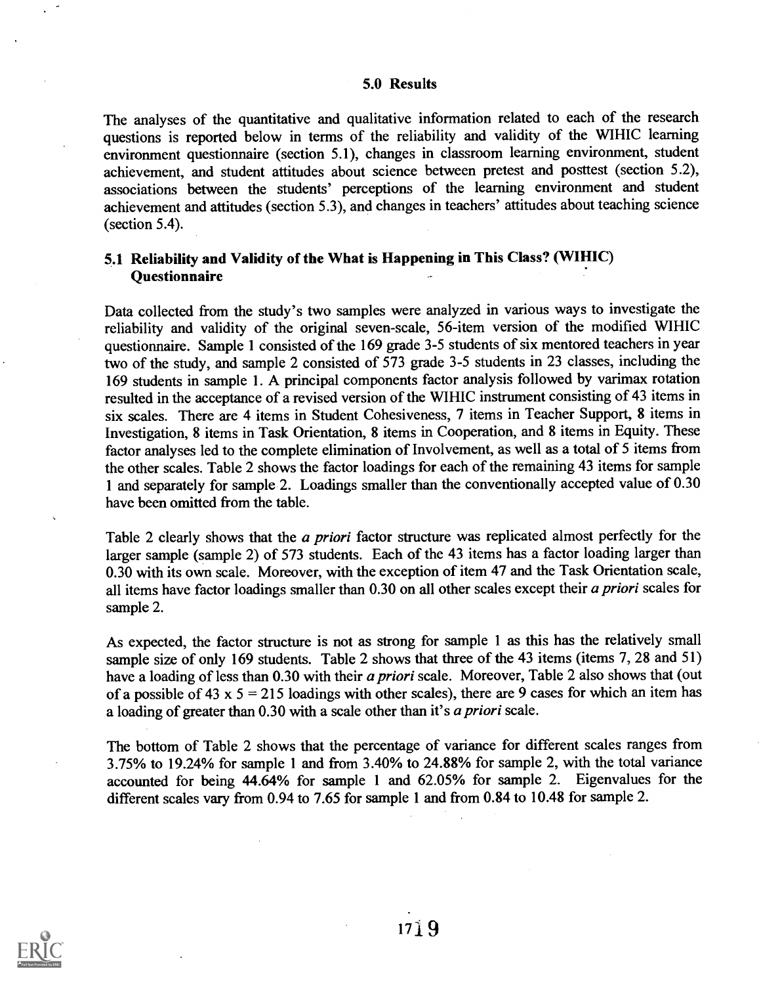### 5.0 Results

The analyses of the quantitative and qualitative information related to each of the research questions is reported below in terms of the reliability and validity of the WIHIC learning environment questionnaire (section 5.1), changes in classroom learning environment, student achievement, and student attitudes about science between pretest and posttest (section 5.2), associations between the students' perceptions of the learning environment and student achievement and attitudes (section 5.3), and changes in teachers' attitudes about teaching science (section 5.4).

## 5.1 Reliability and Validity of the What is Happening in This Class? (WIIIIC) **Ouestionnaire**

Data collected from the study's two samples were analyzed in various ways to investigate the reliability and validity of the original seven-scale, 56-item version of the modified WIHIC questionnaire. Sample 1 consisted of the 169 grade 3-5 students of six mentored teachers in year two of the study, and sample 2 consisted of 573 grade 3-5 students in 23 classes, including the 169 students in sample 1. A principal components factor analysis followed by varimax rotation resulted in the acceptance of a revised version of the WIHIC instrument consisting of 43 items in six scales. There are 4 items in Student Cohesiveness, 7 items in Teacher Support, 8 items in Investigation, 8 items in Task Orientation, 8 items in Cooperation, and 8 items in Equity. These factor analyses led to the complete elimination of Involvement, as well as a total of 5 items from the other scales. Table 2 shows the factor loadings for each of the remaining 43 items for sample 1 and separately for sample 2. Loadings smaller than the conventionally accepted value of 0.30 have been omitted from the table.

Table 2 clearly shows that the *a priori* factor structure was replicated almost perfectly for the larger sample (sample 2) of 573 students. Each of the 43 items has a factor loading larger than 0.30 with its own scale. Moreover, with the exception of item 47 and the Task Orientation scale, all items have factor loadings smaller than 0.30 on all other scales except their a priori scales for sample 2.

As expected, the factor structure is not as strong for sample 1 as this has the relatively small sample size of only 169 students. Table 2 shows that three of the 43 items (items 7, 28 and 51) have a loading of less than 0.30 with their a priori scale. Moreover, Table 2 also shows that (out of a possible of 43 x  $5 = 215$  loadings with other scales), there are 9 cases for which an item has a loading of greater than 0.30 with a scale other than it's a priori scale.

The bottom of Table 2 shows that the percentage of variance for different scales ranges from 3.75% to 19.24% for sample 1 and from 3.40% to 24.88% for sample 2, with the total variance accounted for being 44.64% for sample 1 and 62.05% for sample 2. Eigenvalues for the different scales vary from 0.94 to 7.65 for sample 1 and from 0.84 to 10.48 for sample 2.

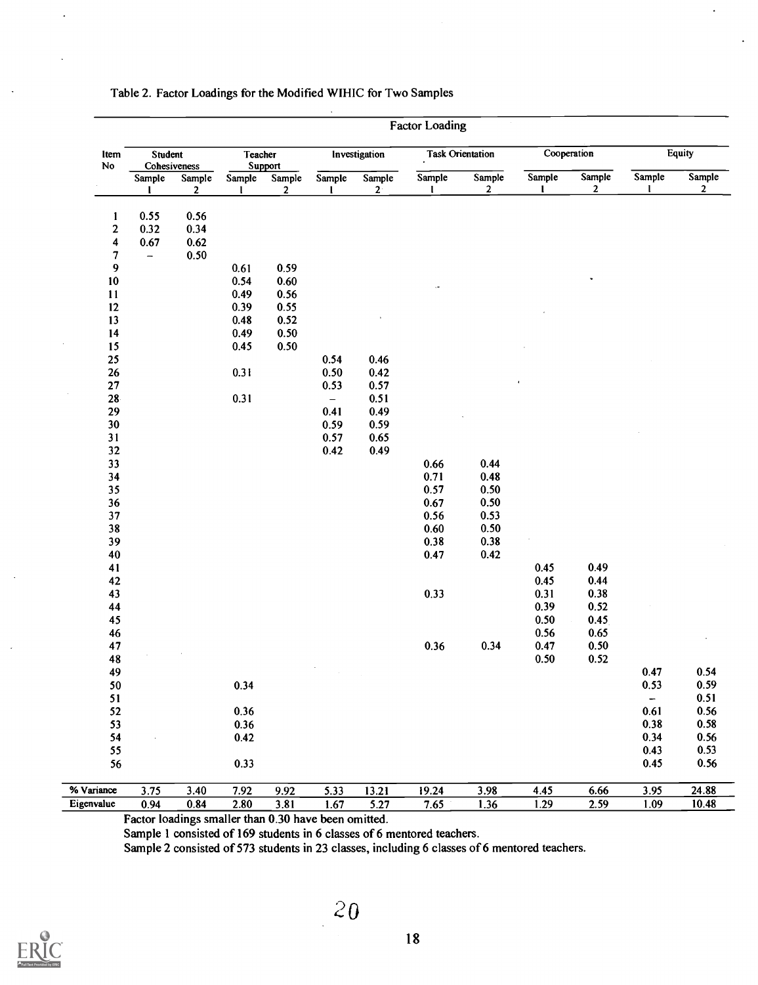| ltem<br>No          | Student<br>Cohesiveness  |                       | Teacher                | <b>Support</b>           |                          | Investigation   |                        | <b>Task Orientation</b> | Cooperation            |                        | <b>Equity</b>                    |                          |
|---------------------|--------------------------|-----------------------|------------------------|--------------------------|--------------------------|-----------------|------------------------|-------------------------|------------------------|------------------------|----------------------------------|--------------------------|
|                     | Sample<br>$\mathbf{I}$   | Sample<br>$\mathbf 2$ | Sample<br>$\mathbf{I}$ | Sample<br>$\overline{2}$ | Sample<br>$\mathbf{I}$   | Sample<br>$2^+$ | Sample<br>$\mathbf{I}$ | Sample<br>$\mathbf{2}$  | Sample<br>$\mathbf{I}$ | Sample<br>$\mathbf{2}$ | Sample<br>$\mathbf{I}$           | Sample<br>$\overline{2}$ |
| 1                   | 0.55                     | 0.56                  |                        |                          |                          |                 |                        |                         |                        |                        |                                  |                          |
| $\mathbf 2$         | 0.32                     | 0.34                  |                        |                          |                          |                 |                        |                         |                        |                        |                                  |                          |
| $\ddot{\mathbf{4}}$ | 0.67                     | 0.62                  |                        |                          |                          |                 |                        |                         |                        |                        |                                  |                          |
| 7                   | $\overline{\phantom{m}}$ | 0.50                  |                        |                          |                          |                 |                        |                         |                        |                        |                                  |                          |
| 9                   |                          |                       | 0.61                   | 0.59                     |                          |                 |                        |                         |                        |                        |                                  |                          |
| 10                  |                          |                       | 0.54                   | 0.60                     |                          |                 |                        |                         |                        |                        |                                  |                          |
| 11                  |                          |                       | 0.49                   | 0.56                     |                          |                 | $\cdot$                |                         |                        |                        |                                  |                          |
| 12                  |                          |                       | 0.39                   | 0.55                     |                          |                 |                        |                         |                        |                        |                                  |                          |
| 13                  |                          |                       | 0.48                   | 0.52                     |                          |                 |                        |                         |                        |                        |                                  |                          |
| 14                  |                          |                       | 0.49                   | 0.50                     |                          |                 |                        |                         |                        |                        |                                  |                          |
| 15                  |                          |                       | 0.45                   | 0.50                     |                          |                 |                        |                         |                        |                        |                                  |                          |
| 25                  |                          |                       |                        |                          | 0.54                     | 0.46            |                        |                         |                        |                        |                                  |                          |
| 26                  |                          |                       | 0.31                   |                          | 0.50                     | 0.42            |                        |                         |                        |                        |                                  |                          |
| ${\bf 27}$          |                          |                       |                        |                          | 0.53                     | 0.57            |                        |                         |                        |                        |                                  |                          |
| $28 -$              |                          |                       | 0.31                   |                          | $\overline{\phantom{0}}$ | 0.51            |                        |                         |                        |                        |                                  |                          |
| 29                  |                          |                       |                        |                          | 0.41                     | 0.49            |                        |                         |                        |                        |                                  |                          |
| 30                  |                          |                       |                        |                          | 0.59                     | 0.59            |                        |                         |                        |                        |                                  |                          |
| 31                  |                          |                       |                        |                          | 0.57                     | 0.65            |                        |                         |                        |                        |                                  |                          |
| 32                  |                          |                       |                        |                          | 0.42                     | 0.49            |                        |                         |                        |                        |                                  |                          |
| 33                  |                          |                       |                        |                          |                          |                 | 0.66                   | 0.44                    |                        |                        |                                  |                          |
| 34                  |                          |                       |                        |                          |                          |                 | 0.71                   | 0.48                    |                        |                        |                                  |                          |
| 35                  |                          |                       |                        |                          |                          |                 | 0.57                   | $0.50\,$                |                        |                        |                                  |                          |
| 36                  |                          |                       |                        |                          |                          |                 | 0.67                   | 0.50                    |                        |                        |                                  |                          |
| 37                  |                          |                       |                        |                          |                          |                 | 0.56                   | 0.53                    |                        |                        |                                  |                          |
| 38                  |                          |                       |                        |                          |                          |                 | 0.60                   | $0.50\,$                |                        |                        |                                  |                          |
| 39                  |                          |                       |                        |                          |                          |                 | 0.38                   | 0.38                    |                        |                        |                                  |                          |
| 40                  |                          |                       |                        |                          |                          |                 | 0.47                   | 0.42                    |                        |                        |                                  |                          |
| 41                  |                          |                       |                        |                          |                          |                 |                        |                         | 0.45                   | 0.49                   |                                  |                          |
| 42                  |                          |                       |                        |                          |                          |                 |                        |                         | 0.45                   | 0.44                   |                                  |                          |
| 43                  |                          |                       |                        |                          |                          |                 | 0.33                   |                         | 0.31                   | 0.38                   |                                  |                          |
| 44                  |                          |                       |                        |                          |                          |                 |                        |                         | 0.39                   | 0.52                   |                                  |                          |
| 45                  |                          |                       |                        |                          |                          |                 |                        |                         | 0.50                   | 0.45                   |                                  |                          |
| 46                  |                          |                       |                        |                          |                          |                 |                        |                         | 0.56                   | 0.65                   |                                  |                          |
| 47                  |                          |                       |                        |                          |                          |                 | 0.36                   | 0.34                    | 0.47                   | $0.50\,$               |                                  |                          |
| 48                  |                          |                       |                        |                          |                          |                 |                        |                         | 0.50                   | 0.52                   |                                  |                          |
| 49                  |                          |                       |                        |                          |                          |                 |                        |                         |                        |                        | 0.47                             | 0.54                     |
|                     |                          |                       |                        |                          |                          |                 |                        |                         |                        |                        |                                  |                          |
| 50<br>51            |                          |                       | 0.34                   |                          |                          |                 |                        |                         |                        |                        | 0.53<br>$\overline{\phantom{a}}$ | 0.59<br>0.51             |
| 52                  |                          |                       | 0.36                   |                          |                          |                 |                        |                         |                        |                        | 0.61                             | 0.56                     |
|                     |                          |                       |                        |                          |                          |                 |                        |                         |                        |                        | 0.38                             | 0.58                     |
| 53                  |                          |                       | 0.36                   |                          |                          |                 |                        |                         |                        |                        |                                  |                          |
| 54                  |                          |                       | 0.42                   |                          |                          |                 |                        |                         |                        |                        | 0.34                             | 0.56                     |
| 55                  |                          |                       |                        |                          |                          |                 |                        |                         |                        |                        | 0.43                             | 0.53                     |
| 56                  |                          |                       | 0.33                   |                          |                          |                 |                        |                         |                        |                        | 0.45                             | 0.56                     |
| % Variance          | 3.75                     | 3.40                  | 7.92                   | 9.92                     | 5.33                     | 13.21           | 19.24                  | 3.98                    | 4.45                   | 6.66                   | 3.95                             | 24.88                    |
| Eigenvalue          | 0.94                     | 0.84                  | 2.80                   | 3.81                     | 1.67                     | 5.27            | 7.65                   | 1.36                    | $\overline{1.29}$      | 2.59                   | 1.09                             | 10.48                    |

#### Table 2. Factor Loadings for the Modified WIHIC for Two Samples

Factor loadings smaller than 0.30 have been omitted.

Sample 1 consisted of 169 students in 6 classes of 6 mentored teachers.

Sample 2 consisted of 573 students in 23 classes, including 6 classes of 6 mentored teachers.

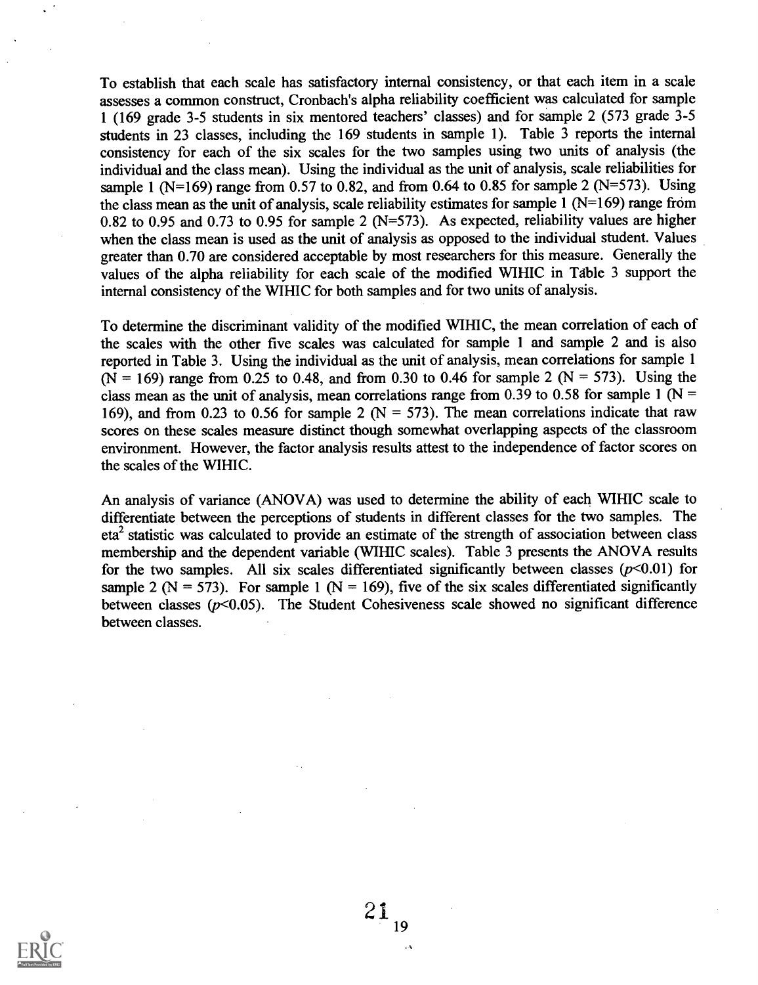To establish that each scale has satisfactory internal consistency, or that each item in a scale assesses a common construct, Cronbach's alpha reliability coefficient was calculated for sample 1 (169 grade 3-5 students in six mentored teachers' classes) and for sample 2 (573 grade 3-5 students in 23 classes, including the 169 students in sample 1). Table 3 reports the internal consistency for each of the six scales for the two samples using two units of analysis (the individual and the class mean). Using the individual as the unit of analysis, scale reliabilities for sample 1 (N=169) range from 0.57 to 0.82, and from 0.64 to 0.85 for sample 2 (N=573). Using the class mean as the unit of analysis, scale reliability estimates for sample  $1 (N=169)$  range from 0.82 to 0.95 and 0.73 to 0.95 for sample 2 (N=573). As expected, reliability values are higher when the class mean is used as the unit of analysis as opposed to the individual student. Values greater than 0.70 are considered acceptable by most researchers for this measure. Generally the values of the alpha reliability for each scale of the modified WIHIC in Table 3 support the internal consistency of the WIHIC for both samples and for two units of analysis.

To determine the discriminant validity of the modified WIHIC, the mean correlation of each of the scales with the other five scales was calculated for sample 1 and sample 2 and is also reported in Table 3. Using the individual as the unit of analysis, mean correlations for sample 1 (N = 169) range from 0.25 to 0.48, and from 0.30 to 0.46 for sample 2 (N = 573). Using the class mean as the unit of analysis, mean correlations range from 0.39 to 0.58 for sample 1 ( $N =$ 169), and from 0.23 to 0.56 for sample 2 ( $N = 573$ ). The mean correlations indicate that raw scores on these scales measure distinct though somewhat overlapping aspects of the classroom environment. However, the factor analysis results attest to the independence of factor scores on the scales of the WIHIC.

An analysis of variance (ANOVA) was used to determine the ability of each WIHIC scale to differentiate between the perceptions of students in different classes for the two samples. The  $eta<sup>2</sup>$  statistic was calculated to provide an estimate of the strength of association between class membership and the dependent variable (WIHIC scales). Table 3 presents the ANOVA results for the two samples. All six scales differentiated significantly between classes  $(p<0.01)$  for sample 2 ( $N = 573$ ). For sample 1 ( $N = 169$ ), five of the six scales differentiated significantly between classes  $(p<0.05)$ . The Student Cohesiveness scale showed no significant difference between classes.

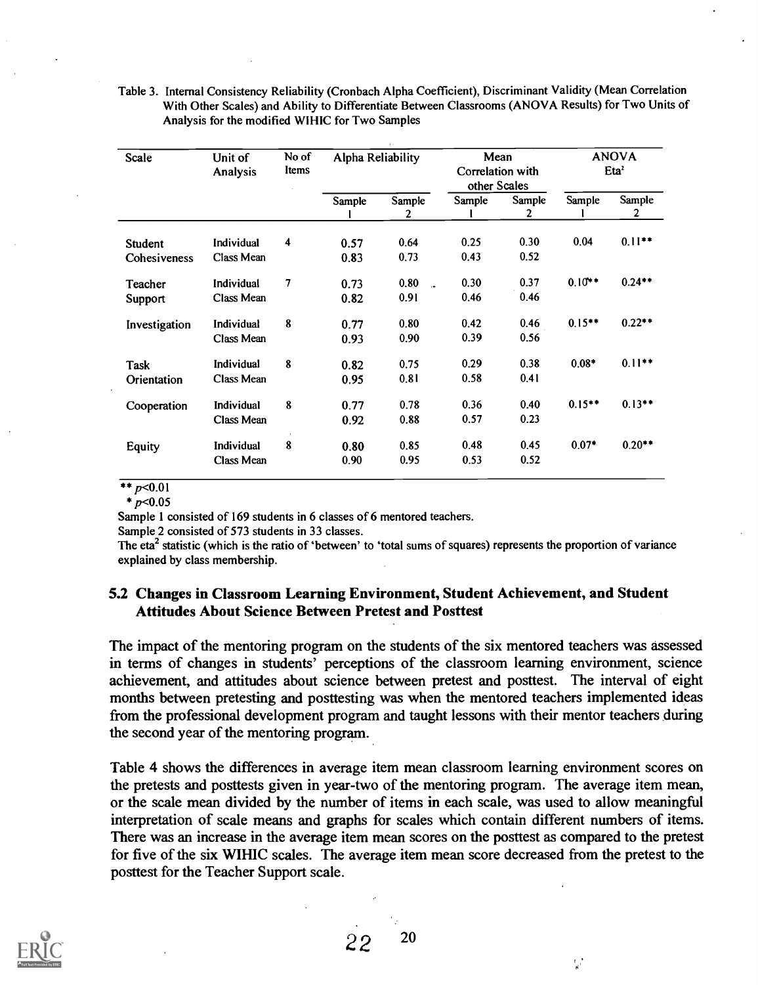| Scale          | Unit of<br>Analysis | No of<br>Items | Alpha Reliability<br>Mean<br>Correlation with<br>other Scales |                      |        |             |           |             |  | <b>ANOVA</b><br>Eta <sup>2</sup> |
|----------------|---------------------|----------------|---------------------------------------------------------------|----------------------|--------|-------------|-----------|-------------|--|----------------------------------|
|                |                     |                | Sample                                                        | Sample               | Sample | Sample<br>2 | Sample    | Sample<br>2 |  |                                  |
|                |                     |                |                                                               | 2                    |        |             |           |             |  |                                  |
| <b>Student</b> | Individual          | 4              | 0.57                                                          | 0.64                 | 0.25   | 0.30        | 0.04      | $0.11***$   |  |                                  |
| Cohesiveness   | Class Mean          |                | 0.83                                                          | 0.73                 | 0.43   | 0.52        |           |             |  |                                  |
| Teacher        | Individual          | $\overline{7}$ | 0.73                                                          | 0.80<br>$\mathbf{r}$ | 0.30   | 0.37        | $0.10**$  | $0.24***$   |  |                                  |
| Support        | Class Mean          |                | 0.82                                                          | 0.91                 | 0.46   | 0.46        |           |             |  |                                  |
| Investigation  | Individual          | 8              | 0.77                                                          | 0.80                 | 0.42   | 0.46        | $0.15***$ | $0.22***$   |  |                                  |
|                | Class Mean          |                | 0.93                                                          | 0.90                 | 0.39   | 0.56        |           |             |  |                                  |
| <b>Task</b>    | Individual          | 8              | 0.82                                                          | 0.75                 | 0.29   | 0.38        | $0.08*$   | $0.11***$   |  |                                  |
| Orientation    | Class Mean          |                | 0.95                                                          | 0.81                 | 0.58   | 0.41        |           |             |  |                                  |
| Cooperation    | <b>Individual</b>   | 8              | 0.77                                                          | 0.78                 | 0.36   | 0.40        | $0.15***$ | $0.13***$   |  |                                  |
|                | Class Mean          |                | 0.92                                                          | 0.88                 | 0.57   | 0.23        |           |             |  |                                  |
| Equity         | Individual          | 8              | 0.80                                                          | 0.85                 | 0.48   | 0.45        | $0.07*$   | $0.20**$    |  |                                  |
|                | Class Mean          |                | 0.90                                                          | 0.95                 | 0.53   | 0.52        |           |             |  |                                  |

Table 3. Internal Consistency Reliability (Cronbach Alpha Coefficient), Discriminant Validity (Mean Correlation With Other Scales) and Ability to Differentiate Between Classrooms (ANOVA Results) for Two Units of Analysis for the modified WIHIC for Two Samples

 $* p < 0.01$ 

 $*_{p<0.05}$ 

Sample I consisted of 169 students in 6 classes of 6 mentored teachers.

Sample 2 consisted of 573 students in 33 classes.

The eta<sup>2</sup> statistic (which is the ratio of 'between' to 'total sums of squares) represents the proportion of variance explained by class membership.

## 5.2 Changes in Classroom Learning Environment, Student Achievement, and Student Attitudes About Science Between Pretest and Posttest

The impact of the mentoring program on the students of the six mentored teachers was assessed in terms of changes in students' perceptions of the classroom learning environment, science achievement, and attitudes about science between pretest and posttest. The interval of eight months between pretesting and posttesting was when the mentored teachers implemented ideas from the professional development program and taught lessons with their mentor teachers during the second year of the mentoring program.

Table 4 shows the differences in average item mean classroom learning environment scores on the pretests and posttests given in year-two of the mentoring program. The average item mean, or the scale mean divided by the number of items in each scale, was used to allow meaningful interpretation of scale means and graphs for scales which contain different numbers of items. There was an increase in the average item mean scores on the posttest as compared to the pretest for five of the six WIHIC scales. The average item mean score decreased from the pretest to the posttest for the Teacher Support scale.

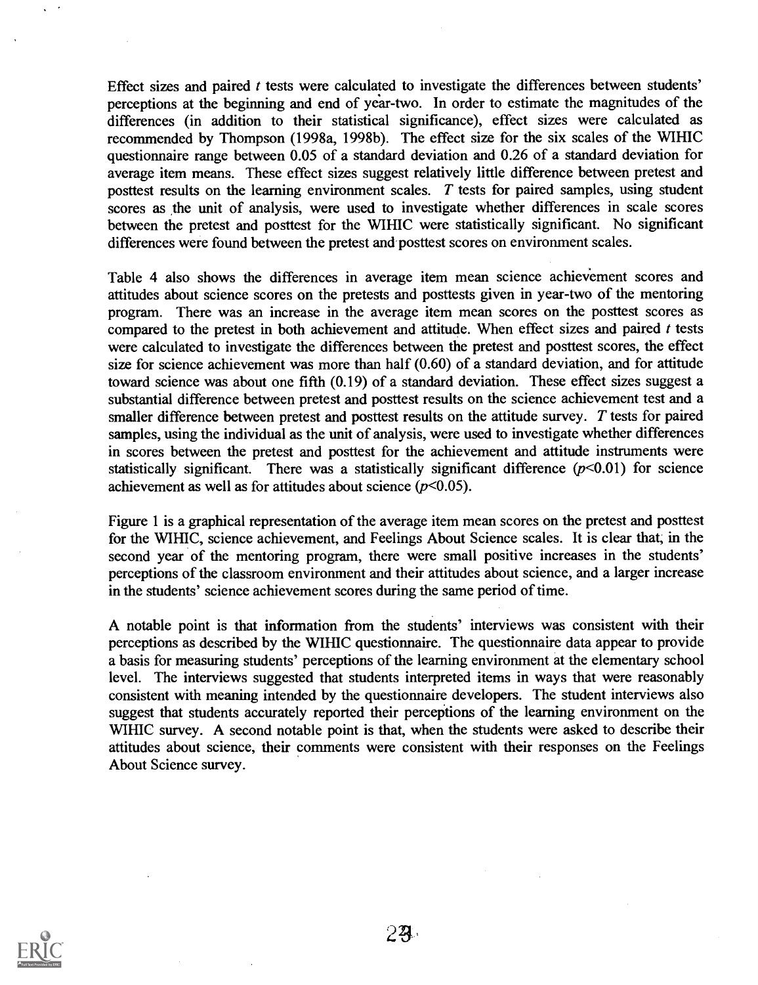Effect sizes and paired t tests were calculated to investigate the differences between students' perceptions at the beginning and end of year-two. In order to estimate the magnitudes of the differences (in addition to their statistical significance), effect sizes were calculated as recommended by Thompson (1998a, 1998b). The effect size for the six scales of the WIHIC questionnaire range between 0.05 of a standard deviation and 0.26 of a standard deviation for average item means. These effect sizes suggest relatively little difference between pretest and posttest results on the learning environment scales. T tests for paired samples, using student scores as the unit of analysis, were used to investigate whether differences in scale scores between the pretest and posttest for the WIHIC were statistically significant. No significant differences were found between the pretest and posttest scores on environment scales.

Table 4 also shows the differences in average item mean science achievement scores and attitudes about science scores on the pretests and posttests given in year-two of the mentoring program. There was an increase in the average item mean scores on the posttest scores as compared to the pretest in both achievement and attitude. When effect sizes and paired  $t$  tests were calculated to investigate the differences between the pretest and posttest scores, the effect size for science achievement was more than half (0.60) of a standard deviation, and for attitude toward science was about one fifth (0.19) of a standard deviation. These effect sizes suggest a substantial difference between pretest and posttest results on the science achievement test and a smaller difference between pretest and posttest results on the attitude survey. T tests for paired samples, using the individual as the unit of analysis, were used to investigate whether differences in scores between the pretest and posttest for the achievement and attitude instruments were statistically significant. There was a statistically significant difference  $(p<0.01)$  for science achievement as well as for attitudes about science  $(p<0.05)$ .

Figure 1 is a graphical representation of the average item mean scores on the pretest and posttest for the WIHIC, science achievement, and Feelings About Science scales. It is clear that, in the second year of the mentoring program, there were small positive increases in the students' perceptions of the classroom environment and their attitudes about science, and a larger increase in the students' science achievement scores during the same period of time.

A notable point is that information from the students' interviews was consistent with their perceptions as described by the WIHIC questionnaire. The questionnaire data appear to provide a basis for measuring students' perceptions of the learning environment at the elementary school level. The interviews suggested that students interpreted items in ways that were reasonably consistent with meaning intended by the questionnaire developers. The student interviews also suggest that students accurately reported their perceptions of the learning environment on the WIHIC survey. A second notable point is that, when the students were asked to describe their attitudes about science, their comments were consistent with their responses on the Feelings About Science survey.

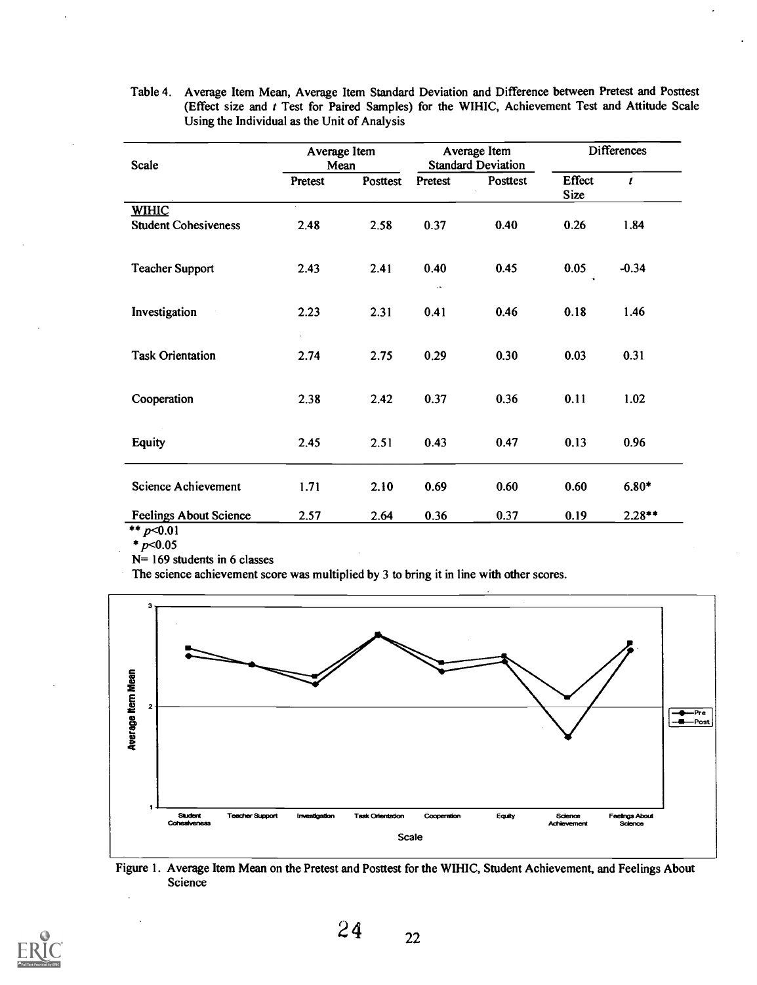| <b>Scale</b>                                | Average Item<br>Mean |          |                 | Average Item<br><b>Standard Deviation</b> | <b>Differences</b>           |                  |  |
|---------------------------------------------|----------------------|----------|-----------------|-------------------------------------------|------------------------------|------------------|--|
|                                             | Pretest              | Posttest | Pretest         | Posttest                                  | <b>Effect</b><br><b>Size</b> | $\boldsymbol{t}$ |  |
| <b>WIHIC</b><br><b>Student Cohesiveness</b> | 2.48                 | 2.58     | 0.37            | 0.40                                      | 0.26                         | 1.84             |  |
| <b>Teacher Support</b>                      | 2.43                 | 2.41     | 0.40<br>$\cdot$ | 0.45                                      | 0.05                         | $-0.34$          |  |
| Investigation                               | 2.23                 | 2.31     | 0.41            | 0.46                                      | 0.18                         | 1.46             |  |
| <b>Task Orientation</b>                     | ä,<br>2.74           | 2.75     | 0.29            | 0.30                                      | 0.03                         | 0.31             |  |
| Cooperation                                 | 2.38                 | 2.42     | 0.37            | 0.36                                      | 0.11                         | 1.02             |  |
| <b>Equity</b>                               | 2.45                 | 2.51     | 0.43            | 0.47                                      | 0.13                         | 0.96             |  |
| <b>Science Achievement</b>                  | 1.71                 | 2.10     | 0.69            | 0.60                                      | 0.60                         | $6.80*$          |  |
| <b>Feelings About Science</b><br>$**n$ 01   | 2.57                 | 2.64     | 0.36            | 0.37                                      | 0.19                         | $2.28**$         |  |

Table 4. Average Item Mean, Average Item Standard Deviation and Difference between Pretest and Posttest (Effect size and t Test for Paired Samples) for the WIHIC, Achievement Test and Attitude Scale Using the Individual as the Unit of Analysis

 $p$ < $0.01$  $*_{p<0.05}$ 

N= 169 students in 6 classes

The science achievement score was multiplied by 3 to bring it in line with other scores.



Figure 1. Average Item Mean on the Pretest and Posttest for the WIHIC, Student Achievement, and Feelings About Science

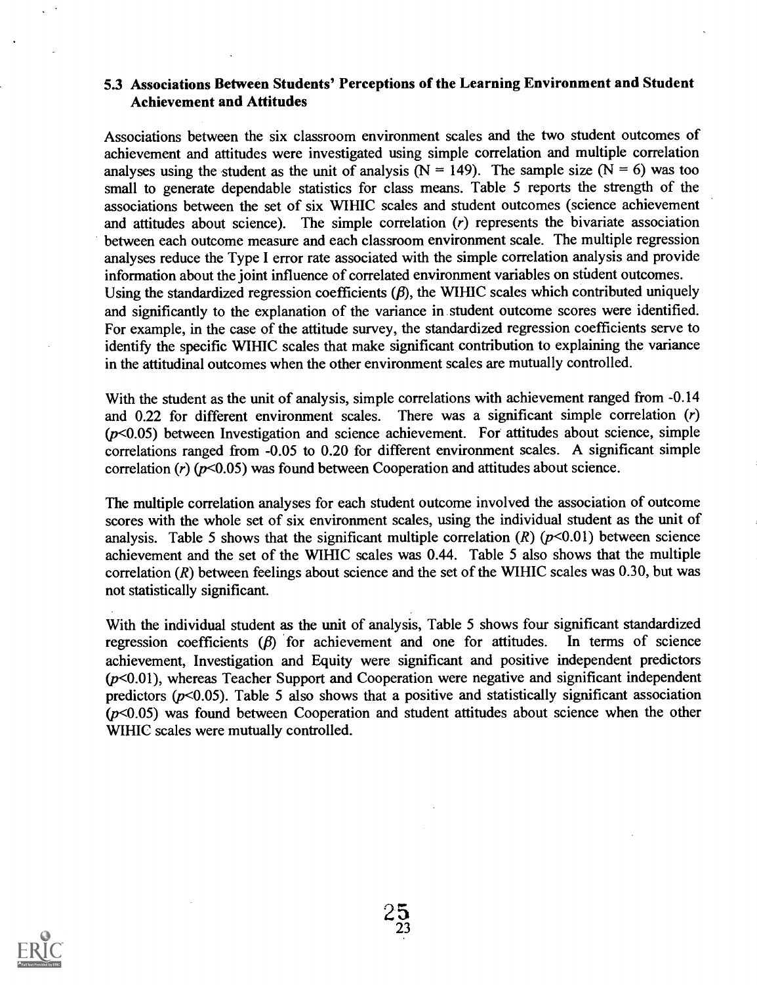## 5.3 Associations Between Students' Perceptions of the Learning Environment and Student Achievement and Attitudes

Associations between the six classroom environment scales and the two student outcomes of achievement and attitudes were investigated using simple correlation and multiple correlation analyses using the student as the unit of analysis ( $N = 149$ ). The sample size ( $N = 6$ ) was too small to generate dependable statistics for class means. Table 5 reports the strength of the associations between the set of six WIHIC scales and student outcomes (science achievement and attitudes about science). The simple correlation  $(r)$  represents the bivariate association between each outcome measure and each classroom environment scale. The multiple regression analyses reduce the Type I error rate associated with the simple correlation analysis and provide information about the joint influence of correlated environment variables on student outcomes. Using the standardized regression coefficients  $(\beta)$ , the WIHIC scales which contributed uniquely and significantly to the explanation of the variance in student outcome scores were identified. For example, in the case of the attitude survey, the standardized regression coefficients serve to identify the specific WIHIC scales that make significant contribution to explaining the variance in the attitudinal outcomes when the other environment scales are mutually controlled.

With the student as the unit of analysis, simple correlations with achievement ranged from -0.14 and 0.22 for different environment scales. There was a significant simple correlation (r)  $(p<0.05)$  between Investigation and science achievement. For attitudes about science, simple correlations ranged from -0.05 to 0.20 for different environment scales. A significant simple correlation  $(r)$  ( $p$ <0.05) was found between Cooperation and attitudes about science.

The multiple correlation analyses for each student outcome involved the association of outcome scores with the whole set of six environment scales, using the individual student as the unit of analysis. Table 5 shows that the significant multiple correlation  $(R)$  ( $p<0.01$ ) between science achievement and the set of the WIHIC scales was 0.44. Table 5 also shows that the multiple correlation (R) between feelings about science and the set of the WIHIC scales was 0.30, but was not statistically significant.

With the individual student as the unit of analysis, Table 5 shows four significant standardized regression coefficients  $(\beta)$  for achievement and one for attitudes. In terms of science achievement, Investigation and Equity were significant and positive independent predictors  $(p<0.01)$ , whereas Teacher Support and Cooperation were negative and significant independent predictors ( $p<0.05$ ). Table 5 also shows that a positive and statistically significant association  $(p<0.05)$  was found between Cooperation and student attitudes about science when the other WIHIC scales were mutually controlled.

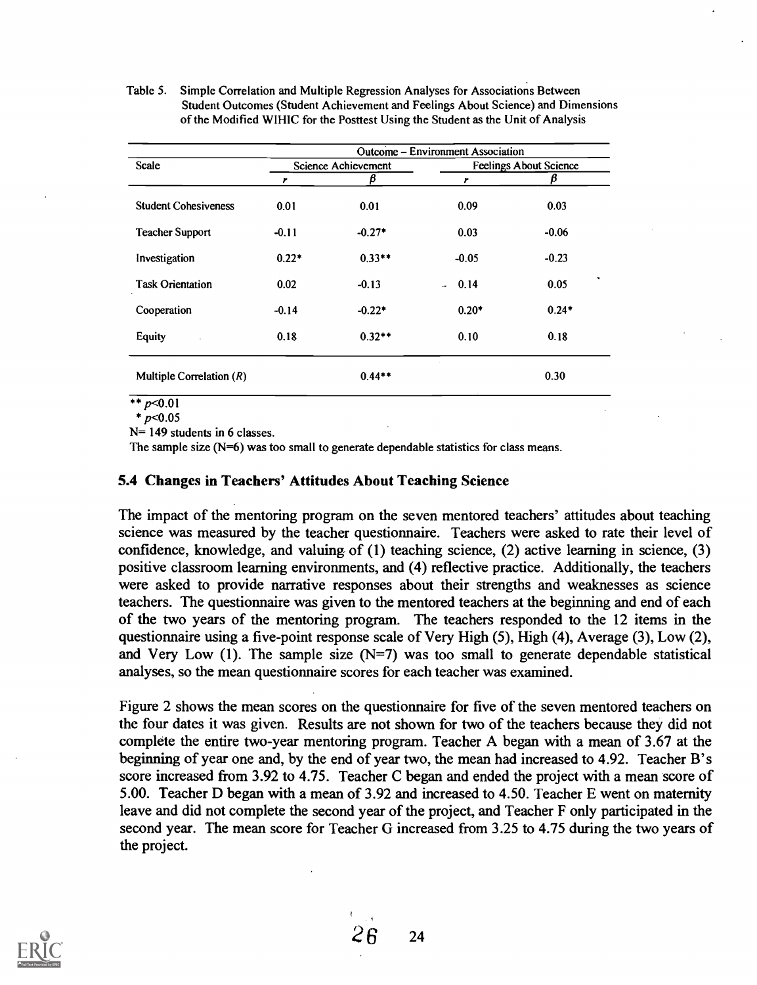Table 5. Simple Correlation and Multiple Regression Analyses for Associations Between Student Outcomes (Student Achievement and Feelings About Science) and Dimensions of the Modified WIHIC for the Posttest Using the Student as the Unit of Analysis

|                             |         |                            | Outcome – Environment Association |                               |
|-----------------------------|---------|----------------------------|-----------------------------------|-------------------------------|
| <b>Scale</b>                |         | <b>Science Achievement</b> |                                   | <b>Feelings About Science</b> |
|                             | r       | β                          | r                                 | β                             |
| <b>Student Cohesiveness</b> | 0.01    | 0.01                       | 0.09                              | 0.03                          |
| <b>Teacher Support</b>      | $-0.11$ | $-0.27*$                   | 0.03                              | $-0.06$                       |
| Investigation               | $0.22*$ | $0.33**$                   | $-0.05$                           | $-0.23$                       |
| <b>Task Orientation</b>     | 0.02    | $-0.13$                    | 0.14<br>$\mathbf{r}$              | 0.05                          |
| Cooperation                 | $-0.14$ | $-0.22*$                   | $0.20*$                           | $0.24*$                       |
| <b>Equity</b>               | 0.18    | $0.32**$                   | 0.10                              | 0.18                          |
| Multiple Correlation $(R)$  |         | $0.44**$                   |                                   | 0.30                          |

\*\*  $p<0.01$ 

 $* p < 0.05$ 

N= 149 students in 6 classes.

The sample size (N=6) was too small to generate dependable statistics for class means.

## 5.4 Changes in Teachers' Attitudes About Teaching Science

The impact of the mentoring program on the seven mentored teachers' attitudes about teaching science was measured by the teacher questionnaire. Teachers were asked to rate their level of confidence, knowledge, and valuing of  $(1)$  teaching science,  $(2)$  active learning in science,  $(3)$ positive classroom learning environments, and (4) reflective practice. Additionally, the teachers were asked to provide narrative responses about their strengths and weaknesses as science teachers. The questionnaire was given to the mentored teachers at the beginning and end of each of the two years of the mentoring program. The teachers responded to the 12 items in the questionnaire using a five-point response scale of Very High (5), High (4), Average (3), Low (2), and Very Low (1). The sample size  $(N=7)$  was too small to generate dependable statistical analyses, so the mean questionnaire scores for each teacher was examined.

Figure 2 shows the mean scores on the questionnaire for five of the seven mentored teachers on the four dates it was given. Results are not shown for two of the teachers because they did not complete the entire two-year mentoring program. Teacher A began with a mean of 3.67 at the beginning of year one and, by the end of year two, the mean had increased to 4.92. Teacher B's score increased from 3.92 to 4.75. Teacher C began and ended the project with a mean score of 5.00. Teacher D began with a mean of 3.92 and increased to 4.50. Teacher E went on maternity leave and did not complete the second year of the project, and Teacher F only participated in the second year. The mean score for Teacher G increased from 3.25 to 4.75 during the two years of the project.

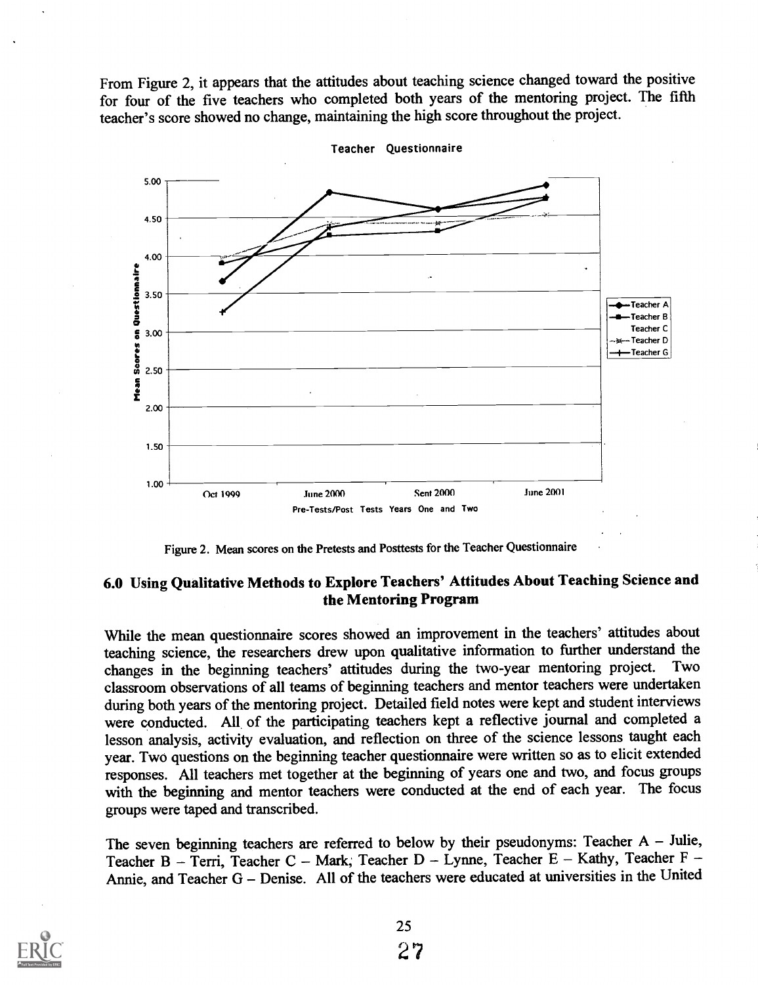From Figure 2, it appears that the attitudes about teaching science changed toward the positive for four of the five teachers who completed both years of the mentoring project. The fifth teacher's score showed no change, maintaining the high score throughout the project.



Teacher Questionnaire

Figure 2. Mean scores on the Pretests and Posttests for the Teacher Questionnaire

## 6.0 Using Qualitative Methods to Explore Teachers' Attitudes About Teaching Science and the Mentoring Program

While the mean questionnaire scores showed an improvement in the teachers' attitudes about teaching science, the researchers drew upon qualitative information to further understand the changes in the beginning teachers' attitudes during the two-year mentoring project. Two changes in the beginning teachers' attitudes during the two-year mentoring project. classroom observations of all teams of beginning teachers and mentor teachers were undertaken during both years of the mentoring project. Detailed field notes were kept and student interviews were conducted. All of the participating teachers kept a reflective journal and completed a lesson analysis, activity evaluation, and reflection on three of the science lessons taught each year. Two questions on the beginning teacher questionnaire were written so as to elicit extended responses. All teachers met together at the beginning of years one and two, and focus groups with the beginning and mentor teachers were conducted at the end of each year. The focus groups were taped and transcribed.

The seven beginning teachers are referred to below by their pseudonyms: Teacher  $A -$  Julie, Teacher B - Terri, Teacher C - Mark; Teacher D - Lynne, Teacher E - Kathy, Teacher F -Annie, and Teacher  $G -$  Denise. All of the teachers were educated at universities in the United

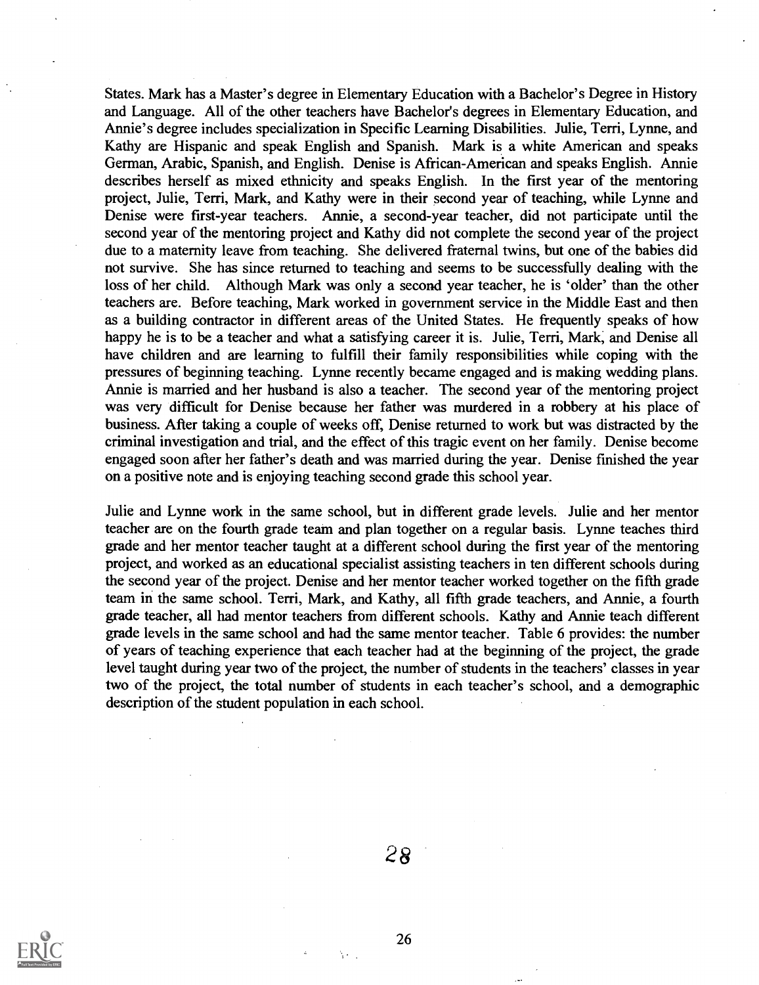States. Mark has a Master's degree in Elementary Education with a Bachelor's Degree in History and Language. All of the other teachers have Bachelor's degrees in Elementary Education, and Annie's degree includes specialization in Specific Learning Disabilities. Julie, Terri, Lynne, and Kathy are Hispanic and speak English and Spanish. Mark is a white American and speaks German, Arabic, Spanish, and English. Denise is African-American and speaks English. Annie describes herself as mixed ethnicity and speaks English. In the first year of the mentoring project, Julie, Terri, Mark, and Kathy were in their second year of teaching, while Lynne and Denise were first-year teachers. Annie, a second-year teacher, did not participate until the second year of the mentoring project and Kathy did not complete the second year of the project due to a maternity leave from teaching. She delivered fraternal twins, but one of the babies did not survive. She has since returned to teaching and seems to be successfully dealing with the loss of her child. Although Mark was only a second year teacher, he is 'older' than the other teachers are. Before teaching, Mark worked in government service in the Middle East and then as a building contractor in different areas of the United States. He frequently speaks of how happy he is to be a teacher and what a satisfying career it is. Julie, Terri, Mark, and Denise all have children and are learning to fulfill their family responsibilities while coping with the pressures of beginning teaching. Lynne recently became engaged and is making wedding plans. Annie is married and her husband is also a teacher. The second year of the mentoring project was very difficult for Denise because her father was murdered in a robbery at his place of business. After taking a couple of weeks off, Denise returned to work but was distracted by the criminal investigation and trial, and the effect of this tragic event on her family. Denise become engaged soon after her father's death and was married during the year. Denise finished the year on a positive note and is enjoying teaching second grade this school year.

Julie and Lynne work in the same school, but in different grade levels. Julie and her mentor teacher are on the fourth grade team and plan together on a regular basis. Lynne teaches third grade and her mentor teacher taught at a different school during the first year of the mentoring project, and worked as an educational specialist assisting teachers in ten different schools during the second year of the project. Denise and her mentor teacher worked together on the fifth grade team in the same school. Terri, Mark, and Kathy, all fifth grade teachers, and Annie, a fourth grade teacher, all had mentor teachers from different schools. Kathy and Annie teach different grade levels in the same school and had the same mentor teacher. Table 6 provides: the number of years of teaching experience that each teacher had at the beginning of the project, the grade level taught during year two of the project, the number of students in the teachers' classes in year two of the project, the total number of students in each teacher's school, and a demographic description of the student population in each school.

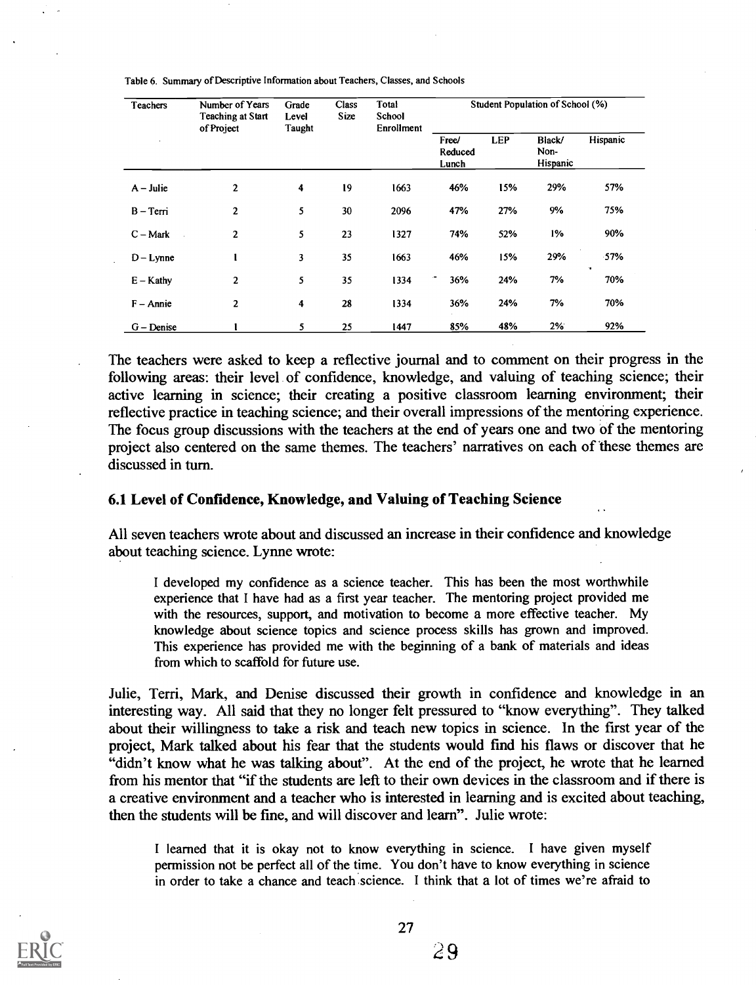| <b>Teachers</b> | Number of Years<br><b>Teaching at Start</b><br>of Project | Grade<br>Level<br><b>Taught</b> | Total<br><b>Class</b><br>Size<br>School<br>Enrollment |                           | Student Population of School (%) |                            |          |                  |
|-----------------|-----------------------------------------------------------|---------------------------------|-------------------------------------------------------|---------------------------|----------------------------------|----------------------------|----------|------------------|
|                 |                                                           |                                 |                                                       | Free/<br>Reduced<br>Lunch | <b>LEP</b>                       | Black/<br>Non-<br>Hispanic | Hispanic |                  |
| $A$ – Julie     | 2                                                         | 4                               | 19                                                    | 1663                      | 46%                              | 15%                        | 29%      | 57%              |
| B – Terri       | $\overline{2}$                                            | 5                               | 30                                                    | 2096                      | 47%                              | 27%                        | 9%       | 75%              |
| $C - Mark$      | 2                                                         | 5                               | 23                                                    | 1327                      | 74%                              | 52%                        | 1%       | 90%              |
| $D - Lynne$     |                                                           | 3                               | 35                                                    | 1663                      | 46%                              | 15%                        | 29%      | 57%              |
| $E -$ Kathy     | 2                                                         | 5                               | 35                                                    | 1334                      | ÷<br>36%                         | 24%                        | 7%       | $\bullet$<br>70% |
| $F - Annie$     | $\mathbf{2}$                                              | 4                               | 28                                                    | 1334                      | 36%                              | 24%                        | 7%       | 70%              |
| $G$ – Denise    |                                                           | 5                               | 25                                                    | 1447                      | 85%                              | 48%                        | 2%       | 92%              |

Table 6. Summary of Descriptive Information about Teachers, Classes, and Schools

The teachers were asked to keep a reflective journal and to comment on their progress in the following areas: their level of confidence, knowledge, and valuing of teaching science; their active learning in science; their creating a positive classroom learning environment; their reflective practice in teaching science; and their overall impressions of the mentoring experience. The focus group discussions with the teachers at the end of years one and two of the mentoring project also centered on the same themes. The teachers' narratives on each of these themes are discussed in turn.

#### 6.1 Level of Confidence, Knowledge, and Valuing of Teaching Science

All seven teachers wrote about and discussed an increase in their confidence and knowledge about teaching science. Lynne wrote:

I developed my confidence as a science teacher. This has been the most worthwhile experience that I have had as a first year teacher. The mentoring project provided me with the resources, support, and motivation to become a more effective teacher. My knowledge about science topics and science process skills has grown and improved. This experience has provided me with the beginning of a bank of materials and ideas from which to scaffold for future use.

Julie, Terri, Mark, and Denise discussed their growth in confidence and knowledge in an interesting way. All said that they no longer felt pressured to "know everything". They talked about their willingness to take a risk and teach new topics in science. In the first year of the project, Mark talked about his fear that the students would fmd his flaws or discover that he "didn't know what he was talking about". At the end of the project, he wrote that he learned from his mentor that "if the students are left to their own devices in the classroom and if there is a creative environment and a teacher who is interested in learning and is excited about teaching, then the students will be fine, and will discover and learn". Julie wrote:

I learned that it is okay not to know everything in science. I have given myself permission not be perfect all of the time. You don't have to know everything in science in order to take a chance and teach science. I think that a lot of times we're afraid to

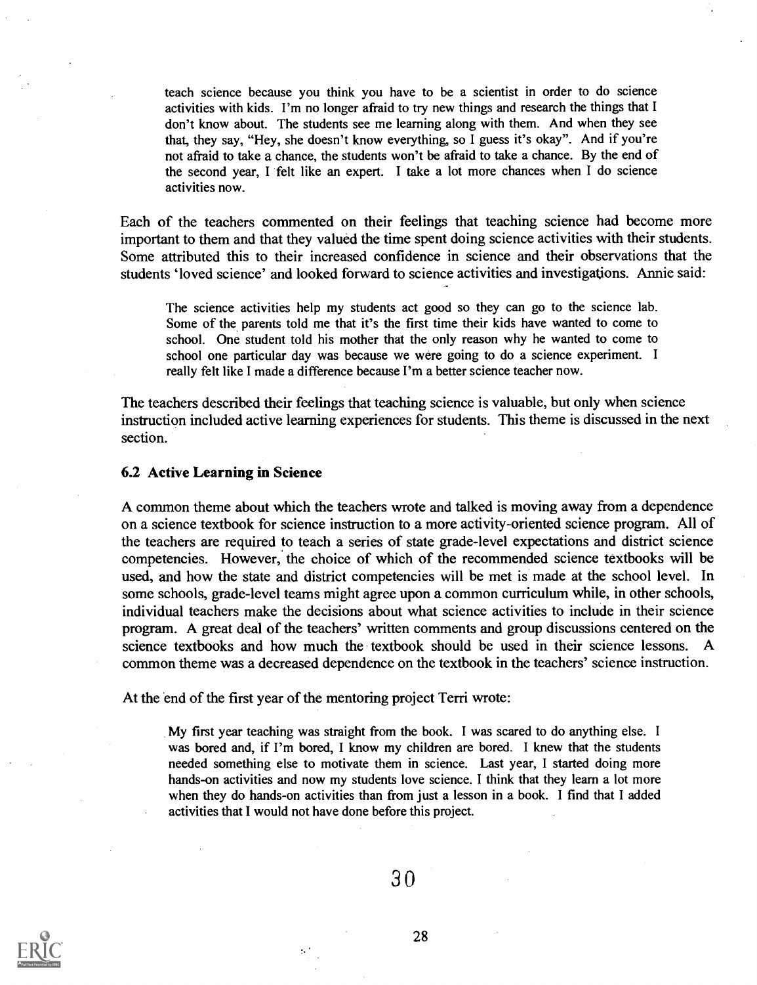teach science because you think you have to be a scientist in order to do science activities with kids. I'm no longer afraid to try new things and research the things that I don't know about. The students see me learning along with them. And when they see that, they say, "Hey, she doesn't know everything, so I guess it's okay". And if you're not afraid to take a chance, the students won't be afraid to take a chance. By the end of the second year, I felt like an expert. I take a lot more chances when I do science activities now.

Each of the teachers commented on their feelings that teaching science had become more important to them and that they valued the time spent doing science activities with their students. Some attributed this to their increased confidence in science and their observations that the students 'loved science' and looked forward to science activities and investigations. Annie said:

The science activities help my students act good so they can go to the science lab. Some of the parents told me that it's the first time their kids have wanted to come to school. One student told his mother that the only reason why he wanted to come to school one particular day was because we were going to do a science experiment. <sup>I</sup> really felt like I made a difference because I'm a better science teacher now.

The teachers described their feelings that teaching science is valuable, but only when science instruction included active learning experiences for students. This theme is discussed in the next section.

#### 6.2 Active Learning in Science

A common theme about which the teachers wrote and talked is moving away from a dependence on a science textbook for science instruction to a more activity-oriented science program. All of the teachers are required to teach a series of state grade-level expectations and district science competencies. However, the choice of which of the recommended science textbooks will be used, and how the state and district competencies will be met is made at the school level. In some schools, grade-level teams might agree upon a common curriculum while, in other schools, individual teachers make the decisions about what science activities to include in their science program. A great deal of the teachers' written comments and group discussions centered on the science textbooks and how much the textbook should be used in their science lessons. common theme was a decreased dependence on the textbook in the teachers' science instruction.

At the end of the first year of the mentoring project Terri wrote:

My first year teaching was straight from the book. I was scared to do anything else. <sup>I</sup> was bored and, if I'm bored, I know my children are bored. I knew that the students needed something else to motivate them in science. Last year, I started doing more hands-on activities and now my students love science. I think that they learn a lot more when they do hands-on activities than from just a lesson in a book. I find that I added activities that I would not have done before this project.

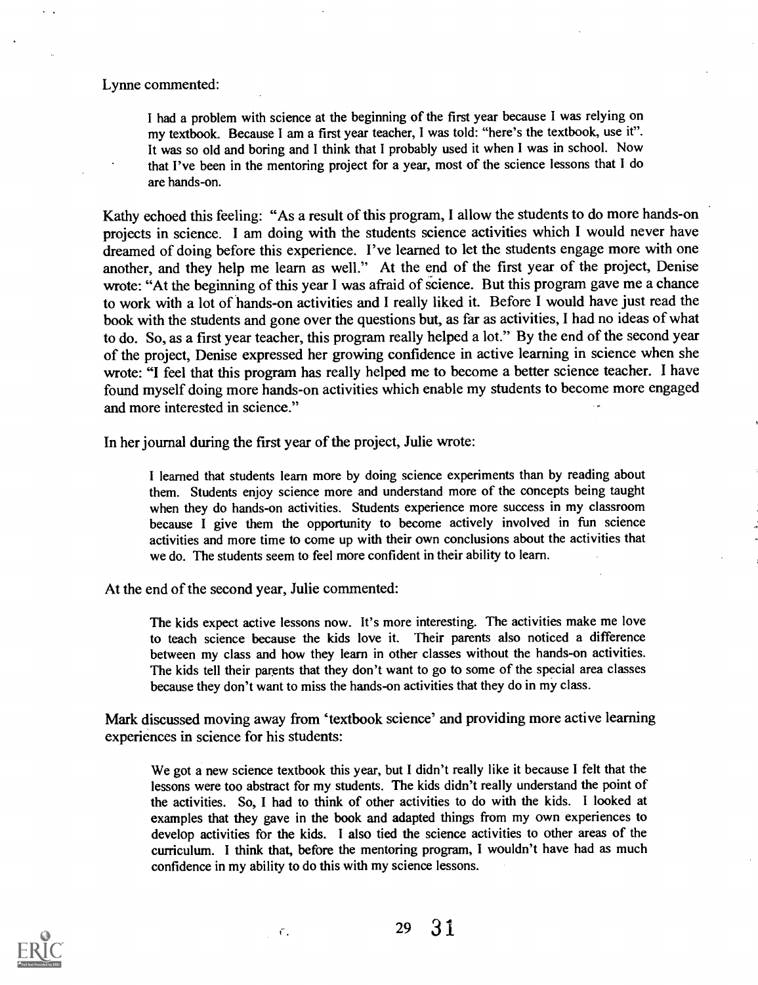#### Lynne commented:

I had a problem with science at the beginning of the first year because I was relying on my textbook. Because I am a first year teacher, I was told: "here's the textbook, use it". It was so old and boring and I think that I probably used it when I was in school. Now that I've been in the mentoring project for a year, most of the science lessons that I do are hands-on.

Kathy echoed this feeling: "As a result of this program, I allow the students to do more hands-on projects in science. I am doing with the students science activities which I would never have dreamed of doing before this experience. I've learned to let the students engage more with one another, and they help me learn as well." At the end of the first year of the project, Denise wrote: "At the beginning of this year I was afraid of science. But this program gave me a chance to work with a lot of hands-on activities and I really liked it. Before I would have just read the book with the students and gone over the questions but, as far as activities, I had no ideas of what to do. So, as a first year teacher, this program really helped a lot." By the end of the second year of the project, Denise expressed her growing confidence in active learning in science when she wrote: "I feel that this program has really helped me to become a better science teacher. I have found myself doing more hands-on activities which enable my students to become more engaged and more interested in science."

In her journal during the first year of the project, Julie wrote:

I learned that students learn more by doing science experiments than by reading about them. Students enjoy science more and understand more of the concepts being taught when they do hands-on activities. Students experience more success in my classroom because I give them the opportunity to become actively involved in fun science activities and more time to come up with their own conclusions about the activities that we do. The students seem to feel more confident in their ability to learn.

At the end of the second year, Julie commented:

 $\mathcal{C}_1$ 

The kids expect active lessons now. It's more interesting. The activities make me love to teach science because the kids love it. Their parents also noticed a difference between my class and how they learn in other classes without the hands-on activities. The kids tell their parents that they don't want to go to some of the special area classes because they don't want to miss the hands-on activities that they do in my class.

Mark discussed moving away from 'textbook science' and providing more active learning experiences in science for his students:

We got a new science textbook this year, but I didn't really like it because I felt that the lessons were too abstract for my students. The kids didn't really understand the point of the activities. So, I had to think of other activities to do with the kids. I looked at examples that they gave in the book and adapted things from my own experiences to develop activities for the kids. I also tied the science activities to other areas of the curriculum. I think that, before the mentoring program, I wouldn't have had as much confidence in my ability to do this with my science lessons.



29 3 1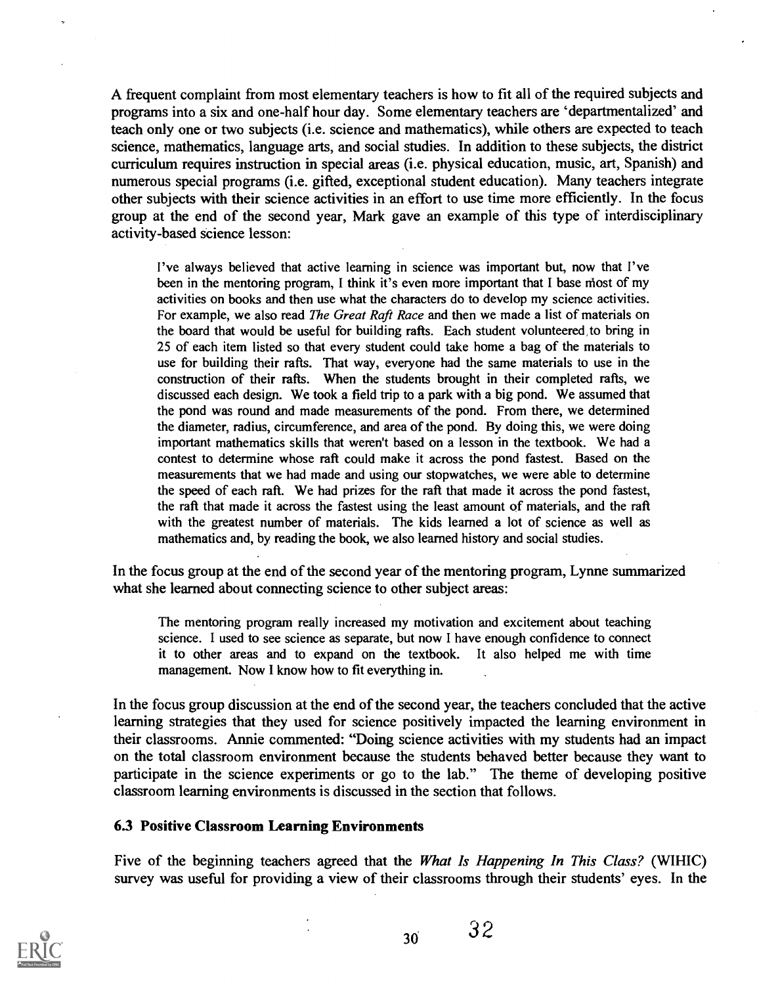A frequent complaint from most elementary teachers is how to fit all of the required subjects and programs into a six and one-half hour day. Some elementary teachers are 'departmentalized' and teach only one or two subjects (i.e. science and mathematics), while others are expected to teach science, mathematics, language arts, and social studies. In addition to these subjects, the district curriculum requires instruction in special areas (i.e. physical education, music, art, Spanish) and numerous special programs (i.e. gifted, exceptional student education). Many teachers integrate other subjects with their science activities in an effort to use time more efficiently. In the focus group at the end of the second year, Mark gave an example of this type of interdisciplinary activity-based science lesson:

I've always believed that active learning in science was important but, now that I've been in the mentoring program, I think it's even more important that I base most of my activities on books and then use what the characters do to develop my science activities. For example, we also read *The Great Raft Race* and then we made a list of materials on the board that would be useful for building rafts. Each student volunteered, to bring in 25 of each item listed so that every student could take home a bag of the materials to use for building their rafts. That way, everyone had the same materials to use in the construction of their rafts. When the students brought in their completed rafts, we discussed each design. We took a field trip to a park with a big pond. We assumed that the pond was round and made measurements of the pond. From there, we determined the diameter, radius, circumference, and area of the pond. By doing this, we were doing important mathematics skills that weren't based on a lesson in the textbook. We had a contest to determine whose raft could make it across the pond fastest. Based on the measurements that we had made and using our stopwatches, we were able to determine the speed of each raft. We had prizes for the rail that made it across the pond fastest, the raft that made it across the fastest using the least amount of materials, and the raft with the greatest number of materials. The kids learned a lot of science as well as mathematics and, by reading the book, we also learned history and social studies.

In the focus group at the end of the second year of the mentoring program, Lynne summarized what she learned about connecting science to other subject areas:

The mentoring program really increased my motivation and excitement about teaching science. I used to see science as separate, but now I have enough confidence to connect it to other areas and to expand on the textbook. It also helped me with time management. Now I know how to fit everything in.

In the focus group discussion at the end of the second year, the teachers concluded that the active learning strategies that they used for science positively impacted the learning environment in their classrooms. Annie commented: "Doing science activities with my students had an impact on the total classroom environment because the students behaved better because they want to participate in the science experiments or go to the lab." The theme of developing positive classroom learning environments is discussed in the section that follows.

## 6.3 Positive Classroom Learning Environments

Five of the beginning teachers agreed that the *What Is Happening In This Class?* (WIHIC) survey was useful for providing a view of their classrooms through their students' eyes. In the

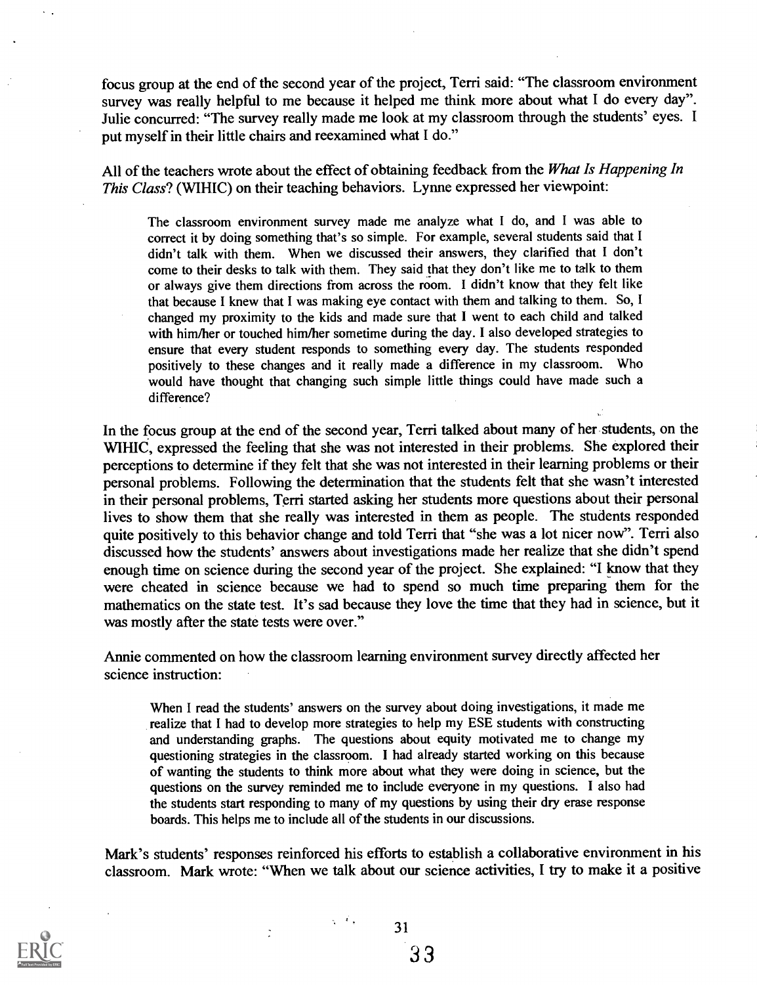focus group at the end of the second year of the project, Terri said: "The classroom environment survey was really helpful to me because it helped me think more about what I do every day". Julie concurred: "The survey really made me look at my classroom through the students' eyes. I put myself in their little chairs and reexamined what I do."

All of the teachers wrote about the effect of obtaining feedback from the What Is Happening In This Class? (WIHIC) on their teaching behaviors. Lynne expressed her viewpoint:

The classroom environment survey made me analyze what I do, and I was able to correct it by doing something that's so simple. For example, several students said that I didn't talk with them. When we discussed their answers, they clarified that I don't come to their desks to talk with them. They said that they don't like me to talk to them or always give them directions from across the room. I didn't know that they felt like that because I knew that I was making eye contact with them and talking to them. So, I changed my proximity to the kids and made sure that I went to each child and talked with him/her or touched him/her sometime during the day. I also developed strategies to ensure that every student responds to something every day. The students responded positively to these changes and it really made a difference in my classroom. Who would have thought that changing such simple little things could have made such a difference?

In the focus group at the end of the second year, Terri talked about many of her students, on the WIHIC, expressed the feeling that she was not interested in their problems. She explored their perceptions to determine if they felt that she was not interested in their learning problems or their personal problems. Following the determination that the students felt that she wasn't interested in their personal problems, Terri started asking her students more questions about their personal lives to show them that she really was interested in them as people. The students responded quite positively to this behavior change and told Terri that "she was a lot nicer now". Terri also discussed how the students' answers about investigations made her realize that she didn't spend enough time on science during the second year of the project. She explained: "I know that they were cheated in science because we had to spend so much time preparing them for the mathematics on the state test. It's sad because they love the time that they had in science, but it was mostly after the state tests were over."

Annie commented on how the classroom learning environment survey directly affected her science instruction:

When I read the students' answers on the survey about doing investigations, it made me realize that I had to develop more strategies to help my ESE students with constructing and understanding graphs. The questions about equity motivated me to change my questioning strategies in the classroom. I had already started working on this because of wanting the students to think more about what they were doing in science, but the questions on the survey reminded me to include everyone in my questions. I also had the students start responding to many of my questions by using their dry erase response boards. This helps me to include all of the students in our discussions.

Mark's students' responses reinforced his efforts to establish a collaborative environment in his classroom. Mark wrote: "When we talk about our science activities, I try to make it a positive

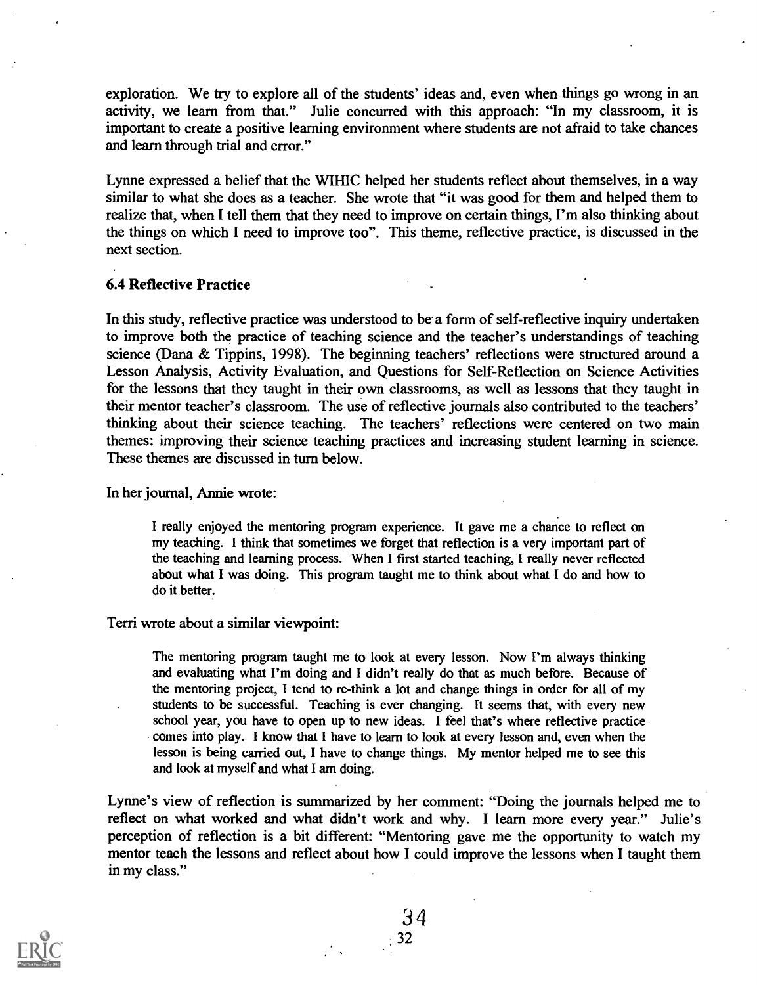exploration. We try to explore all of the students' ideas and, even when things go wrong in an activity, we learn from that." Julie concurred with this approach: "In my classroom, it is important to create a positive learning environment where students are not afraid to take chances and learn through trial and error."

Lynne expressed a belief that the WIHIC helped her students reflect about themselves, in a way similar to what she does as a teacher. She wrote that "it was good for them and helped them to realize that, when I tell them that they need to improve on certain things, I'm also thinking about the things on which I need to improve too". This theme, reflective practice, is discussed in the next section.

#### 6.4 Reflective Practice

In this study, reflective practice was understood to be a form of self-reflective inquiry undertaken to improve both the practice of teaching science and the teacher's understandings of teaching science (Dana & Tippins, 1998). The beginning teachers' reflections were structured around a Lesson Analysis, Activity Evaluation, and Questions for Self-Reflection on Science Activities for the lessons that they taught in their own classrooms, as well as lessons that they taught in their mentor teacher's classroom. The use of reflective journals also contributed to the teachers' thinking about their science teaching. The teachers' reflections were centered on two main themes: improving their science teaching practices and increasing student learning in science. These themes are discussed in turn below.

In her journal, Annie wrote:

I really enjoyed the mentoring program experience. It gave me a chance to reflect on my teaching. I think that sometimes we forget that reflection is a very important part of the teaching and learning process. When I first started teaching, I really never reflected about what I was doing. This program taught me to think about what I do and how to do it better.

#### Terri wrote about a similar viewpoint:

The mentoring program taught me to look at every lesson. Now I'm always thinking and evaluating what I'm doing and I didn't really do that as much before. Because of the mentoring project, I tend to re-think a lot and change things in order for all of my students to be successful. Teaching is ever changing. It seems that, with every new school year, you have to open up to new ideas. I feel that's where reflective practice comes into play. I know that I have to learn to look at every lesson and, even when the lesson is being carried out, I have to change things. My mentor helped me to see this and look at myself and what I am doing.

Lynne's view of reflection is summarized by her comment: "Doing the journals helped me to reflect on what worked and what didn't work and why. I learn more every year." Julie's perception of reflection is a bit different: "Mentoring gave me the opportunity to watch my mentor teach the lessons and reflect about how I could improve the lessons when I taught them in my class."



3 4  $\frac{32}{2}$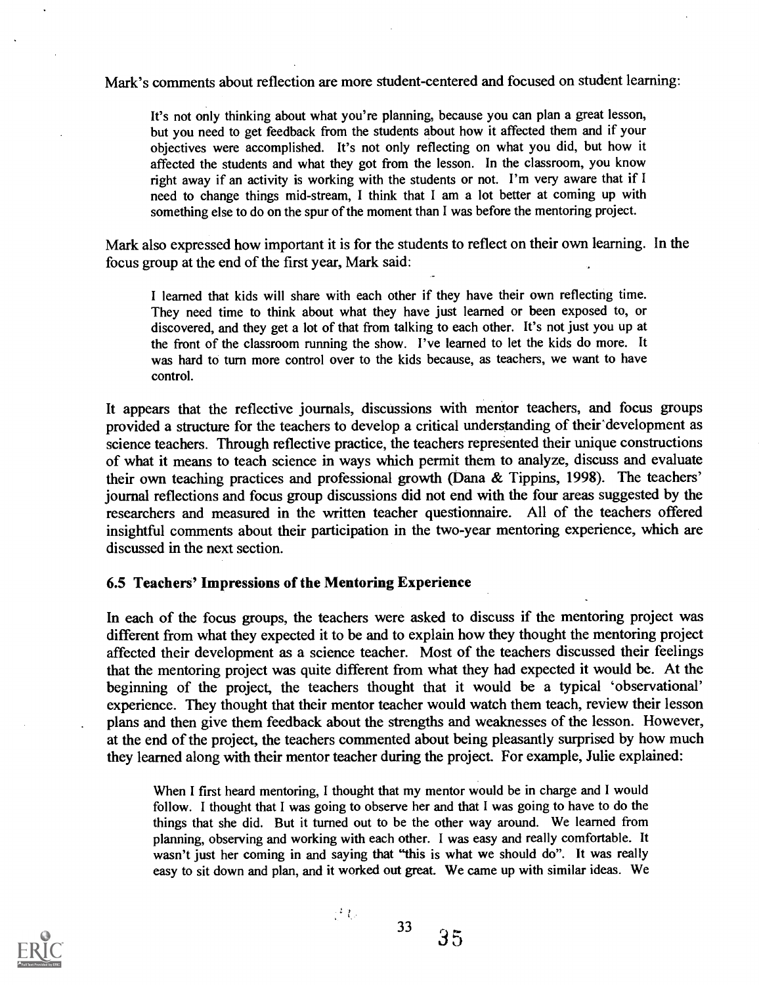Mark's comments about reflection are more student-centered and focused on student learning:

It's not only thinking about what you're planning, because you can plan a great lesson, but you need to get feedback from the students about how it affected them and if your objectives were accomplished. It's not only reflecting on what you did, but how it affected the students and what they got from the lesson. In the classroom, you know right away if an activity is working with the students or not. I'm very aware that if I need to change things mid-stream, I think that I am a lot better at coming up with something else to do on the spur of the moment than I was before the mentoring project.

Mark also expressed how important it is for the students to reflect on their own learning. In the focus group at the end of the first year, Mark said:

I learned that kids will share with each other if they have their own reflecting time. They need time to think about what they have just learned or been exposed to, or discovered, and they get a lot of that from talking to each other. It's not just you up at the front of the classroom running the show. I've learned to let the kids do more. It was hard to turn more control over to the kids because, as teachers, we want to have control.

It appears that the reflective journals, discussions with mentor teachers, and focus groups provided a structure for the teachers to develop a critical understanding of their development as science teachers. Through reflective practice, the teachers represented their unique constructions of what it means to teach science in ways which permit them to analyze, discuss and evaluate their own teaching practices and professional growth (Dana & Tippins, 1998). The teachers' journal reflections and focus group discussions did not end with the four areas suggested by the researchers and measured in the written teacher questionnaire. All of the teachers offered insightful comments about their participation in the two-year mentoring experience, which are discussed in the next section.

#### 6.5 Teachers' Impressions of the Mentoring Experience

In each of the focus groups, the teachers were asked to discuss if the mentoring project was different from what they expected it to be and to explain how they thought the mentoring project affected their development as a science teacher. Most of the teachers discussed their feelings that the mentoring project was quite different from what they had expected it would be. At the beginning of the project, the teachers thought that it would be a typical 'observational' experience. They thought that their mentor teacher would watch them teach, review their lesson plans and then give them feedback about the strengths and weaknesses of the lesson. However, at the end of the project, the teachers commented about being pleasantly surprised by how much they learned along with their mentor teacher during the project. For example, Julie explained:

When I first heard mentoring, I thought that my mentor would be in charge and I would follow. I thought that I was going to observe her and that I was going to have to do the things that she did. But it turned out to be the other way around. We learned from planning, observing and working with each other. I was easy and really comfortable. It wasn't just her coming in and saying that "this is what we should do". It was really easy to sit down and plan, and it worked out great. We came up with similar ideas. We

33



 $\mathbb{P}^1$  to

35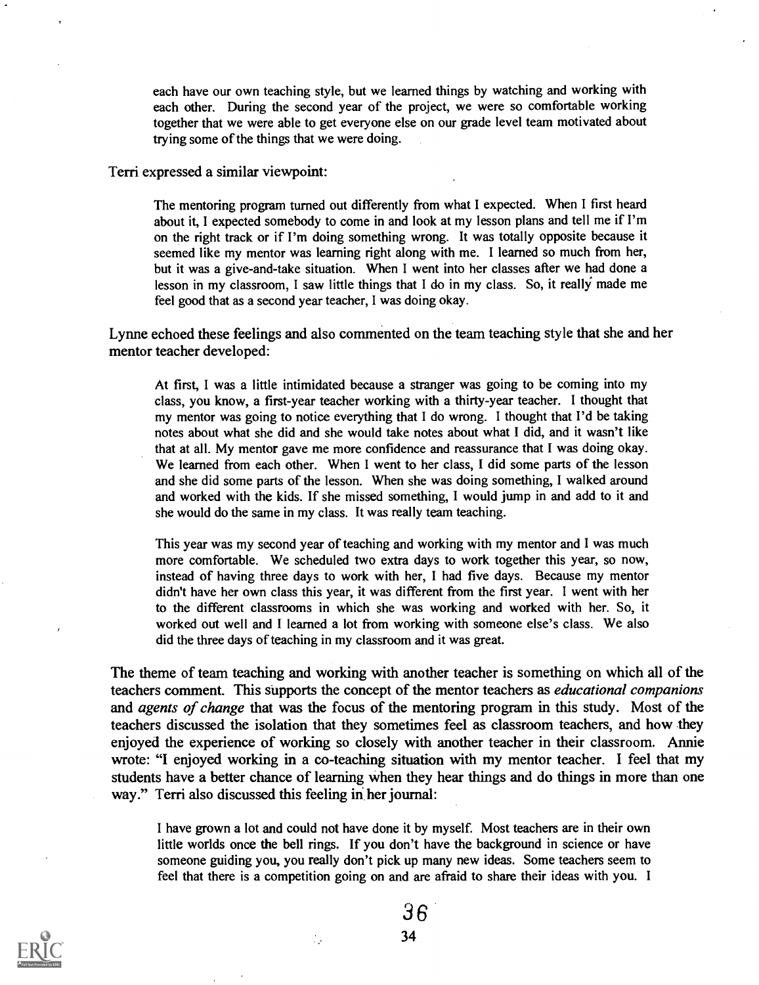each have our own teaching style, but we learned things by watching and working with each other. During the second year of the project, we were so comfortable working together that we were able to get everyone else on our grade level team motivated about trying some of the things that we were doing.

Terri expressed a similar viewpoint:

The mentoring program turned out differently from what I expected. When I first heard about it, I expected somebody to come in and look at my lesson plans and tell me if I'm on the right track or if I'm doing something wrong. It was totally opposite because it seemed like my mentor was learning right along with me. I learned so much from her, but it was a give-and-take situation. When I went into her classes after we had done a lesson in my classroom, I saw little things that I do in my class. So, it really made me feel good that as a second year teacher, I was doing okay.

Lynne echoed these feelings and also commented on the team teaching style that she and her mentor teacher developed:

At first, I was a little intimidated because a stranger was going to be coming into my class, you know, a first-year teacher working with a thirty-year teacher. I thought that my mentor was going to notice everything that I do wrong. I thought that I'd be taking notes about what she did and she would take notes about what I did, and it wasn't like that at all. My mentor gave me more confidence and reassurance that I was doing okay. We learned from each other. When I went to her class, I did some parts of the lesson and she did some parts of the lesson. When she was doing something, I walked around and worked with the kids. If she missed something, I would jump in and add to it and she would do the same in my class. It was really team teaching.

This year was my second year of teaching and working with my mentor and I was much more comfortable. We scheduled two extra days to work together this year, so now, instead of having three days to work with her, I had five days. Because my mentor didn't have her own class this year, it was different from the first year. I went with her to the different classrooms in which she was working and worked with her. So, it worked out well and I learned a lot from working with someone else's class. We also did the three days of teaching in my classroom and it was great.

The theme of team teaching and working with another teacher is something on which all of the teachers comment. This supports the concept of the mentor teachers as educational companions and *agents of change* that was the focus of the mentoring program in this study. Most of the teachers discussed the isolation that they sometimes feel as classroom teachers, and how they enjoyed the experience of working so closely with another teacher in their classroom. Annie wrote: "I enjoyed working in a co-teaching situation with my mentor teacher. I feel that my students have a better chance of learning when they hear things and do things in more than one way." Terri also discussed this feeling in her journal:

I have grown a lot and could not have done it by myself. Most teachers are in their own little worlds once the bell rings. If you don't have the background in science or have someone guiding you, you really don't pick up many new ideas. Some teachers seem to feel that there is a competition going on and are afraid to share their ideas with you. <sup>I</sup>



36 34

ć,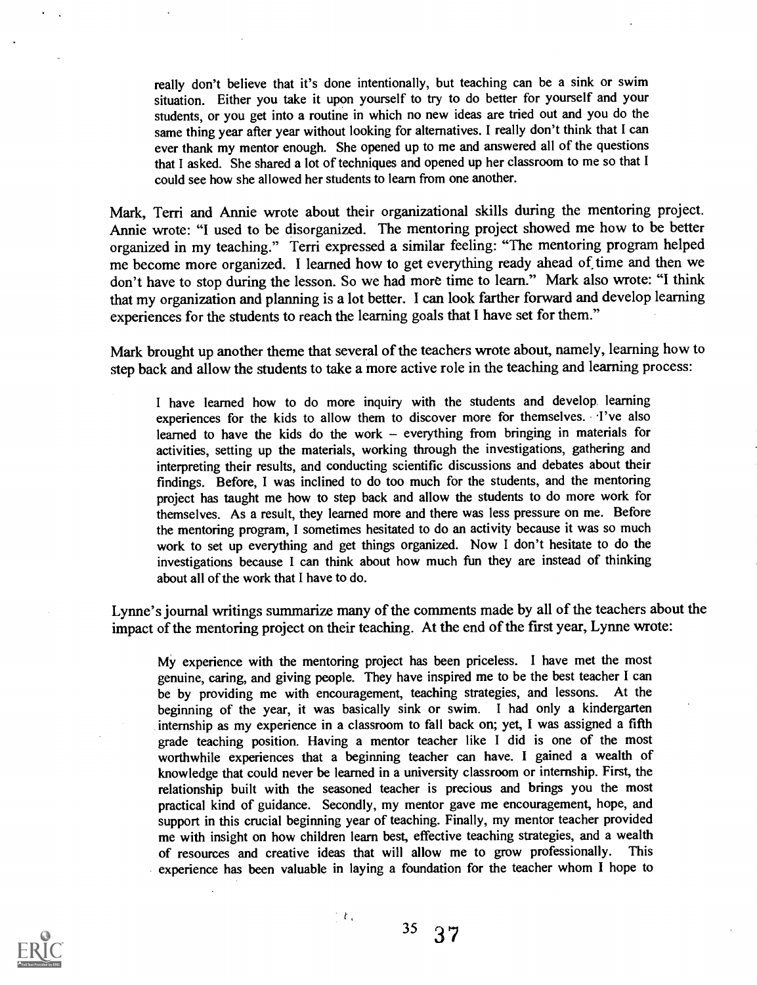really don't believe that it's done intentionally, but teaching can be a sink or swim situation. Either you take it upon yourself to try to do better for yourself and your students, or you get into a routine in which no new ideas are tried out and you do the same thing year after year without looking for alternatives. I really don't think that I can ever thank my mentor enough. She opened up to me and answered all of the questions that I asked. She shared a lot of techniques and opened up her classroom to me so that I could see how she allowed her students to learn from one another.

Mark, Terri and Annie wrote about their organizational skills during the mentoring project. Annie wrote: "I used to be disorganized. The mentoring project showed me how to be better organized in my teaching." Terri expressed a similar feeling: "The mentoring program helped me become more organized. I learned how to get everything ready ahead of time and then we don't have to stop during the lesson. So we had more time to learn." Mark also wrote: "I think that my organization and planning is a lot better. I can look farther forward and develop learning experiences for the students to reach the learning goals that I have set for them."

Mark brought up another theme that several of the teachers wrote about, namely, learning how to step back and allow the students to take a more active role in the teaching and learning process:

I have learned how to do more inquiry with the students and develop learning experiences for the kids to allow them to discover more for themselves. .I've also learned to have the kids do the work  $-$  everything from bringing in materials for activities, setting up the materials, working through the investigations, gathering and interpreting their results, and conducting scientific discussions and debates about their findings. Before, I was inclined to do too much for the students, and the mentoring project has taught me how to step back and allow the students to do more work for themselves. As a result, they learned more and there was less pressure on me. Before the mentoring program, I sometimes hesitated to do an activity because it was so much work to set up everything and get things organized. Now I don't hesitate to do the investigations because I can think about how much fun they are instead of thinking about all of the work that I have to do.

Lynne's journal writings summarize many of the comments made by all of the teachers about the impact of the mentoring project on their teaching. At the end of the first year, Lynne wrote:

My experience with the mentoring project has been priceless. I have met the most genuine, caring, and giving people. They have inspired me to be the best teacher I can be by providing me with encouragement, teaching strategies, and lessons. At the beginning of the year, it was basically sink or swim. I had only a kindergarten internship as my experience in a classroom to fall back on; yet, I was assigned a fifth grade teaching position. Having a mentor teacher like I did is one of the most worthwhile experiences that a beginning teacher can have. I gained a wealth of knowledge that could never be learned in a university classroom or internship. First, the relationship built with the seasoned teacher is precious and brings you the most practical kind of guidance. Secondly, my mentor gave me encouragement, hope, and support in this crucial beginning year of teaching. Finally, my mentor teacher provided me with insight on how children learn best, effective teaching strategies, and a wealth of resources and creative ideas that will allow me to grow professionally. This experience has been valuable in laying a foundation for the teacher whom I hope to



 $\pm t_3$ 

35 37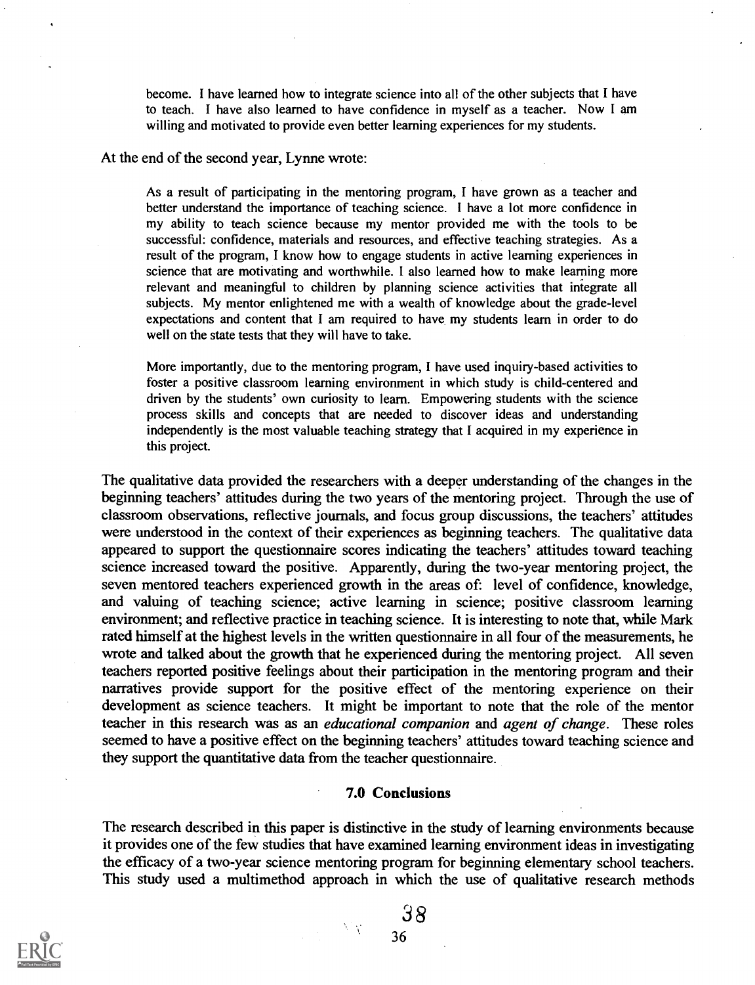become. I have learned how to integrate science into all of the other subjects that I have to teach. I have also learned to have confidence in myself as a teacher. Now I am willing and motivated to provide even better learning experiences for my students.

At the end of the second year, Lynne wrote:

As a result of participating in the mentoring program, I have grown as a teacher and better understand the importance of teaching science. I have a lot more confidence in my ability to teach science because my mentor provided me with the tools to be successful: confidence, materials and resources, and effective teaching strategies. As a result of the program, I know how to engage students in active learning experiences in science that are motivating and worthwhile. I also learned how to make learning more relevant and meaningful to children by planning science activities that integrate all subjects. My mentor enlightened me with a wealth of knowledge about the grade-level expectations and content that I am required to have my students learn in order to do well on the state tests that they will have to take.

More importantly, due to the mentoring program, I have used inquiry-based activities to foster a positive classroom learning environment in which study is child-centered and driven by the students' own curiosity to learn. Empowering students with the science process skills and concepts that are needed to discover ideas and understanding independently is the most valuable teaching strategy that I acquired in my experience in this project.

The qualitative data provided the researchers with a deeper understanding of the changes in the beginning teachers' attitudes during the two years of the mentoring project. Through the use of classroom observations, reflective journals, and focus group discussions, the teachers' attitudes were understood in the context of their experiences as beginning teachers. The qualitative data appeared to support the questionnaire scores indicating the teachers' attitudes toward teaching science increased toward the positive. Apparently, during the two-year mentoring project, the seven mentored teachers experienced growth in the areas of: level of confidence, knowledge, and valuing of teaching science; active learning in science; positive classroom learning environment; and reflective practice in teaching science. It is interesting to note that, while Mark rated himself at the highest levels in the written questionnaire in all four of the measurements, he wrote and talked about the growth that he experienced during the mentoring project. All seven teachers reported positive feelings about their participation in the mentoring program and their narratives provide support for the positive effect of the mentoring experience on their development as science teachers. It might be important to note that the role of the mentor teacher in this research was as an educational companion and agent of change. These roles seemed to have a positive effect on the beginning teachers' attitudes toward teaching science and they support the quantitative data from the teacher questionnaire.

#### 7.0 Conclusions

The research described in this paper is distinctive in the study of learning environments because it provides one of the few studies that have examined learning environment ideas in investigating the efficacy of a two-year science mentoring program for beginning elementary school teachers. This study used a multimethod approach in which the use of qualitative research methods



38

 $\mathcal{N}$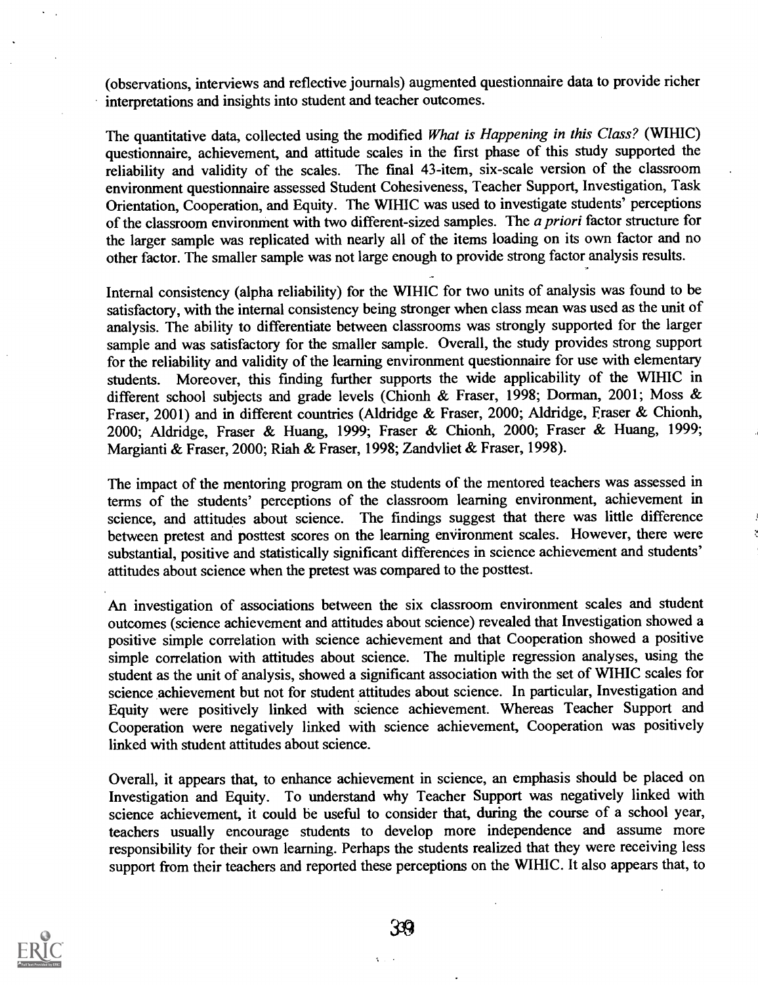(observations, interviews and reflective journals) augmented questionnaire data to provide richer interpretations and insights into student and teacher outcomes.

The quantitative data, collected using the modified What is Happening in this Class? (WIHIC) questionnaire, achievement, and attitude scales in the first phase of this study supported the reliability and validity of the scales. The final 43-item, six-scale version of the classroom environment questionnaire assessed Student Cohesiveness, Teacher Support, Investigation, Task Orientation, Cooperation, and Equity. The WIHIC was used to investigate students' perceptions of the classroom environment with two different-sized samples. The a priori factor structure for the larger sample was replicated with nearly all of the items loading on its own factor and no other factor. The smaller sample was not large enough to provide strong factor analysis results.

Internal consistency (alpha reliability) for the WIHIC for two units of analysis was found to be satisfactory, with the internal consistency being stronger when class mean was used as the unit of analysis. The ability to differentiate between classrooms was strongly supported for the larger sample and was satisfactory for the smaller sample. Overall, the study provides strong support for the reliability and validity of the learning environment questionnaire for use with elementary students. Moreover, this finding further supports the wide applicability of the WIHIC in different school subjects and grade levels (Chionh & Fraser, 1998; Dorman, 2001; Moss & Fraser, 2001) and in different countries (Aldridge & Fraser, 2000; Aldridge, Eraser & Chionh, 2000; Aldridge, Fraser & Huang, 1999; Fraser & Chionh, 2000; Fraser & Huang, 1999; Margianti & Fraser, 2000; Riah & Fraser, 1998; Zandvliet & Fraser, 1998).

The impact of the mentoring program on the students of the mentored teachers was assessed in terms of the students' perceptions of the classroom learning environment, achievement in science, and attitudes about science. The findings suggest that there was little difference between pretest and posttest scores on the learning environment scales. However, there were substantial, positive and statistically significant differences in science achievement and students' attitudes about science when the pretest was compared to the posttest.

An investigation of associations between the six classroom environment scales and student outcomes (science achievement and attitudes about science) revealed that Investigation showed a positive simple correlation with science achievement and that Cooperation showed a positive simple correlation with attitudes about science. The multiple regression analyses, using the student as the unit of analysis, showed a significant association with the set of WIHIC scales for science achievement but not for student attitudes about science. In particular, Investigation and Equity were positively linked with science achievement. Whereas Teacher Support and Cooperation were negatively linked with science achievement, Cooperation was positively linked with student attitudes about science.

Overall, it appears that, to enhance achievement in science, an emphasis should be placed on Investigation and Equity. To understand why Teacher Support was negatively linked with science achievement, it could be useful to consider that, during the course of a school year, teachers usually encourage students to develop more independence and assume more responsibility for their own learning. Perhaps the students realized that they were receiving less support from their teachers and reported these perceptions on the WIHIC. It also appears that, to

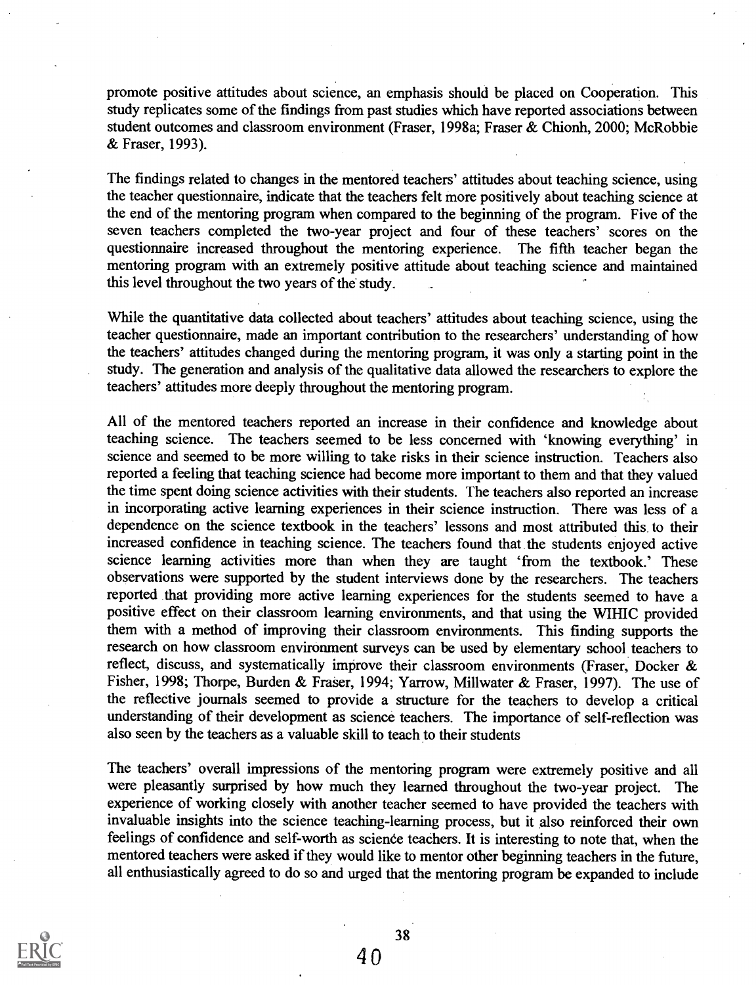promote positive attitudes about science, an emphasis should be placed on Cooperation. This study replicates some of the findings from past studies which have reported associations between student outcomes and classroom environment (Fraser, 1998a; Fraser & Chionh, 2000; McRobbie & Fraser, 1993).

The findings related to changes in the mentored teachers' attitudes about teaching science, using the teacher questionnaire, indicate that the teachers felt more positively about teaching science at the end of the mentoring program when compared to the beginning of the program. Five of the seven teachers completed the two-year project and four of these teachers' scores on the questionnaire increased throughout the mentoring experience. The fifth teacher began the mentoring program with an extremely positive attitude about teaching science and maintained this level throughout the two years of the study.

While the quantitative data collected about teachers' attitudes about teaching science, using the teacher questionnaire, made an important contribution to the researchers' understanding of how the teachers' attitudes changed during the mentoring program, it was only a starting point in the study. The generation and analysis of the qualitative data allowed the researchers to explore the teachers' attitudes more deeply throughout the mentoring program.

All of the mentored teachers reported an increase in their confidence and knowledge about teaching science. The teachers seemed to be less concerned with 'knowing everything' in science and seemed to be more willing to take risks in their science instruction. Teachers also reported a feeling that teaching science had become more important to them and that they valued the time spent doing science activities with their students. The teachers also reported an increase in incorporating active learning experiences in their science instruction. There was less of a dependence on the science textbook in the teachers' lessons and most attributed this to their increased confidence in teaching science. The teachers found that the students enjoyed active science learning activities more than when they are taught 'from the textbook.' These observations were supported by the student interviews done by the researchers. The teachers reported that providing more active learning experiences for the students seemed to have a positive effect on their classroom learning environments, and that using the WIHIC provided them with a method of improving their classroom environments. This finding supports the research on how classroom environment surveys can be used by elementary school teachers to reflect, discuss, and systematically improve their classroom environments (Fraser, Docker & Fisher, 1998; Thorpe, Burden & Fraser, 1994; Yarrow, Millwater & Fraser, 1997). The use of the reflective journals seemed to provide a structure for the teachers to develop a critical understanding of their development as science teachers. The importance of self-reflection was also seen by the teachers as a valuable skill to teach to their students

The teachers' overall impressions of the mentoring program were extremely positive and all were pleasantly surprised by how much they learned throughout the two-year project. The experience of working closely with another teacher seemed to have provided the teachers with invaluable insights into the science teaching-learning process, but it also reinforced their own feelings of confidence and self-worth as science teachers. It is interesting to note that, when the mentored teachers were asked if they would like to mentor other beginning teachers in the future, all enthusiastically agreed to do so and urged that the mentoring program be expanded to include

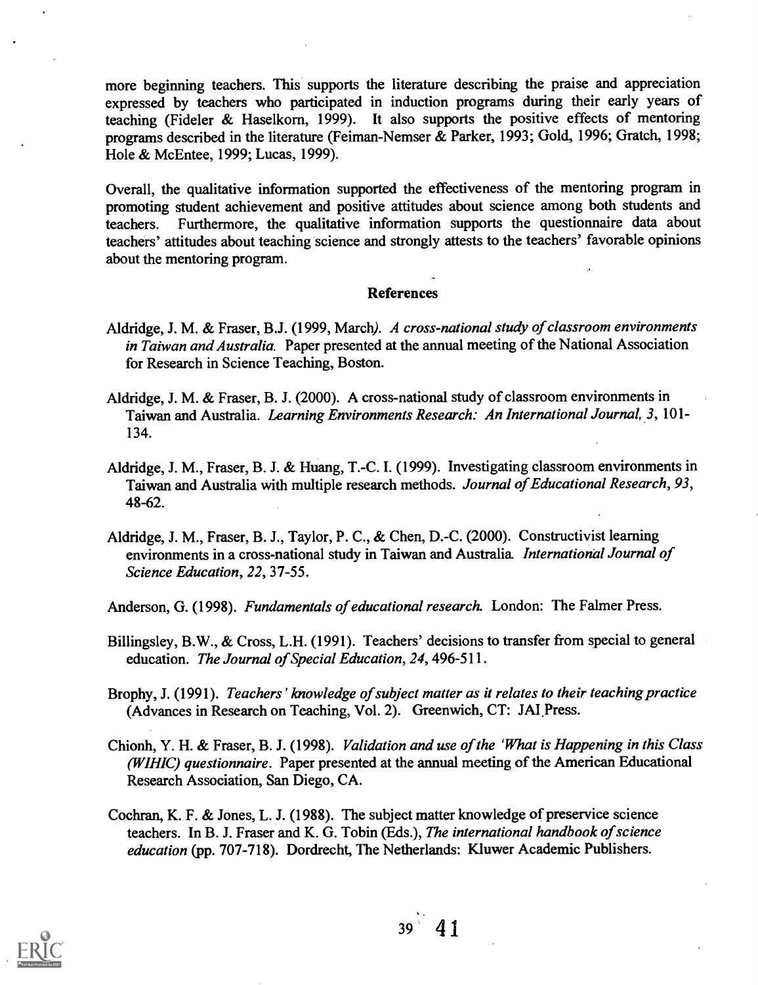more beginning teachers. This supports the literature describing the praise and appreciation expressed by teachers who participated in induction programs during their early years of teaching (Fideler & Haselkorn, 1999). It also supports the positive effects of mentoring programs described in the literature (Feiman-Nemser & Parker, 1993; Gold, 1996; Gratch, 1998; Hole & McEntee, 1999; Lucas, 1999).

Overall, the qualitative information supported the effectiveness of the mentoring program in promoting student achievement and positive attitudes about science among both students and teachers. Furthermore, the qualitative information supports the questionnaire data about teachers' attitudes about teaching science and strongly attests to the teachers' favorable opinions about the mentoring program.

#### References

- Aldridge, J. M. & Fraser, B.J. (1999, March). A cross-national study of classroom environments in Taiwan and Australia. Paper presented at the annual meeting of the National Association for Research in Science Teaching, Boston.
- Aldridge, J. M. & Fraser, B. J. (2000). A cross-national study of classroom enviromnents in Taiwan and Australia. Learning Environments Research: An International Journal, 3, 101- 134.
- Aldridge, J. M., Fraser, B. J. & Huang, T.-C. I. (1999). Investigating classroom environments in Taiwan and Australia with multiple research methods. Journal of Educational Research, 93, 48-62.
- Aldridge, J. M., Fraser, B. J., Taylor, P. C., & Chen, D.-C. (2000). Constructivist learning environments in a cross-national study in Taiwan and Australia. *International Journal of* Science Education, 22, 37-55.
- Anderson, G. (1998). Fundamentals of educational research. London: The Falmer Press.
- Billingsley, B.W., & Cross, L.H. (1991). Teachers' decisions to transfer from special to general education. The Journal of Special Education, 24, 496-511.
- Brophy, J. (1991). Teachers ' knowledge of subject matter as it relates to their teaching practice (Advances in Research on Teaching, Vol. 2). Greenwich, CT: JAI Press.
- Chionh, Y. H. & Fraser, B. J. (1998). Validation and use of the 'What is Happening in this Class (WIHIC) questionnaire. Paper presented at the annual meeting of the American Educational Research Association, San Diego, CA.
- Cochran, K. F. & Jones, L. J. (1988). The subject matter knowledge of preservice science teachers. In B. J. Fraser and K. G. Tobin (Eds.), The international handbook of science education (pp. 707-718). Dordrecht, The Netherlands: Kluwer Academic Publishers.

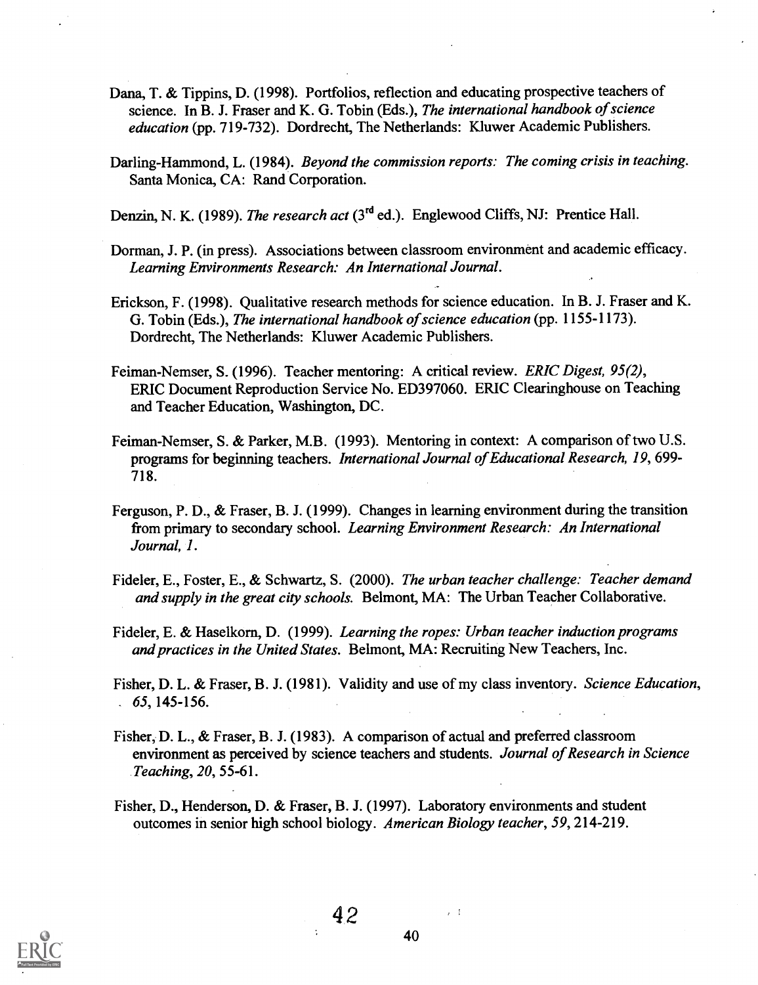- Dana, T. & Tippins, D. (1998). Portfolios, reflection and educating prospective teachers of science. In B. J. Fraser and K. G. Tobin (Eds.), The international handbook of science education (pp. 719-732). Dordrecht, The Netherlands: Kluwer Academic Publishers.
- Darling-Hammond, L. (1984). Beyond the commission reports: The coming crisis in teaching. Santa Monica, CA: Rand Corporation.

Denzin, N. K. (1989). The research act  $(3<sup>rd</sup>$  ed.). Englewood Cliffs, NJ: Prentice Hall.

- Dorman, J. P. (in press). Associations between classroom environment and academic efficacy. Learning Environments Research: An International Journal.
- Erickson, F. (1998). Qualitative research methods for science education. In B. J. Fraser and K. G. Tobin (Eds.), The international handbook of science education (pp. 1155-1173). Dordrecht, The Netherlands: Kluwer Academic Publishers.
- Feiman-Nemser, S. (1996). Teacher mentoring: A critical review. ERIC Digest, 95(2), ERIC Document Reproduction Service No. ED397060. ERIC Clearinghouse on Teaching and Teacher Education, Washington, DC.
- Feiman-Nemser, S. & Parker, M.B. (1993). Mentoring in context: A comparison of two U.S. programs for beginning teachers. International Journal of Educational Research, 19, 699- 718.
- Ferguson, P. D., & Fraser, B. J. (1999). Changes in learning environment during the transition from primary to secondary school. Learning Environment Research: An International Journal, I.
- Fideler, E., Foster, E., & Schwartz, S. (2000). The urban teacher challenge: Teacher demand and supply in the great city schools. Belmont, MA: The Urban Teacher Collaborative.
- Fideler, E. & Haselkorn, D. (1999). Learning the ropes: Urban teacher induction programs and practices in the United States. Belmont, MA: Recruiting New Teachers, Inc.
- Fisher, D. L. & Fraser, B. J. (1981). Validity and use of my class inventory. Science Education,  $. 65, 145 - 156.$
- Fisher, D. L., & Fraser, B. J. (1983). A comparison of actual and preferred classroom environment as perceived by science teachers and students. Journal of Research in Science Teaching, 20, 55-61.
- Fisher, D., Henderson, D. & Fraser, B. J. (1997). Laboratory environments and student outcomes in senior high school biology. American Biology teacher, 59, 214-219.

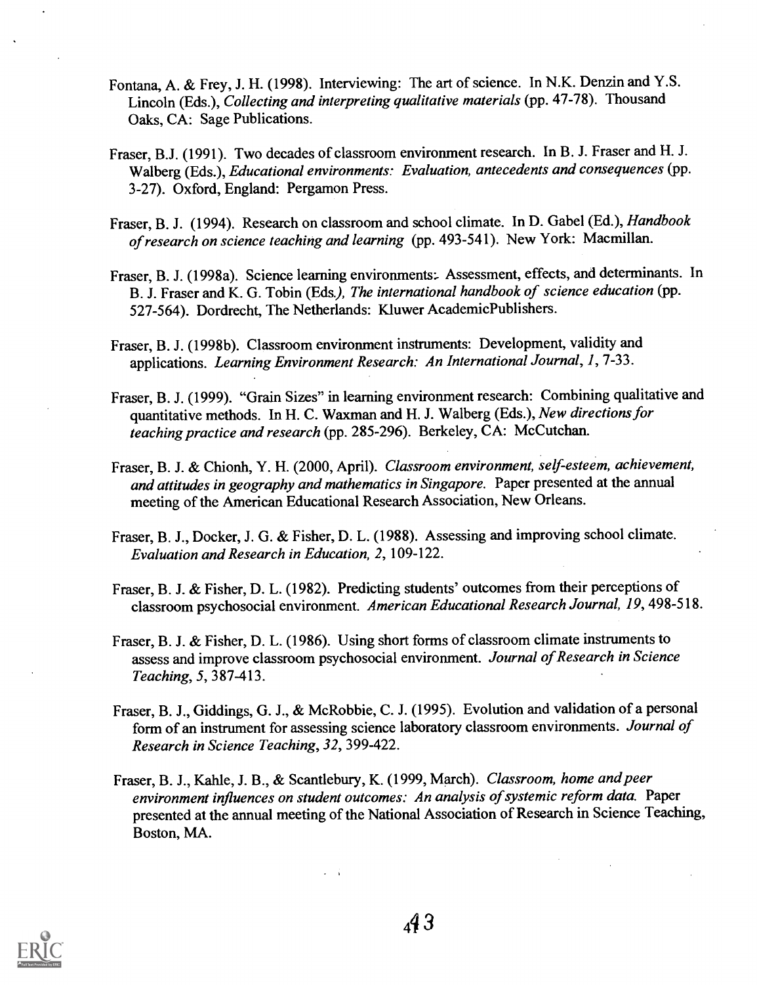- Fontana, A. & Frey, J. H. (1998). Interviewing: The art of science. In N.K. Denzin and Y.S. Lincoln (Eds.), Collecting and interpreting qualitative materials (pp. 47-78). Thousand Oaks, CA: Sage Publications.
- Fraser, B.J. (1991). Two decades of classroom environment research. In B. J. Fraser and H. J. Walberg (Eds.), Educational environments: Evaluation, antecedents and consequences (pp. 3-27). Oxford, England: Pergamon Press.
- Fraser, B. J. (1994). Research on classroom and school climate. In D. Gabel (Ed.), Handbook of research on science teaching and learning (pp. 493-541). New York: Macmillan.
- Fraser, B. J. (1998a). Science learning environments: Assessment, effects, and determinants. In B. J. Fraser and K. G. Tobin (Eds), The international handbook of science education (pp. 527-564). Dordrecht, The Netherlands: Kluwer AcademicPublishers.
- Fraser, B. J. (1998b). Classroom environment instruments: Development, validity and applications. Learning Environment Research: An International Journal, /, 7-33.
- Fraser, B. J. (1999). "Grain Sizes" in learning environment research: Combining qualitative and quantitative methods. In H. C. Waxman and H. J. Walberg (Eds.), New directions for teaching practice and research (pp. 285-296). Berkeley, CA: McCutchan.
- Fraser, B. J. & Chionh, Y. H. (2000, April). Classroom environment, self-esteem, achievement, and attitudes in geography and mathematics in Singapore. Paper presented at the annual meeting of the American Educational Research Association, New Orleans.
- Fraser, B. J., Docker, J. G. & Fisher, D. L. (1988). Assessing and improving school climate. Evaluation and Research in Education, 2, 109-122.
- Fraser, B. J. & Fisher, D. L. (1982). Predicting students' outcomes from their perceptions of classroom psychosocial environment. American Educational Research Journal, 19, 498-518.
- Fraser, B. J. & Fisher, D. L. (1986). Using short forms of classroom climate instruments to assess and improve classroom psychosocial environment. Journal of Research in Science Teaching, 5, 387-413.
- Fraser, B. J., Giddings, G. J., & McRobbie, C. J. (1995). Evolution and validation of a personal form of an instrument for assessing science laboratory classroom environments. Journal of Research in Science Teaching, 32, 399-422.
- Fraser, B. J., Kahle, J. B., & Scantlebury, K. (1999, March). Classroom, home and peer environment influences on student outcomes: An analysis of systemic reform data. Paper presented at the annual meeting of the National Association of Research in Science Teaching, Boston, MA.

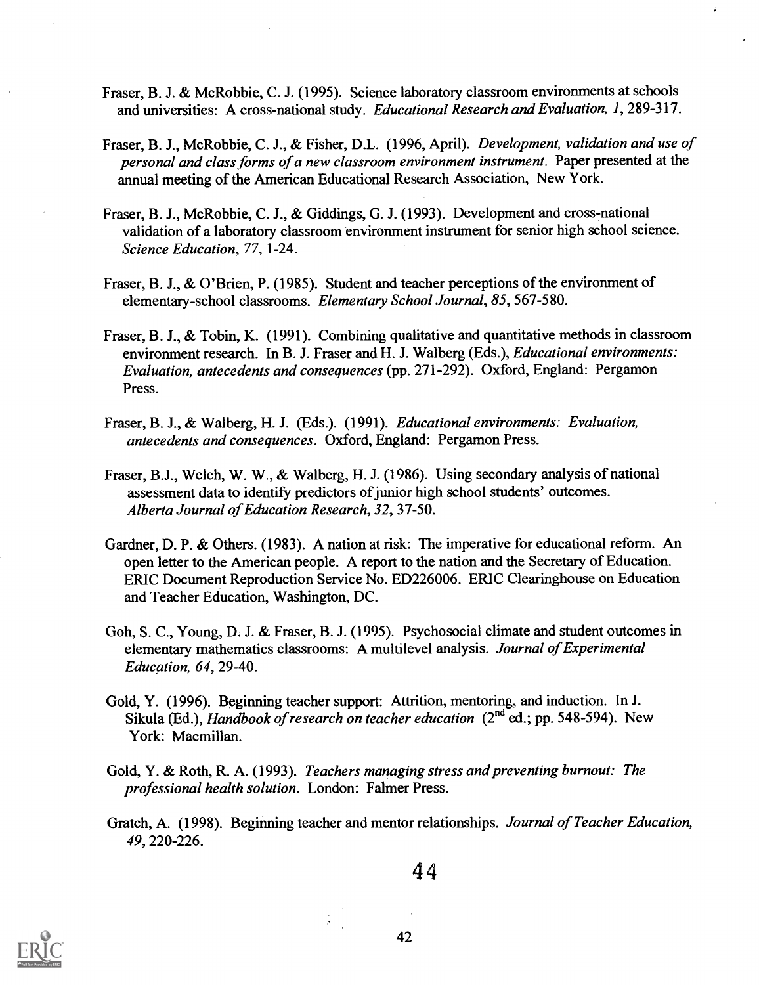- Fraser, B. J. & McRobbie, C. J. (1995). Science laboratory classroom environments at schools and universities: A cross-national study. Educational Research and Evaluation, 1, 289-317.
- Fraser, B. J., McRobbie, C. J., & Fisher, D.L. (1996, April). Development, validation and use of personal and class forms of a new classroom environment instrument. Paper presented at the annual meeting of the American Educational Research Association, New York.
- Fraser, B. J., McRobbie, C. J., & Giddings, G. J. (1993). Development and cross-national validation of a laboratory classroom environment instrument for senior high school science. Science Education, 77, 1-24.
- Fraser, B. J., & O'Brien, P. (1985). Student and teacher perceptions of the environment of elementary-school classrooms. Elementary School Journal, 85, 567-580.
- Fraser, B. J., & Tobin, K. (1991). Combining qualitative and quantitative methods in classroom environment research. In B. J. Fraser and H. J. Walberg (Eds.), *Educational environments:* Evaluation, antecedents and consequences (pp. 271-292). Oxford, England: Pergamon Press.
- Fraser, B. J., & Walberg, H. J. (Eds.). (1991). Educational environments: Evaluation, antecedents and consequences. Oxford, England: Pergamon Press.
- Fraser, B.J., Welch, W. W., & Walberg, H. J. (1986). Using secondary analysis of national assessment data to identify predictors of junior high school students' outcomes. Alberta Journal of Education Research, 32, 37-50.
- Gardner, D. P. & Others. (1983). A nation at risk: The imperative for educational reform. An open letter to the American people. A report to the nation and the Secretary of Education. ERIC Document Reproduction Service No. ED226006. ERIC Clearinghouse on Education and Teacher Education, Washington, DC.
- Goh, S. C., Young, D. J. & Fraser, B. J. (1995). Psychosocial climate and student outcomes in elementary mathematics classrooms: A multilevel analysis. Journal of Experimental Education, 64, 29-40.
- Gold, Y. (1996). Beginning teacher support: Attrition, mentoring, and induction. In J. Sikula (Ed.), Handbook of research on teacher education (2<sup>nd</sup> ed.; pp. 548-594). New York: Macmillan.
- Gold, Y. & Roth, R. A. (1993). Teachers managing stress and preventing burnout: The professional health solution. London: Falmer Press.
- Gratch, A. (1998). Beginning teacher and mentor relationships. Journal of Teacher Education, 49, 220-226.



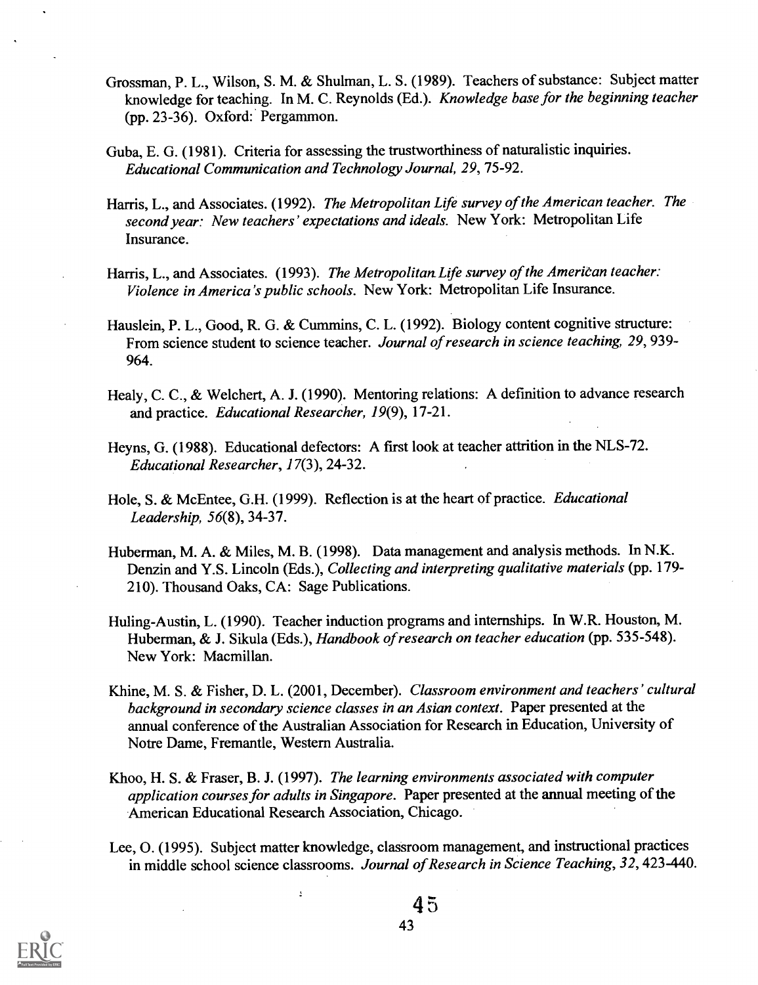- Grossman, P. L., Wilson, S. M. & Shulman, L. S. (1989). Teachers of substance: Subject matter knowledge for teaching. In M. C. Reynolds (Ed.). Knowledge base for the beginning teacher (pp. 23-36). Oxford: Pergammon.
- Guba, E. G. (1981). Criteria for assessing the trustworthiness of naturalistic inquiries. Educational Communication and Technology Journal, 29, 75-92.
- Harris, L., and Associates. (1992). The Metropolitan Life survey of the American teacher. The second year: New teachers' expectations and ideals. New York: Metropolitan Life Insurance.
- Harris, L., and Associates. (1993). The Metropolitan Life survey of the American teacher: Violence in America's public schools. New York: Metropolitan Life Insurance.
- Hauslein, P. L., Good, R. G. & Cummins, C. L. (1992). Biology content cognitive structure: From science student to science teacher. Journal of research in science teaching, 29, 939-964.
- Healy, C. C., & Welchert, A. J. (1990). Mentoring relations: A definition to advance research and practice. Educational Researcher, 19(9), 17-21.
- Heyns, G. (1988). Educational defectors: A first look at teacher attrition in the NLS-72. Educational Researcher, 17(3), 24-32.
- Hole, S. & McEntee, G.H. (1999). Reflection is at the heart of practice. Educational Leadership, 56(8), 34-37.
- Huberman, M. A. & Miles, M. B. (1998). Data management and analysis methods. In N.K. Denzin and Y.S. Lincoln (Eds.), Collecting and interpreting qualitative materials (pp. 179- 210). Thousand Oaks, CA: Sage Publications.
- Huling-Austin, L. (1990). Teacher induction programs and internships. In W.R. Houston, M. Huberman, & J. Sikula (Eds.), Handbook of research on teacher education (pp. 535-548). New York: Macmillan.
- Khine, M. S. & Fisher, D. L. (2001, December). Classroom environment and teachers' cultural background in secondary science classes in an Asian context. Paper presented at the annual conference of the Australian Association for Research in Education, University of Notre Dame, Fremantle, Western Australia.
- Khoo, H. S. & Fraser, B. J. (1997). The learning environments associated with computer application courses for adults in Singapore. Paper presented at the annual meeting of the American Educational Research Association, Chicago.
- Lee, 0. (1995). Subject matter knowledge, classroom management, and instructional practices in middle school science classrooms. Journal of Research in Science Teaching, 32, 423-440.

 $\ddot{\cdot}$ 

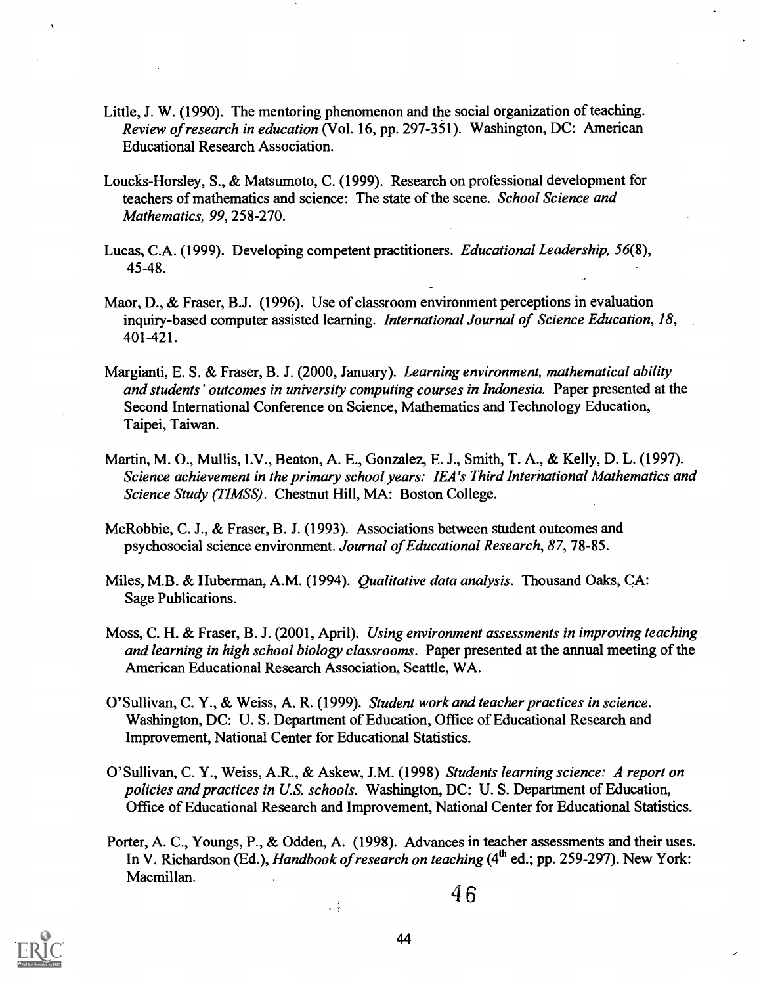- Little, J. W. (1990). The mentoring phenomenon and the social organization of teaching. Review of research in education (Vol. 16, pp. 297-351). Washington, DC: American Educational Research Association.
- Loucks-Horsley, S., & Matsumoto, C. (1999). Research on professional development for teachers of mathematics and science: The state of the scene. School Science and Mathematics, 99, 258-270.
- Lucas, C.A. (1999). Developing competent practitioners. Educational Leadership, 56(8), 45-48.
- Maor, D., & Fraser, B.J. (1996). Use of classroom environment perceptions in evaluation inquiry-based computer assisted learning. International Journal of Science Education, 18, 401-421.

-

- Margianti, E. S. & Fraser, B. J. (2000, January). Learning environment, mathematical ability and students' outcomes in university computing courses in Indonesia. Paper presented at the Second International Conference on Science, Mathematics and Technology Education, Taipei, Taiwan.
- Martin, M. 0., Mullis, I.V., Beaton, A. E., Gonzalez, E. J., Smith, T. A., & Kelly, D. L. (1997). Science achievement in the primary school years: IEA's Third Interhational Mathematics and Science Study (TIMSS). Chestnut Hill, MA: Boston College.
- McRobbie, C. J., & Fraser, B. J. (1993). Associations between student outcomes and psychosocial science environment. Journal of Educational Research, 87, 78-85.
- Miles, M.B. & Huberman, A.M. (1994). Qualitative data analysis. Thousand Oaks, CA: Sage Publications.
- Moss, C. H. & Fraser, B. J. (2001, April). Using environment assessments in improving teaching and learning in high school biology classrooms. Paper presented at the annual meeting of the American Educational Research Association, Seattle, WA.
- O'Sullivan, C. Y., & Weiss, A. R. (1999). Student work and teacher practices in science. Washington, DC: U. S. Department of Education, Office of Educational Research and Improvement, National Center for Educational Statistics.
- O'Sullivan, C. Y., Weiss, A.R., & Askew, J.M. (1998) Students learning science: A report on policies and practices in U.S. schools. Washington, DC: U. S. Department of Education, Office of Educational Research and Improvement, National Center for Educational Statistics.
- Porter, A. C., Youngs, P., & Odden, A. (1998). Advances in teacher assessments and their uses. In V. Richardson (Ed.), Handbook of research on teaching (4<sup>th</sup> ed.; pp. 259-297). New York: Macmillan.

 $\frac{1}{3}$ 

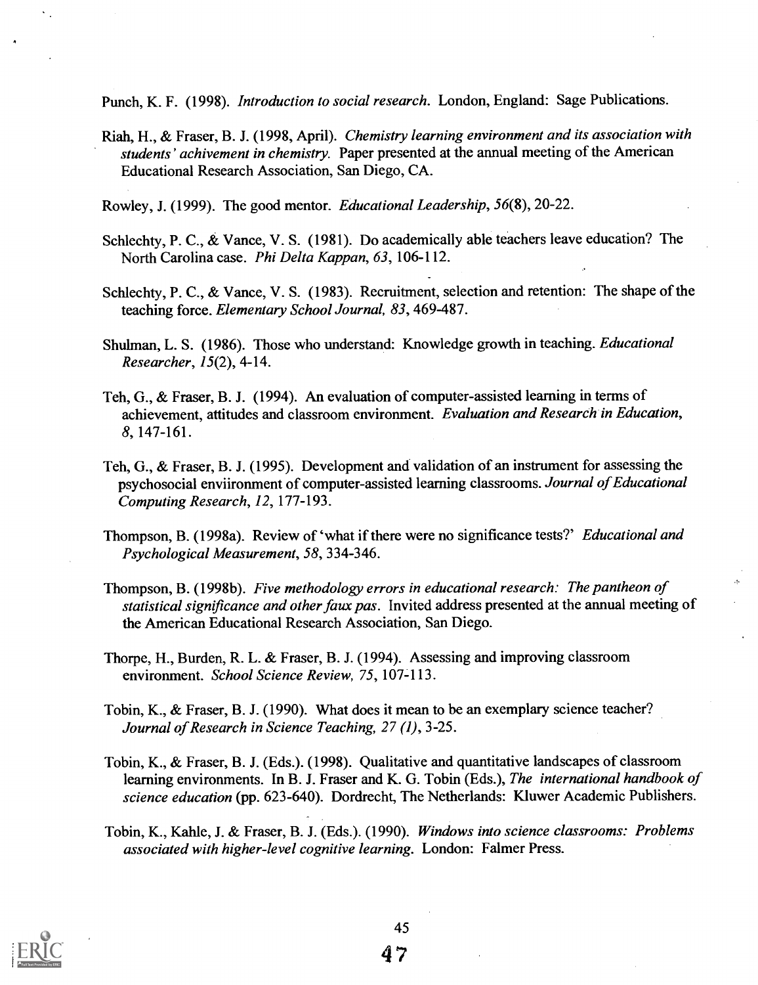Punch, K. F. (1998). *Introduction to social research*. London, England: Sage Publications.

- Riah, H., & Fraser, B. J. (1998, April). Chemistry learning environment and its association with students' achivement in chemistry. Paper presented at the annual meeting of the American Educational Research Association, San Diego, CA.
- Rowley, J. (1999). The good mentor. Educational Leadership, 56(8), 20-22.
- Schlechty, P. C., & Vance, V. S. (1981). Do academically able teachers leave education? The North Carolina case. Phi Delta Kappan, 63, 106-112.
- Schlechty, P. C., & Vance, V. S. (1983). Recruitment, selection and retention: The shape of the teaching force. Elementary School Journal, 83, 469-487.
- Shulman, L. S. (1986). Those who understand: Knowledge growth in teaching. Educational Researcher, 15(2), 4-14.
- Teh, G., & Fraser, B. J. (1994). An evaluation of computer-assisted learning in terms of achievement, attitudes and classroom environment. Evaluation and Research in Education, 8, 147-161.
- Teh, G., & Fraser, B. J. (1995). Development and validation of an instrument for assessing the psychosocial enviironment of computer-assisted learning classrooms. Journal of Educational Computing Research, 12, 177-193.
- Thompson, B. (1998a). Review of 'what if there were no significance tests?' Educational and Psychological Measurement, 58, 334-346.
- Thompson, B. (1998b). Five methodology errors in educational research: The pantheon of statistical significance and other faux pas. Invited address presented at the annual meeting of the American Educational Research Association, San Diego.
- Thorpe, H., Burden, R. L. & Fraser, B. J. (1994). Assessing and improving classroom environment. School Science Review, 75, 107-113.
- Tobin, K., & Fraser, B. J. (1990). What does it mean to be an exemplary science teacher? Journal of Research in Science Teaching, 27 (1), 3-25.
- Tobin, K., & Fraser, B. J. (Eds.). (1998). Qualitative and quantitative landscapes of classroom learning environments. In B. J. Fraser and K. G. Tobin (Eds.), The *international handbook of* science education (pp. 623-640). Dordrecht, The Netherlands: Kluwer Academic Publishers.
- Tobin, K., Kahle, J. & Fraser, B. J. (Eds.). (1990). Windows into science classrooms: Problems associated with higher-level cognitive learning. London: Falmer Press.

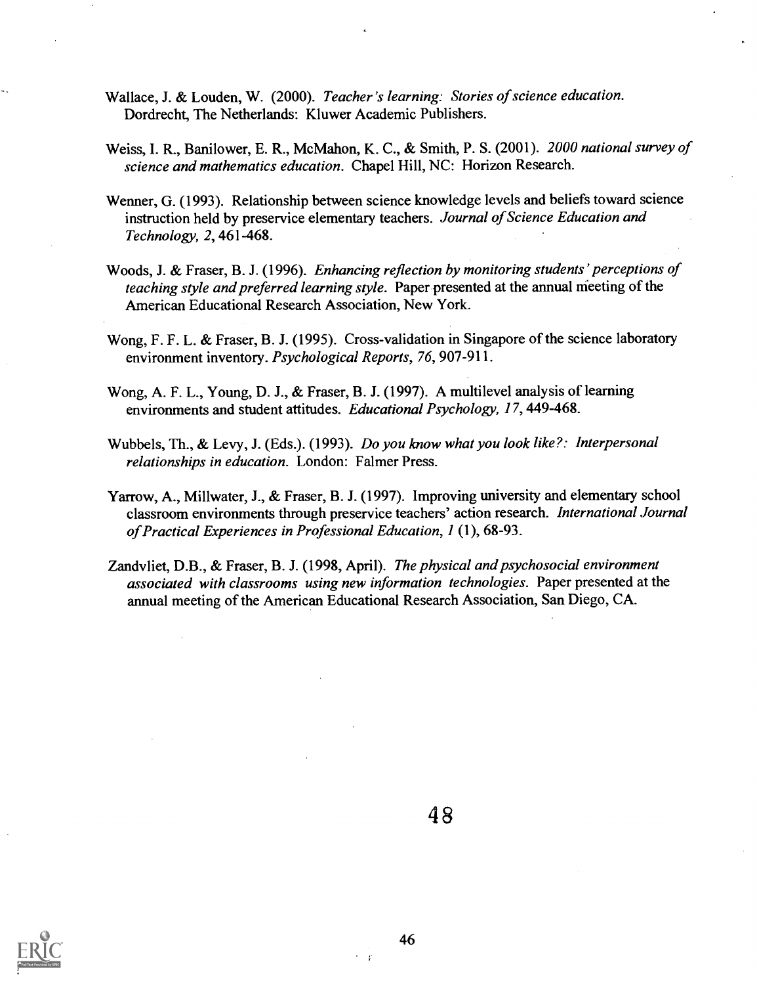- Wallace, J. & Louden, W. (2000). Teacher's learning: Stories of science education. Dordrecht, The Netherlands: Kluwer Academic Publishers.
- Weiss, I. R., Banilower, E. R., McMahon, K. C., & Smith, P. S. (2001). 2000 national survey of science and mathematics education. Chapel Hill, NC: Horizon Research.
- Wenner, G. (1993). Relationship between science knowledge levels and beliefs toward science instruction held by preservice elementary teachers. Journal of Science Education and Technology, 2, 461-468.
- Woods, J. & Fraser, B. J. (1996). Enhancing reflection by monitoring students' perceptions of teaching style and preferred learning style. Paper presented at the annual meeting of the American Educational Research Association, New York.
- Wong, F. F. L. & Fraser, B. J. (1995). Cross-validation in Singapore of the science laboratory environment inventory. Psychological Reports, 76, 907-911.
- Wong, A. F. L., Young, D. J., & Fraser, B. J. (1997). A multilevel analysis of learning environments and student attitudes. Educational Psychology, 17, 449-468.
- Wubbels, Th., & Levy, J. (Eds.). (1993). Do you know what you look like?: Interpersonal relationships in education. London: Falmer Press.
- Yarrow, A., Millwater, J., & Fraser, B. J. (1997). Improving university and elementary school classroom environments through preservice teachers' action research. International Journal of Practical Experiences in Professional Education, 1 (1), 68-93.
- Zandvliet, D.B., & Fraser, B. J. (1998, April). The physical and psychosocial environment associated with classrooms using new information technologies. Paper presented at the annual meeting of the American Educational Research Association, San Diego, CA.





 $\mathbf{r}$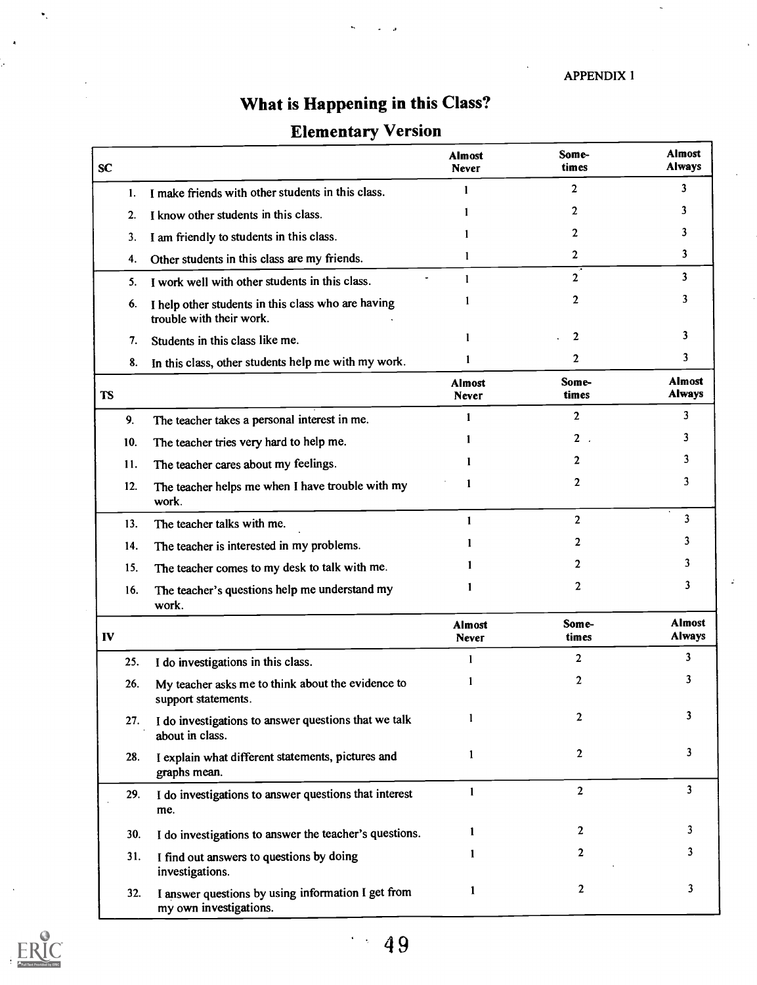APPENDIX I

# What is Happening in this Class?

# Elementary Version

| SC        |                                                                                | <b>Almost</b><br><b>Never</b> | Some-<br>times | <b>Almost</b><br><b>Always</b> |
|-----------|--------------------------------------------------------------------------------|-------------------------------|----------------|--------------------------------|
| 1.        | I make friends with other students in this class.                              | 1                             | $\overline{2}$ | 3                              |
| 2.        | I know other students in this class.                                           |                               | $\mathbf{2}$   | 3                              |
| 3.        | I am friendly to students in this class.                                       |                               | $\mathbf{2}$   | 3                              |
| 4.        | Other students in this class are my friends.                                   | 1                             | $\overline{2}$ | 3                              |
| 5.        | I work well with other students in this class.                                 | 1                             | $\overline{2}$ | 3                              |
| 6.        | I help other students in this class who are having<br>trouble with their work. |                               | $\overline{2}$ | 3                              |
| 7.        | Students in this class like me.                                                |                               | $\mathbf{2}$   | 3                              |
| 8.        | In this class, other students help me with my work.                            | 1                             | $\mathbf{2}$   | 3                              |
| <b>TS</b> |                                                                                | <b>Almost</b><br><b>Never</b> | Some-<br>times | Almost<br><b>Always</b>        |
| 9.        | The teacher takes a personal interest in me.                                   | 1                             | $\overline{2}$ | 3                              |
| 10.       | The teacher tries very hard to help me.                                        |                               | $2$ .          | 3                              |
| 11.       | The teacher cares about my feelings.                                           |                               | 2              | 3                              |
| 12.       | The teacher helps me when I have trouble with my<br>work.                      |                               | $\mathbf{2}$   | 3                              |
| 13.       | The teacher talks with me.                                                     | 1                             | $\overline{2}$ | 3                              |
| 14.       | The teacher is interested in my problems.                                      |                               | 2              | 3                              |
| 15.       | The teacher comes to my desk to talk with me.                                  |                               | 2              | 3                              |
| 16.       | The teacher's questions help me understand my<br>work.                         |                               | $\mathbf{2}$   | 3                              |
| IV        |                                                                                | <b>Almost</b><br>Never        | Some-<br>times | <b>Almost</b><br><b>Always</b> |
| 25.       | I do investigations in this class.                                             | $\mathbf{1}$                  | $\overline{2}$ | 3                              |
| 26.       | My teacher asks me to think about the evidence to<br>support statements.       | 1                             | 2              | 3                              |
| 27.       | I do investigations to answer questions that we talk<br>about in class.        | 1                             | 2              | 3                              |
| 28.       | I explain what different statements, pictures and<br>graphs mean.              | 1                             | $\overline{2}$ | 3                              |
| 29.       | I do investigations to answer questions that interest<br>me.                   | $\mathbf{1}$                  | $\overline{2}$ | 3                              |
| 30.       | I do investigations to answer the teacher's questions.                         | 1                             | 2              | 3                              |
| 31.       | I find out answers to questions by doing<br>investigations.                    | 1                             | 2              | 3                              |
| 32.       | I answer questions by using information I get from<br>my own investigations.   | 1                             | $\overline{2}$ | 3                              |

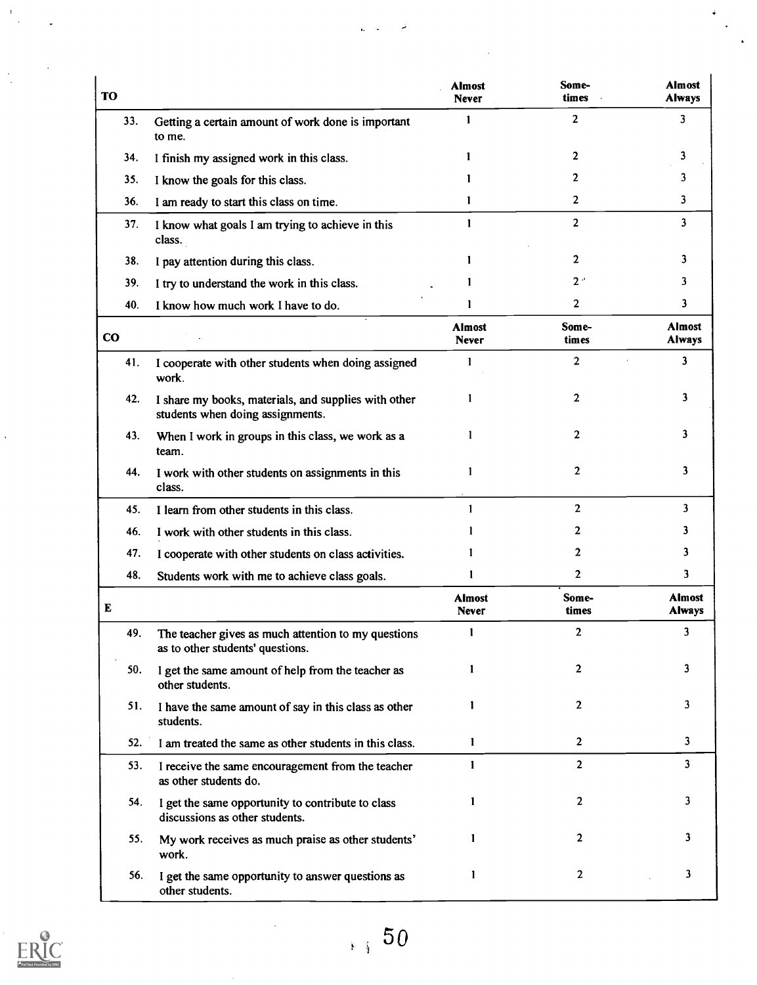| <b>TO</b> |                                                                                          | <b>Almost</b><br>Never        | Some-<br>times | <b>Almost</b><br><b>Always</b> |
|-----------|------------------------------------------------------------------------------------------|-------------------------------|----------------|--------------------------------|
| 33.       | Getting a certain amount of work done is important<br>to me.                             | 1                             | $\overline{2}$ | 3                              |
| 34.       | I finish my assigned work in this class.                                                 | 1                             | 2              | 3                              |
| 35.       | I know the goals for this class.                                                         |                               | 2              | 3                              |
| 36.       | I am ready to start this class on time.                                                  | 1                             | $\mathbf{2}$   | 3                              |
| 37.       | I know what goals I am trying to achieve in this<br>class.                               | 1                             | $\overline{2}$ | 3                              |
| 38.       | I pay attention during this class.                                                       | 1                             | $\overline{2}$ | 3                              |
| 39.       | I try to understand the work in this class.                                              | 1                             | 2 <sup>o</sup> | 3                              |
| 40.       | I know how much work I have to do.                                                       | 1                             | $\mathbf{2}$   | 3                              |
| $\bf{CO}$ |                                                                                          | <b>Almost</b><br><b>Never</b> | Some-<br>times | <b>Almost</b><br><b>Always</b> |
| 41.       | I cooperate with other students when doing assigned<br>work.                             | 1                             | $\overline{2}$ | 3                              |
| 42.       | I share my books, materials, and supplies with other<br>students when doing assignments. | 1                             | $\mathbf{2}$   | 3                              |
| 43.       | When I work in groups in this class, we work as a<br>team.                               | 1                             | $\mathbf{2}$   | 3                              |
| 44.       | I work with other students on assignments in this<br>class.                              | 1                             | $\overline{2}$ | 3                              |
| 45.       | I learn from other students in this class.                                               | 1                             | $\overline{2}$ | 3                              |
| 46.       | I work with other students in this class.                                                |                               | 2              | 3                              |
| 47.       | I cooperate with other students on class activities.                                     | 1                             | 2              | 3                              |
| 48.       | Students work with me to achieve class goals.                                            | 1                             | $\mathbf{2}$   | 3                              |
| E         |                                                                                          | <b>Almost</b><br><b>Never</b> | Some-<br>times | <b>Almost</b><br><b>Always</b> |
| 49.       | The teacher gives as much attention to my questions<br>as to other students' questions.  | 1                             | 2              | 3                              |
| 50.       | I get the same amount of help from the teacher as<br>other students.                     | 1                             | 2              | 3                              |
| 51.       | I have the same amount of say in this class as other<br>students.                        | $\mathbf{1}$                  | 2              | 3                              |
| 52.       | I am treated the same as other students in this class.                                   | 1                             | $\mathbf{2}$   | 3                              |
| 53.       | I receive the same encouragement from the teacher<br>as other students do.               | $\mathbf{1}$                  | $\overline{2}$ | 3                              |
| 54.       | I get the same opportunity to contribute to class<br>discussions as other students.      | 1                             | 2              | 3                              |
| 55.       | My work receives as much praise as other students'<br>work.                              | 1                             | 2              | 3                              |
| 56.       | I get the same opportunity to answer questions as<br>other students.                     | 1                             | 2              | 3                              |

 $-$ 

÷

j.



 $\frac{1}{\sqrt{2}}$ 

 $\frac{1}{2}$ 

 $\ddot{\phantom{1}}$ 

 $\ddot{\phantom{0}}$ 

 $\hat{\mathcal{A}}$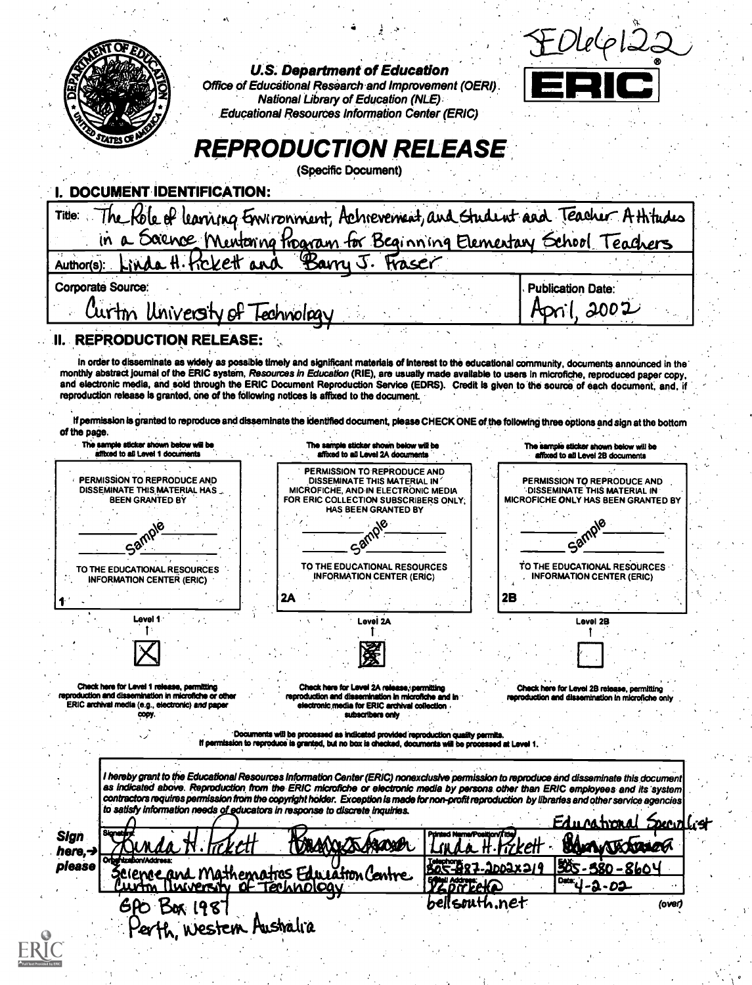|                                                                                                                                                         | <b>National Library of Education (NLE)</b><br><b>Educational Resources Information Center (ERIC)</b>                                                                                                                                                                                                  |                                       |                                                             |
|---------------------------------------------------------------------------------------------------------------------------------------------------------|-------------------------------------------------------------------------------------------------------------------------------------------------------------------------------------------------------------------------------------------------------------------------------------------------------|---------------------------------------|-------------------------------------------------------------|
|                                                                                                                                                         | <b>REPRODUCTION RELEASE</b>                                                                                                                                                                                                                                                                           |                                       |                                                             |
|                                                                                                                                                         | (Specific Document)                                                                                                                                                                                                                                                                                   |                                       |                                                             |
| DOCUMENT IDENTIFICATION:                                                                                                                                |                                                                                                                                                                                                                                                                                                       |                                       |                                                             |
| Title:                                                                                                                                                  | The Kole of learning Environment, Achievement, and Gudent and Teacher Athtudes<br>in a Sounce Mentoning Program for Beginning Elementary School Teachers                                                                                                                                              |                                       |                                                             |
| Author(s):                                                                                                                                              | Linda H. Kckett and Barry J. Fraser                                                                                                                                                                                                                                                                   |                                       |                                                             |
| <b>Corporate Source:</b>                                                                                                                                |                                                                                                                                                                                                                                                                                                       |                                       | <b>Publication Date:</b>                                    |
| Curtin University of Technology                                                                                                                         |                                                                                                                                                                                                                                                                                                       |                                       | April. 2002                                                 |
| <b>REPRODUCTION RELEASE:</b>                                                                                                                            |                                                                                                                                                                                                                                                                                                       |                                       |                                                             |
|                                                                                                                                                         | In order to disseminate as widely as possible timely and significant materials of interest to the educational community, documents announced in the                                                                                                                                                   |                                       |                                                             |
|                                                                                                                                                         | monthly abstract journal of the ERIC system, Resources in Education (RIE), are usually made available to users in microfiche, reproduced paper copy,<br>and electronic media, and sold through the ERIC Document Reproduction Service (EDRS). Credit is given to the source of each document, and, if |                                       |                                                             |
|                                                                                                                                                         | reproduction release is granted, one of the following notices is affixed to the document.<br>If permission is granted to reproduce and disseminate the identified document, please CHECK ONE of the following three options and sign at the bottom                                                    |                                       |                                                             |
| of the page.<br>The sample sticker shown below will be                                                                                                  | The sample sticker shown below will be                                                                                                                                                                                                                                                                |                                       | The sample sticker shown below will be                      |
| affixed to all Level 1 documents                                                                                                                        | affixed to all Level 2A documents<br>PERMISSION TO REPRODUCE AND                                                                                                                                                                                                                                      |                                       | affixed to all Level 2B documents                           |
| PERMISSION TO REPRODUCE AND<br>DISSEMINATE THIS MATERIAL HAS                                                                                            | DISSEMINATE THIS MATERIAL IN<br>MICROFICHE, AND IN ELECTRONIC MEDIA                                                                                                                                                                                                                                   |                                       | PERMISSION TO REPRODUCE AND<br>DISSEMINATE THIS MATERIAL IN |
| <b>BEEN GRANTED BY</b>                                                                                                                                  | FOR ERIC COLLECTION SUBSCRIBERS ONLY:<br>HAS BEEN GRANTED BY                                                                                                                                                                                                                                          |                                       | MICROFICHE ONLY HAS BEEN GRANTED BY                         |
|                                                                                                                                                         |                                                                                                                                                                                                                                                                                                       |                                       | Samp                                                        |
|                                                                                                                                                         |                                                                                                                                                                                                                                                                                                       |                                       |                                                             |
| Sam<br>TO THE EDUCATIONAL RESOURCES                                                                                                                     | ∕&ء<br>TO THE EDUCATIONAL RESOURCES                                                                                                                                                                                                                                                                   |                                       | TO THE EDUCATIONAL RESOURCES                                |
| <b>INFORMATION CENTER (FRIC)</b>                                                                                                                        | <b>INFORMATION CENTER (ERIC)</b>                                                                                                                                                                                                                                                                      |                                       | <b>INFORMATION CENTER (ERIC)</b>                            |
| Level 1                                                                                                                                                 | 2A<br>Level 2A                                                                                                                                                                                                                                                                                        | 2B                                    | Level 2B                                                    |
|                                                                                                                                                         |                                                                                                                                                                                                                                                                                                       |                                       |                                                             |
|                                                                                                                                                         | 瀀                                                                                                                                                                                                                                                                                                     |                                       |                                                             |
|                                                                                                                                                         | Check here for Level 2A release, permitting<br>reproduction and dissemination in microfiche and in                                                                                                                                                                                                    |                                       | Check here for Level 2B release, permitting                 |
|                                                                                                                                                         | electronic media for ERIC archival collection<br>who meditors and                                                                                                                                                                                                                                     |                                       | reproduction and dissemination in microfiche only           |
|                                                                                                                                                         | Documents will be processed as indicated provided reproduction quality permits.<br>If permission to reproduce is granted, but no box is checked, documents will be processed at Level 1.                                                                                                              |                                       |                                                             |
| Check here for Level 1 release, permitting<br>reproduction and dissemination in microfiche or other<br>ERIC archival media (e.g., electronic) and paper |                                                                                                                                                                                                                                                                                                       |                                       |                                                             |
|                                                                                                                                                         | I hereby grant to the Educational Resources Information Center (ERIC) nonexclusive permission to reproduce and disseminate this document<br>as indicated above. Reproduction from the ERIC microfiche or electronic media by persons other than ERIC employees and its system                         |                                       |                                                             |
|                                                                                                                                                         | contractors requires permission from the copyright holder. Exception is made for non-profit reproduction by libraries and other service agencies<br>to satisfy information needs of educators in response to discrete inquiries.                                                                      |                                       |                                                             |
| ionaté<br>Sign                                                                                                                                          |                                                                                                                                                                                                                                                                                                       |                                       | Edunational Specialis                                       |
| here.-<br>Orbertzabon/Address:                                                                                                                          | <b><i>DAAXXXXAADSBL</i></b>                                                                                                                                                                                                                                                                           |                                       | Nextracea                                                   |
| please                                                                                                                                                  | Zeienee and Mathematres Education Centre.<br>Durversity of Technology                                                                                                                                                                                                                                 | <b>BOC-BR7-2</b><br><b>TZ pirteko</b> | <b>505-580-8604</b><br>Date:<br>2-02                        |